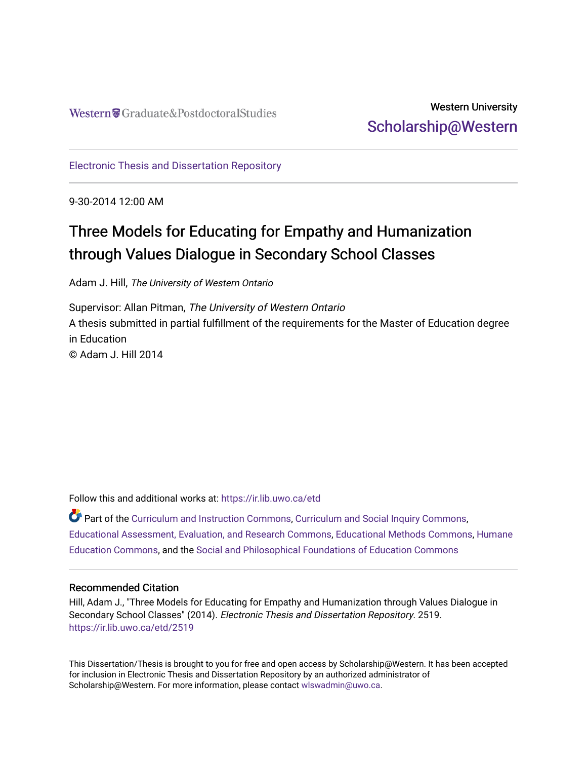## Western University [Scholarship@Western](https://ir.lib.uwo.ca/)

[Electronic Thesis and Dissertation Repository](https://ir.lib.uwo.ca/etd)

9-30-2014 12:00 AM

# Three Models for Educating for Empathy and Humanization through Values Dialogue in Secondary School Classes

Adam J. Hill, The University of Western Ontario

Supervisor: Allan Pitman, The University of Western Ontario A thesis submitted in partial fulfillment of the requirements for the Master of Education degree in Education © Adam J. Hill 2014

Follow this and additional works at: [https://ir.lib.uwo.ca/etd](https://ir.lib.uwo.ca/etd?utm_source=ir.lib.uwo.ca%2Fetd%2F2519&utm_medium=PDF&utm_campaign=PDFCoverPages) 

Part of the [Curriculum and Instruction Commons,](http://network.bepress.com/hgg/discipline/786?utm_source=ir.lib.uwo.ca%2Fetd%2F2519&utm_medium=PDF&utm_campaign=PDFCoverPages) [Curriculum and Social Inquiry Commons,](http://network.bepress.com/hgg/discipline/1038?utm_source=ir.lib.uwo.ca%2Fetd%2F2519&utm_medium=PDF&utm_campaign=PDFCoverPages) [Educational Assessment, Evaluation, and Research Commons,](http://network.bepress.com/hgg/discipline/796?utm_source=ir.lib.uwo.ca%2Fetd%2F2519&utm_medium=PDF&utm_campaign=PDFCoverPages) [Educational Methods Commons,](http://network.bepress.com/hgg/discipline/1227?utm_source=ir.lib.uwo.ca%2Fetd%2F2519&utm_medium=PDF&utm_campaign=PDFCoverPages) [Humane](http://network.bepress.com/hgg/discipline/1295?utm_source=ir.lib.uwo.ca%2Fetd%2F2519&utm_medium=PDF&utm_campaign=PDFCoverPages) [Education Commons,](http://network.bepress.com/hgg/discipline/1295?utm_source=ir.lib.uwo.ca%2Fetd%2F2519&utm_medium=PDF&utm_campaign=PDFCoverPages) and the [Social and Philosophical Foundations of Education Commons](http://network.bepress.com/hgg/discipline/799?utm_source=ir.lib.uwo.ca%2Fetd%2F2519&utm_medium=PDF&utm_campaign=PDFCoverPages)

#### Recommended Citation

Hill, Adam J., "Three Models for Educating for Empathy and Humanization through Values Dialogue in Secondary School Classes" (2014). Electronic Thesis and Dissertation Repository. 2519. [https://ir.lib.uwo.ca/etd/2519](https://ir.lib.uwo.ca/etd/2519?utm_source=ir.lib.uwo.ca%2Fetd%2F2519&utm_medium=PDF&utm_campaign=PDFCoverPages)

This Dissertation/Thesis is brought to you for free and open access by Scholarship@Western. It has been accepted for inclusion in Electronic Thesis and Dissertation Repository by an authorized administrator of Scholarship@Western. For more information, please contact [wlswadmin@uwo.ca.](mailto:wlswadmin@uwo.ca)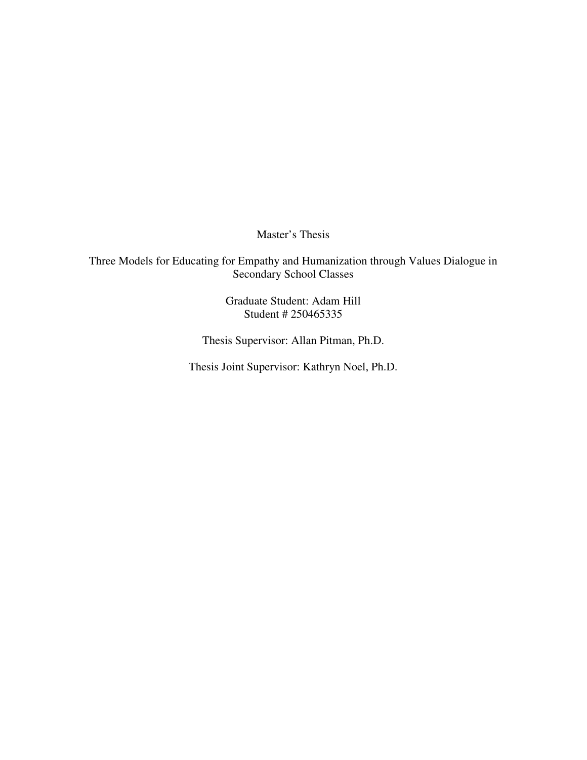Master's Thesis

Three Models for Educating for Empathy and Humanization through Values Dialogue in Secondary School Classes

> Graduate Student: Adam Hill Student # 250465335

Thesis Supervisor: Allan Pitman, Ph.D.

Thesis Joint Supervisor: Kathryn Noel, Ph.D.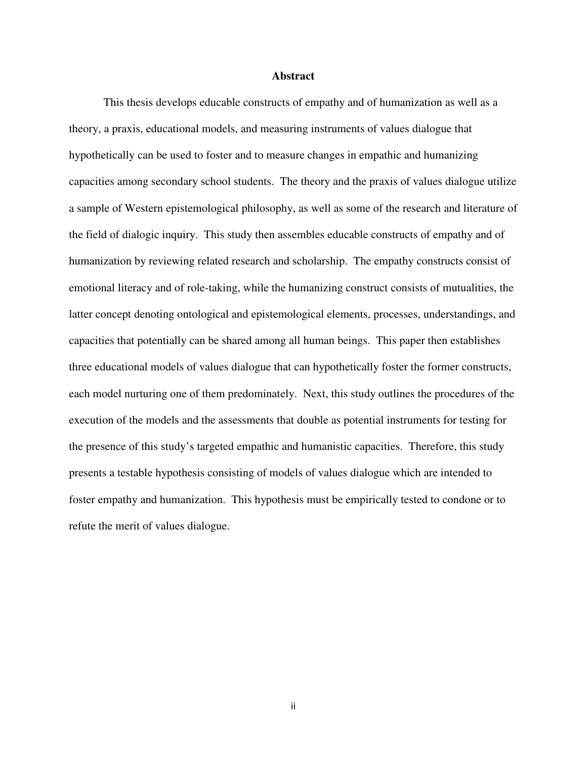#### **Abstract**

This thesis develops educable constructs of empathy and of humanization as well as a theory, a praxis, educational models, and measuring instruments of values dialogue that hypothetically can be used to foster and to measure changes in empathic and humanizing capacities among secondary school students. The theory and the praxis of values dialogue utilize a sample of Western epistemological philosophy, as well as some of the research and literature of the field of dialogic inquiry. This study then assembles educable constructs of empathy and of humanization by reviewing related research and scholarship. The empathy constructs consist of emotional literacy and of role-taking, while the humanizing construct consists of mutualities, the latter concept denoting ontological and epistemological elements, processes, understandings, and capacities that potentially can be shared among all human beings. This paper then establishes three educational models of values dialogue that can hypothetically foster the former constructs, each model nurturing one of them predominately. Next, this study outlines the procedures of the execution of the models and the assessments that double as potential instruments for testing for the presence of this study's targeted empathic and humanistic capacities. Therefore, this study presents a testable hypothesis consisting of models of values dialogue which are intended to foster empathy and humanization. This hypothesis must be empirically tested to condone or to refute the merit of values dialogue.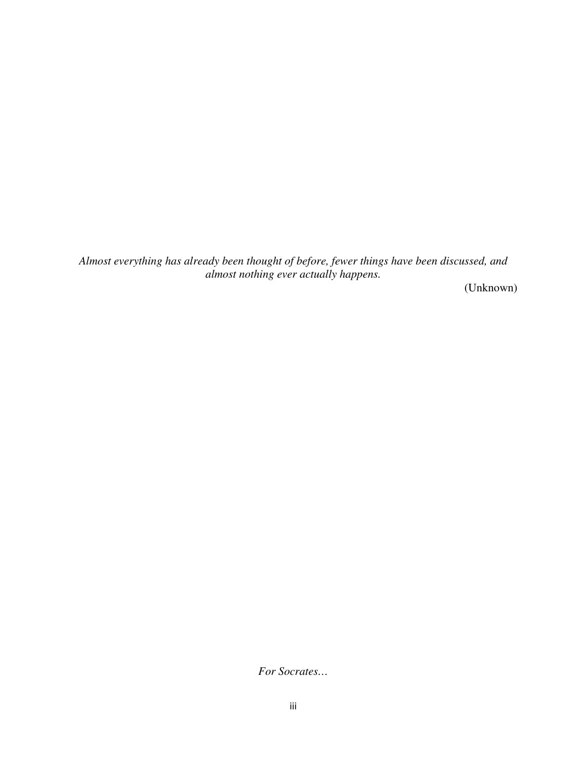*Almost everything has already been thought of before, fewer things have been discussed, and almost nothing ever actually happens.* 

(Unknown)

*For Socrates…*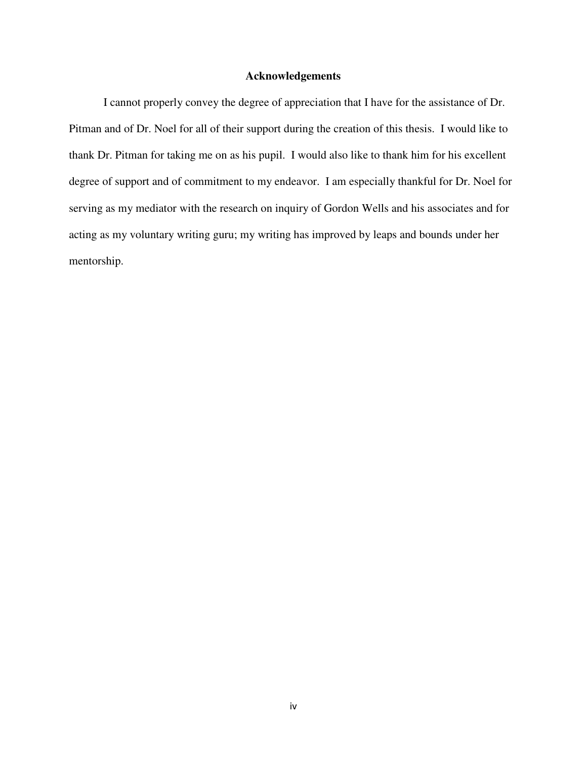#### **Acknowledgements**

 I cannot properly convey the degree of appreciation that I have for the assistance of Dr. Pitman and of Dr. Noel for all of their support during the creation of this thesis. I would like to thank Dr. Pitman for taking me on as his pupil. I would also like to thank him for his excellent degree of support and of commitment to my endeavor. I am especially thankful for Dr. Noel for serving as my mediator with the research on inquiry of Gordon Wells and his associates and for acting as my voluntary writing guru; my writing has improved by leaps and bounds under her mentorship.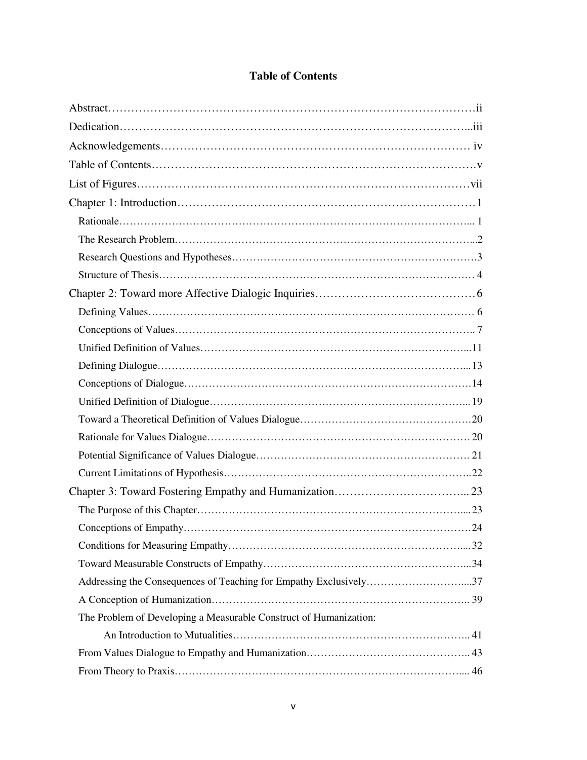| Addressing the Consequences of Teaching for Empathy Exclusively37 |  |
|-------------------------------------------------------------------|--|
|                                                                   |  |
| The Problem of Developing a Measurable Construct of Humanization: |  |
|                                                                   |  |
|                                                                   |  |
|                                                                   |  |

### **Table of Contents**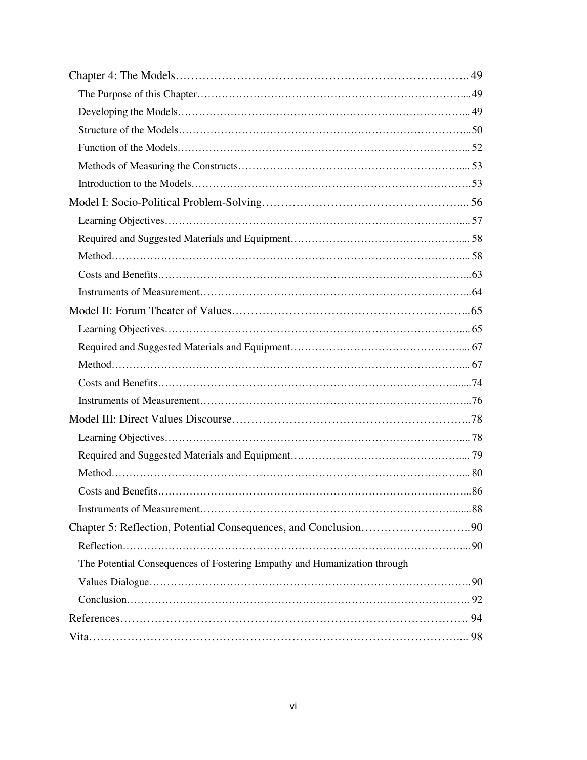| Chapter 5: Reflection, Potential Consequences, and Conclusion90          |  |
|--------------------------------------------------------------------------|--|
|                                                                          |  |
| The Potential Consequences of Fostering Empathy and Humanization through |  |
|                                                                          |  |
|                                                                          |  |
|                                                                          |  |
|                                                                          |  |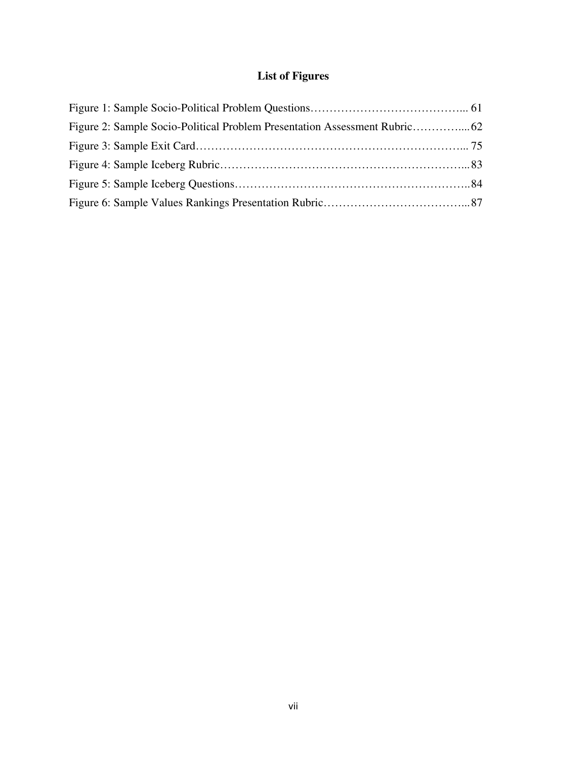## **List of Figures**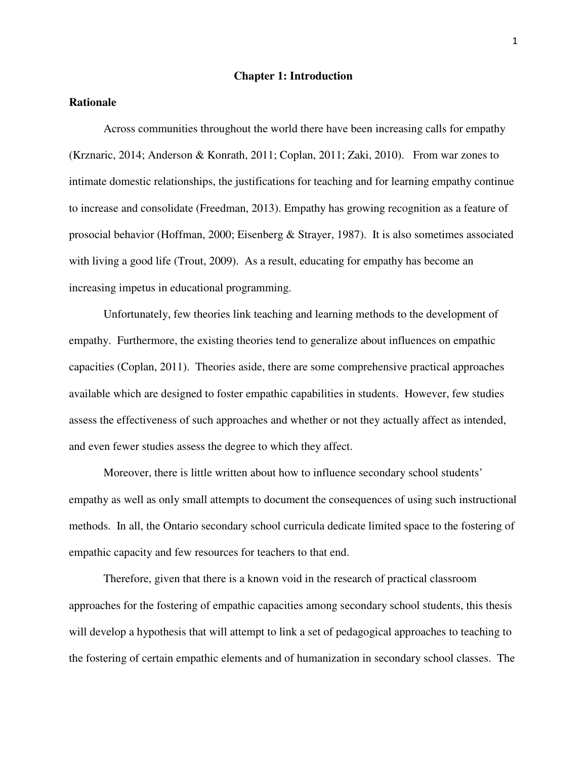#### **Chapter 1: Introduction**

#### **Rationale**

 Across communities throughout the world there have been increasing calls for empathy (Krznaric, 2014; Anderson & Konrath, 2011; Coplan, 2011; Zaki, 2010). From war zones to intimate domestic relationships, the justifications for teaching and for learning empathy continue to increase and consolidate (Freedman, 2013). Empathy has growing recognition as a feature of prosocial behavior (Hoffman, 2000; Eisenberg & Strayer, 1987). It is also sometimes associated with living a good life (Trout, 2009). As a result, educating for empathy has become an increasing impetus in educational programming.

 Unfortunately, few theories link teaching and learning methods to the development of empathy. Furthermore, the existing theories tend to generalize about influences on empathic capacities (Coplan, 2011). Theories aside, there are some comprehensive practical approaches available which are designed to foster empathic capabilities in students. However, few studies assess the effectiveness of such approaches and whether or not they actually affect as intended, and even fewer studies assess the degree to which they affect.

 Moreover, there is little written about how to influence secondary school students' empathy as well as only small attempts to document the consequences of using such instructional methods. In all, the Ontario secondary school curricula dedicate limited space to the fostering of empathic capacity and few resources for teachers to that end.

 Therefore, given that there is a known void in the research of practical classroom approaches for the fostering of empathic capacities among secondary school students, this thesis will develop a hypothesis that will attempt to link a set of pedagogical approaches to teaching to the fostering of certain empathic elements and of humanization in secondary school classes. The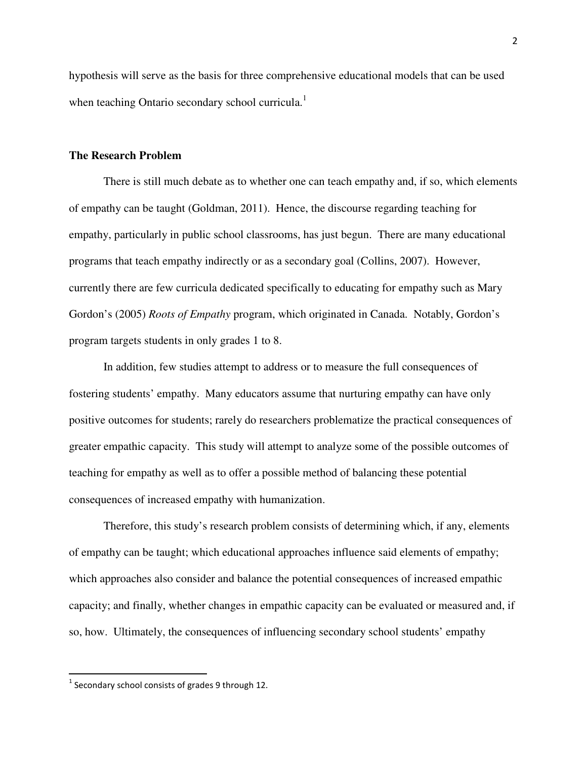hypothesis will serve as the basis for three comprehensive educational models that can be used when teaching Ontario secondary school curricula.<sup>1</sup>

#### **The Research Problem**

 There is still much debate as to whether one can teach empathy and, if so, which elements of empathy can be taught (Goldman, 2011). Hence, the discourse regarding teaching for empathy, particularly in public school classrooms, has just begun. There are many educational programs that teach empathy indirectly or as a secondary goal (Collins, 2007). However, currently there are few curricula dedicated specifically to educating for empathy such as Mary Gordon's (2005) *Roots of Empathy* program, which originated in Canada. Notably, Gordon's program targets students in only grades 1 to 8.

 In addition, few studies attempt to address or to measure the full consequences of fostering students' empathy. Many educators assume that nurturing empathy can have only positive outcomes for students; rarely do researchers problematize the practical consequences of greater empathic capacity. This study will attempt to analyze some of the possible outcomes of teaching for empathy as well as to offer a possible method of balancing these potential consequences of increased empathy with humanization.

 Therefore, this study's research problem consists of determining which, if any, elements of empathy can be taught; which educational approaches influence said elements of empathy; which approaches also consider and balance the potential consequences of increased empathic capacity; and finally, whether changes in empathic capacity can be evaluated or measured and, if so, how. Ultimately, the consequences of influencing secondary school students' empathy

.<br>-

 $^1$  Secondary school consists of grades 9 through 12.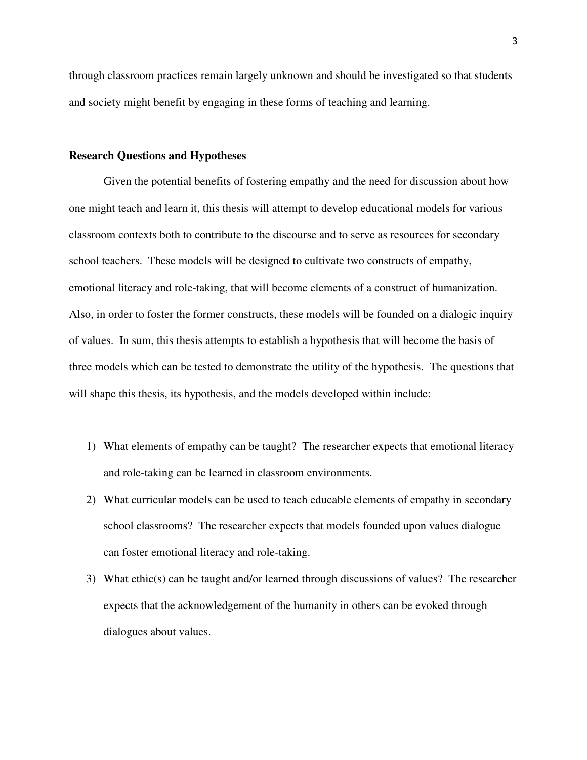through classroom practices remain largely unknown and should be investigated so that students and society might benefit by engaging in these forms of teaching and learning.

#### **Research Questions and Hypotheses**

Given the potential benefits of fostering empathy and the need for discussion about how one might teach and learn it, this thesis will attempt to develop educational models for various classroom contexts both to contribute to the discourse and to serve as resources for secondary school teachers. These models will be designed to cultivate two constructs of empathy, emotional literacy and role-taking, that will become elements of a construct of humanization. Also, in order to foster the former constructs, these models will be founded on a dialogic inquiry of values. In sum, this thesis attempts to establish a hypothesis that will become the basis of three models which can be tested to demonstrate the utility of the hypothesis. The questions that will shape this thesis, its hypothesis, and the models developed within include:

- 1) What elements of empathy can be taught? The researcher expects that emotional literacy and role-taking can be learned in classroom environments.
- 2) What curricular models can be used to teach educable elements of empathy in secondary school classrooms? The researcher expects that models founded upon values dialogue can foster emotional literacy and role-taking.
- 3) What ethic(s) can be taught and/or learned through discussions of values? The researcher expects that the acknowledgement of the humanity in others can be evoked through dialogues about values.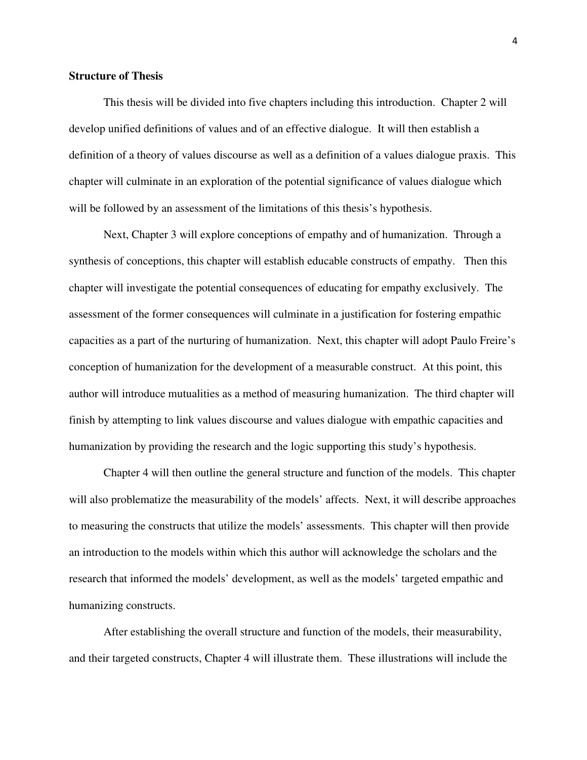#### **Structure of Thesis**

 This thesis will be divided into five chapters including this introduction. Chapter 2 will develop unified definitions of values and of an effective dialogue. It will then establish a definition of a theory of values discourse as well as a definition of a values dialogue praxis. This chapter will culminate in an exploration of the potential significance of values dialogue which will be followed by an assessment of the limitations of this thesis's hypothesis.

Next, Chapter 3 will explore conceptions of empathy and of humanization. Through a synthesis of conceptions, this chapter will establish educable constructs of empathy. Then this chapter will investigate the potential consequences of educating for empathy exclusively. The assessment of the former consequences will culminate in a justification for fostering empathic capacities as a part of the nurturing of humanization. Next, this chapter will adopt Paulo Freire's conception of humanization for the development of a measurable construct. At this point, this author will introduce mutualities as a method of measuring humanization. The third chapter will finish by attempting to link values discourse and values dialogue with empathic capacities and humanization by providing the research and the logic supporting this study's hypothesis.

Chapter 4 will then outline the general structure and function of the models. This chapter will also problematize the measurability of the models' affects. Next, it will describe approaches to measuring the constructs that utilize the models' assessments. This chapter will then provide an introduction to the models within which this author will acknowledge the scholars and the research that informed the models' development, as well as the models' targeted empathic and humanizing constructs.

After establishing the overall structure and function of the models, their measurability, and their targeted constructs, Chapter 4 will illustrate them. These illustrations will include the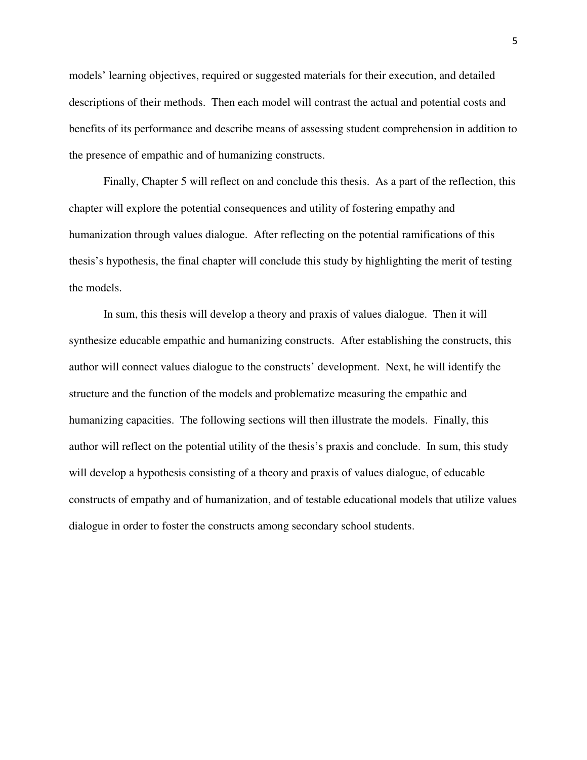models' learning objectives, required or suggested materials for their execution, and detailed descriptions of their methods. Then each model will contrast the actual and potential costs and benefits of its performance and describe means of assessing student comprehension in addition to the presence of empathic and of humanizing constructs.

Finally, Chapter 5 will reflect on and conclude this thesis. As a part of the reflection, this chapter will explore the potential consequences and utility of fostering empathy and humanization through values dialogue. After reflecting on the potential ramifications of this thesis's hypothesis, the final chapter will conclude this study by highlighting the merit of testing the models.

In sum, this thesis will develop a theory and praxis of values dialogue. Then it will synthesize educable empathic and humanizing constructs. After establishing the constructs, this author will connect values dialogue to the constructs' development. Next, he will identify the structure and the function of the models and problematize measuring the empathic and humanizing capacities. The following sections will then illustrate the models. Finally, this author will reflect on the potential utility of the thesis's praxis and conclude. In sum, this study will develop a hypothesis consisting of a theory and praxis of values dialogue, of educable constructs of empathy and of humanization, and of testable educational models that utilize values dialogue in order to foster the constructs among secondary school students.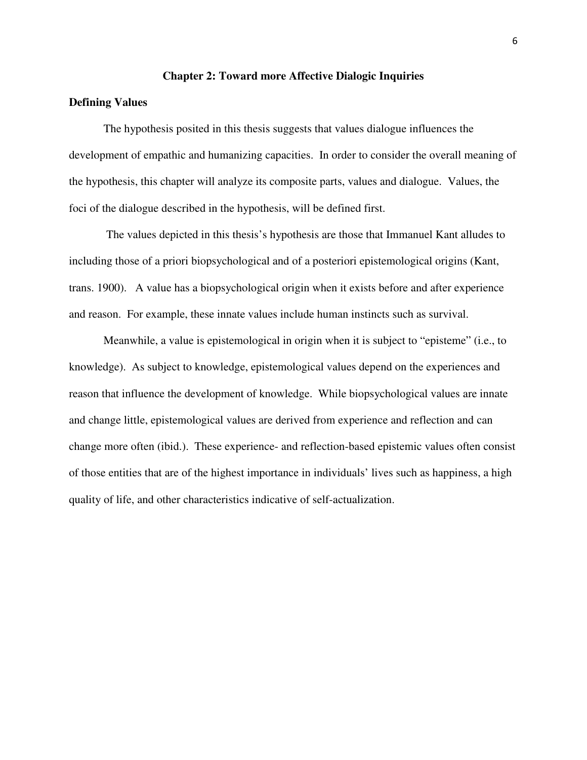#### **Chapter 2: Toward more Affective Dialogic Inquiries**

#### **Defining Values**

 The hypothesis posited in this thesis suggests that values dialogue influences the development of empathic and humanizing capacities. In order to consider the overall meaning of the hypothesis, this chapter will analyze its composite parts, values and dialogue. Values, the foci of the dialogue described in the hypothesis, will be defined first.

 The values depicted in this thesis's hypothesis are those that Immanuel Kant alludes to including those of a priori biopsychological and of a posteriori epistemological origins (Kant, trans. 1900). A value has a biopsychological origin when it exists before and after experience and reason. For example, these innate values include human instincts such as survival.

Meanwhile, a value is epistemological in origin when it is subject to "episteme" (i.e., to knowledge). As subject to knowledge, epistemological values depend on the experiences and reason that influence the development of knowledge. While biopsychological values are innate and change little, epistemological values are derived from experience and reflection and can change more often (ibid.). These experience- and reflection-based epistemic values often consist of those entities that are of the highest importance in individuals' lives such as happiness, a high quality of life, and other characteristics indicative of self-actualization.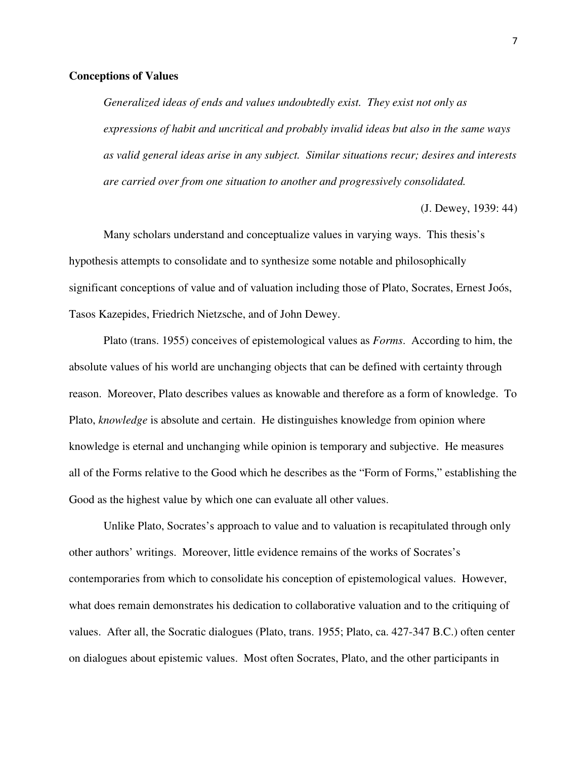#### **Conceptions of Values**

*Generalized ideas of ends and values undoubtedly exist. They exist not only as expressions of habit and uncritical and probably invalid ideas but also in the same ways as valid general ideas arise in any subject. Similar situations recur; desires and interests are carried over from one situation to another and progressively consolidated.*

(J. Dewey, 1939: 44)

Many scholars understand and conceptualize values in varying ways. This thesis's hypothesis attempts to consolidate and to synthesize some notable and philosophically significant conceptions of value and of valuation including those of Plato, Socrates, Ernest Joós, Tasos Kazepides, Friedrich Nietzsche, and of John Dewey.

Plato (trans. 1955) conceives of epistemological values as *Forms*. According to him, the absolute values of his world are unchanging objects that can be defined with certainty through reason. Moreover, Plato describes values as knowable and therefore as a form of knowledge. To Plato, *knowledge* is absolute and certain. He distinguishes knowledge from opinion where knowledge is eternal and unchanging while opinion is temporary and subjective. He measures all of the Forms relative to the Good which he describes as the "Form of Forms," establishing the Good as the highest value by which one can evaluate all other values.

Unlike Plato, Socrates's approach to value and to valuation is recapitulated through only other authors' writings. Moreover, little evidence remains of the works of Socrates's contemporaries from which to consolidate his conception of epistemological values. However, what does remain demonstrates his dedication to collaborative valuation and to the critiquing of values. After all, the Socratic dialogues (Plato, trans. 1955; Plato, ca. 427-347 B.C.) often center on dialogues about epistemic values. Most often Socrates, Plato, and the other participants in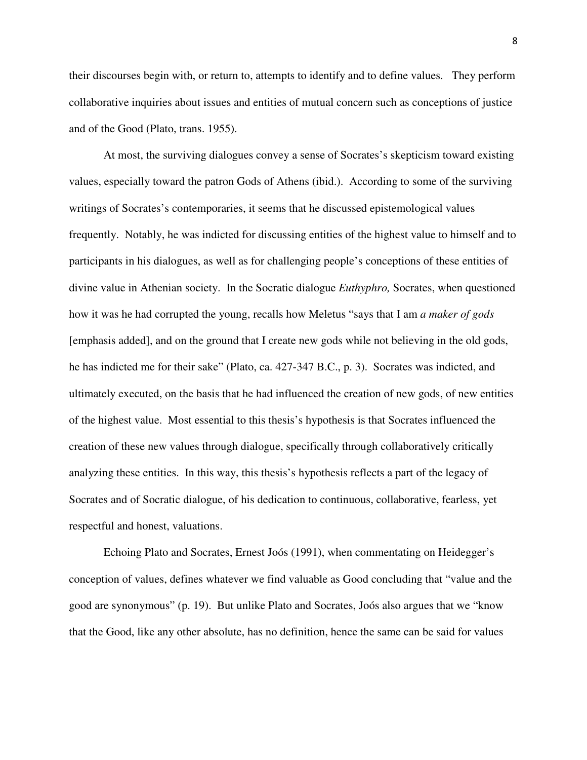their discourses begin with, or return to, attempts to identify and to define values. They perform collaborative inquiries about issues and entities of mutual concern such as conceptions of justice and of the Good (Plato, trans. 1955).

At most, the surviving dialogues convey a sense of Socrates's skepticism toward existing values, especially toward the patron Gods of Athens (ibid.). According to some of the surviving writings of Socrates's contemporaries, it seems that he discussed epistemological values frequently. Notably, he was indicted for discussing entities of the highest value to himself and to participants in his dialogues, as well as for challenging people's conceptions of these entities of divine value in Athenian society. In the Socratic dialogue *Euthyphro,* Socrates, when questioned how it was he had corrupted the young, recalls how Meletus "says that I am *a maker of gods* [emphasis added], and on the ground that I create new gods while not believing in the old gods, he has indicted me for their sake" (Plato, ca. 427-347 B.C., p. 3). Socrates was indicted, and ultimately executed, on the basis that he had influenced the creation of new gods, of new entities of the highest value. Most essential to this thesis's hypothesis is that Socrates influenced the creation of these new values through dialogue, specifically through collaboratively critically analyzing these entities. In this way, this thesis's hypothesis reflects a part of the legacy of Socrates and of Socratic dialogue, of his dedication to continuous, collaborative, fearless, yet respectful and honest, valuations.

Echoing Plato and Socrates, Ernest Joós (1991), when commentating on Heidegger's conception of values, defines whatever we find valuable as Good concluding that "value and the good are synonymous" (p. 19). But unlike Plato and Socrates, Joós also argues that we "know that the Good, like any other absolute, has no definition, hence the same can be said for values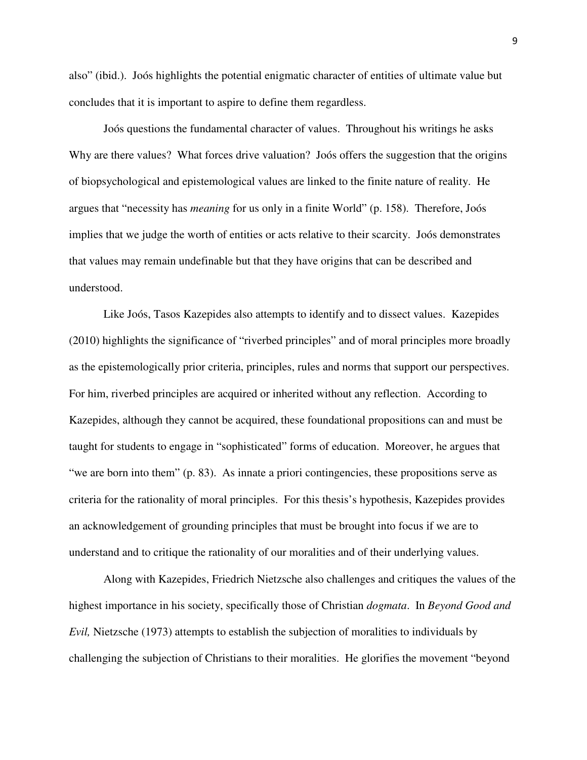also" (ibid.). Joós highlights the potential enigmatic character of entities of ultimate value but concludes that it is important to aspire to define them regardless.

Joós questions the fundamental character of values. Throughout his writings he asks Why are there values? What forces drive valuation? Joós offers the suggestion that the origins of biopsychological and epistemological values are linked to the finite nature of reality. He argues that "necessity has *meaning* for us only in a finite World" (p. 158). Therefore, Joós implies that we judge the worth of entities or acts relative to their scarcity. Joós demonstrates that values may remain undefinable but that they have origins that can be described and understood.

Like Joós, Tasos Kazepides also attempts to identify and to dissect values. Kazepides (2010) highlights the significance of "riverbed principles" and of moral principles more broadly as the epistemologically prior criteria, principles, rules and norms that support our perspectives. For him, riverbed principles are acquired or inherited without any reflection. According to Kazepides, although they cannot be acquired, these foundational propositions can and must be taught for students to engage in "sophisticated" forms of education. Moreover, he argues that "we are born into them" (p. 83). As innate a priori contingencies, these propositions serve as criteria for the rationality of moral principles. For this thesis's hypothesis, Kazepides provides an acknowledgement of grounding principles that must be brought into focus if we are to understand and to critique the rationality of our moralities and of their underlying values.

 Along with Kazepides, Friedrich Nietzsche also challenges and critiques the values of the highest importance in his society, specifically those of Christian *dogmata*. In *Beyond Good and Evil,* Nietzsche (1973) attempts to establish the subjection of moralities to individuals by challenging the subjection of Christians to their moralities. He glorifies the movement "beyond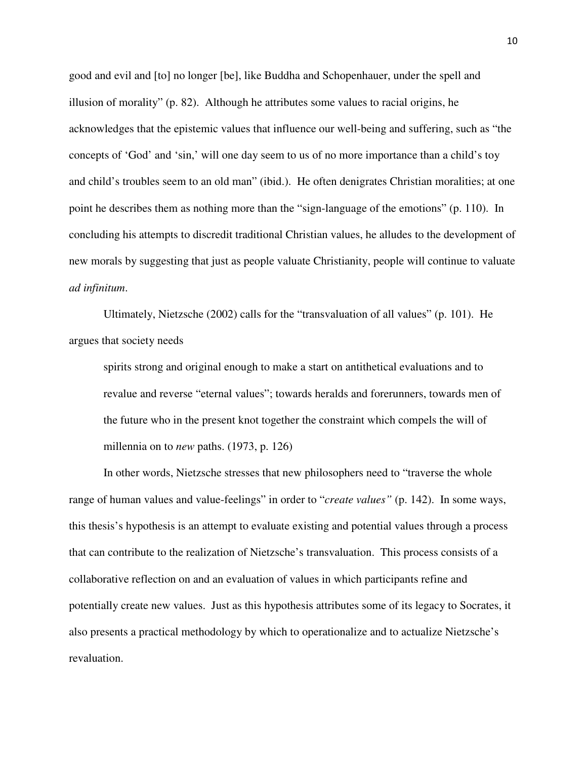good and evil and [to] no longer [be], like Buddha and Schopenhauer, under the spell and illusion of morality" (p. 82). Although he attributes some values to racial origins, he acknowledges that the epistemic values that influence our well-being and suffering, such as "the concepts of 'God' and 'sin,' will one day seem to us of no more importance than a child's toy and child's troubles seem to an old man" (ibid.). He often denigrates Christian moralities; at one point he describes them as nothing more than the "sign-language of the emotions" (p. 110). In concluding his attempts to discredit traditional Christian values, he alludes to the development of new morals by suggesting that just as people valuate Christianity, people will continue to valuate *ad infinitum*.

 Ultimately, Nietzsche (2002) calls for the "transvaluation of all values" (p. 101). He argues that society needs

spirits strong and original enough to make a start on antithetical evaluations and to revalue and reverse "eternal values"; towards heralds and forerunners, towards men of the future who in the present knot together the constraint which compels the will of millennia on to *new* paths. (1973, p. 126)

 In other words, Nietzsche stresses that new philosophers need to "traverse the whole range of human values and value-feelings" in order to "*create values"* (p. 142). In some ways, this thesis's hypothesis is an attempt to evaluate existing and potential values through a process that can contribute to the realization of Nietzsche's transvaluation. This process consists of a collaborative reflection on and an evaluation of values in which participants refine and potentially create new values. Just as this hypothesis attributes some of its legacy to Socrates, it also presents a practical methodology by which to operationalize and to actualize Nietzsche's revaluation.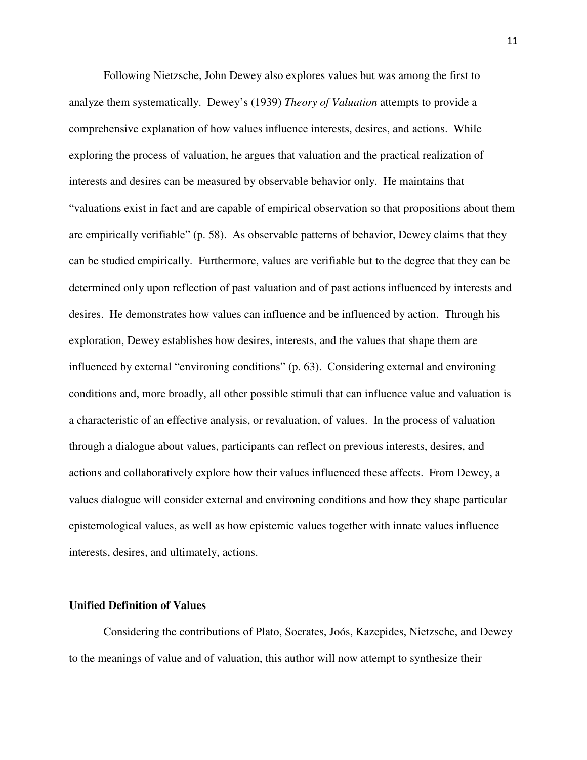Following Nietzsche, John Dewey also explores values but was among the first to analyze them systematically. Dewey's (1939) *Theory of Valuation* attempts to provide a comprehensive explanation of how values influence interests, desires, and actions. While exploring the process of valuation, he argues that valuation and the practical realization of interests and desires can be measured by observable behavior only. He maintains that "valuations exist in fact and are capable of empirical observation so that propositions about them are empirically verifiable" (p. 58). As observable patterns of behavior, Dewey claims that they can be studied empirically. Furthermore, values are verifiable but to the degree that they can be determined only upon reflection of past valuation and of past actions influenced by interests and desires. He demonstrates how values can influence and be influenced by action. Through his exploration, Dewey establishes how desires, interests, and the values that shape them are influenced by external "environing conditions" (p. 63). Considering external and environing conditions and, more broadly, all other possible stimuli that can influence value and valuation is a characteristic of an effective analysis, or revaluation, of values. In the process of valuation through a dialogue about values, participants can reflect on previous interests, desires, and actions and collaboratively explore how their values influenced these affects. From Dewey, a values dialogue will consider external and environing conditions and how they shape particular epistemological values, as well as how epistemic values together with innate values influence interests, desires, and ultimately, actions.

#### **Unified Definition of Values**

 Considering the contributions of Plato, Socrates, Joós, Kazepides, Nietzsche, and Dewey to the meanings of value and of valuation, this author will now attempt to synthesize their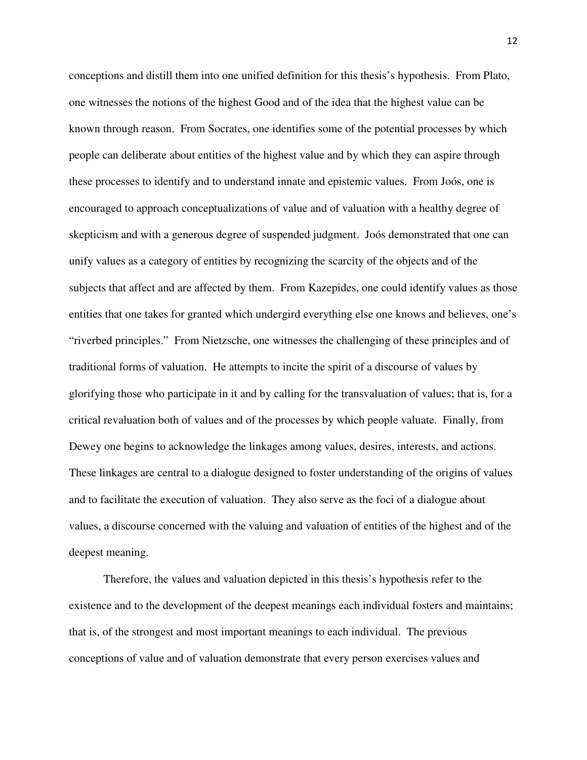conceptions and distill them into one unified definition for this thesis's hypothesis. From Plato, one witnesses the notions of the highest Good and of the idea that the highest value can be known through reason. From Socrates, one identifies some of the potential processes by which people can deliberate about entities of the highest value and by which they can aspire through these processes to identify and to understand innate and epistemic values. From Joós, one is encouraged to approach conceptualizations of value and of valuation with a healthy degree of skepticism and with a generous degree of suspended judgment. Joós demonstrated that one can unify values as a category of entities by recognizing the scarcity of the objects and of the subjects that affect and are affected by them. From Kazepides, one could identify values as those entities that one takes for granted which undergird everything else one knows and believes, one's "riverbed principles." From Nietzsche, one witnesses the challenging of these principles and of traditional forms of valuation. He attempts to incite the spirit of a discourse of values by glorifying those who participate in it and by calling for the transvaluation of values; that is, for a critical revaluation both of values and of the processes by which people valuate. Finally, from Dewey one begins to acknowledge the linkages among values, desires, interests, and actions. These linkages are central to a dialogue designed to foster understanding of the origins of values and to facilitate the execution of valuation. They also serve as the foci of a dialogue about values, a discourse concerned with the valuing and valuation of entities of the highest and of the deepest meaning.

Therefore, the values and valuation depicted in this thesis's hypothesis refer to the existence and to the development of the deepest meanings each individual fosters and maintains; that is, of the strongest and most important meanings to each individual. The previous conceptions of value and of valuation demonstrate that every person exercises values and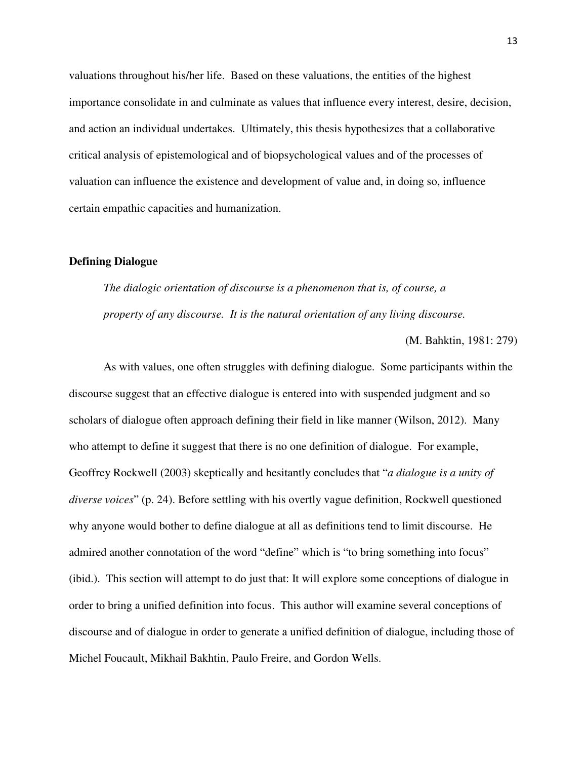valuations throughout his/her life. Based on these valuations, the entities of the highest importance consolidate in and culminate as values that influence every interest, desire, decision, and action an individual undertakes. Ultimately, this thesis hypothesizes that a collaborative critical analysis of epistemological and of biopsychological values and of the processes of valuation can influence the existence and development of value and, in doing so, influence certain empathic capacities and humanization.

#### **Defining Dialogue**

*The dialogic orientation of discourse is a phenomenon that is, of course, a property of any discourse. It is the natural orientation of any living discourse.* 

(M. Bahktin, 1981: 279)

 As with values, one often struggles with defining dialogue. Some participants within the discourse suggest that an effective dialogue is entered into with suspended judgment and so scholars of dialogue often approach defining their field in like manner (Wilson, 2012). Many who attempt to define it suggest that there is no one definition of dialogue. For example, Geoffrey Rockwell (2003) skeptically and hesitantly concludes that "*a dialogue is a unity of diverse voices*" (p. 24). Before settling with his overtly vague definition, Rockwell questioned why anyone would bother to define dialogue at all as definitions tend to limit discourse. He admired another connotation of the word "define" which is "to bring something into focus" (ibid.). This section will attempt to do just that: It will explore some conceptions of dialogue in order to bring a unified definition into focus. This author will examine several conceptions of discourse and of dialogue in order to generate a unified definition of dialogue, including those of Michel Foucault, Mikhail Bakhtin, Paulo Freire, and Gordon Wells.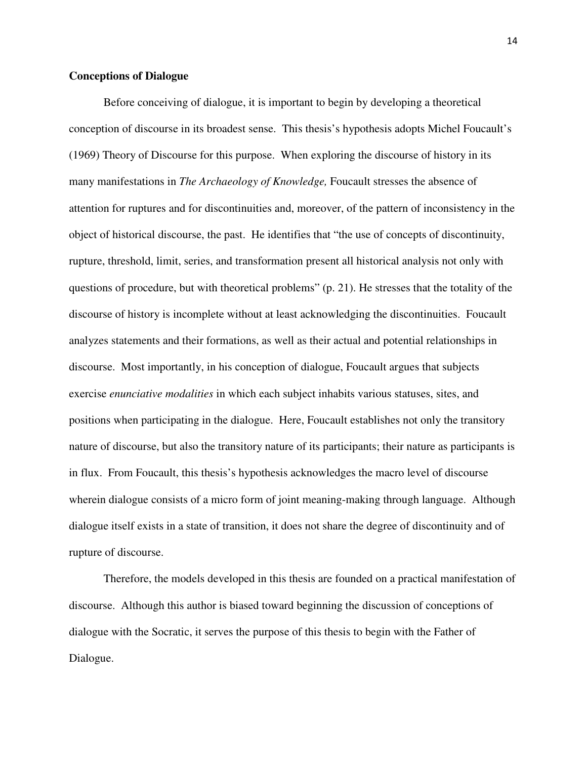#### **Conceptions of Dialogue**

Before conceiving of dialogue, it is important to begin by developing a theoretical conception of discourse in its broadest sense. This thesis's hypothesis adopts Michel Foucault's (1969) Theory of Discourse for this purpose. When exploring the discourse of history in its many manifestations in *The Archaeology of Knowledge,* Foucault stresses the absence of attention for ruptures and for discontinuities and, moreover, of the pattern of inconsistency in the object of historical discourse, the past. He identifies that "the use of concepts of discontinuity, rupture, threshold, limit, series, and transformation present all historical analysis not only with questions of procedure, but with theoretical problems" (p. 21). He stresses that the totality of the discourse of history is incomplete without at least acknowledging the discontinuities. Foucault analyzes statements and their formations, as well as their actual and potential relationships in discourse. Most importantly, in his conception of dialogue, Foucault argues that subjects exercise *enunciative modalities* in which each subject inhabits various statuses, sites, and positions when participating in the dialogue. Here, Foucault establishes not only the transitory nature of discourse, but also the transitory nature of its participants; their nature as participants is in flux. From Foucault, this thesis's hypothesis acknowledges the macro level of discourse wherein dialogue consists of a micro form of joint meaning-making through language. Although dialogue itself exists in a state of transition, it does not share the degree of discontinuity and of rupture of discourse.

 Therefore, the models developed in this thesis are founded on a practical manifestation of discourse. Although this author is biased toward beginning the discussion of conceptions of dialogue with the Socratic, it serves the purpose of this thesis to begin with the Father of Dialogue.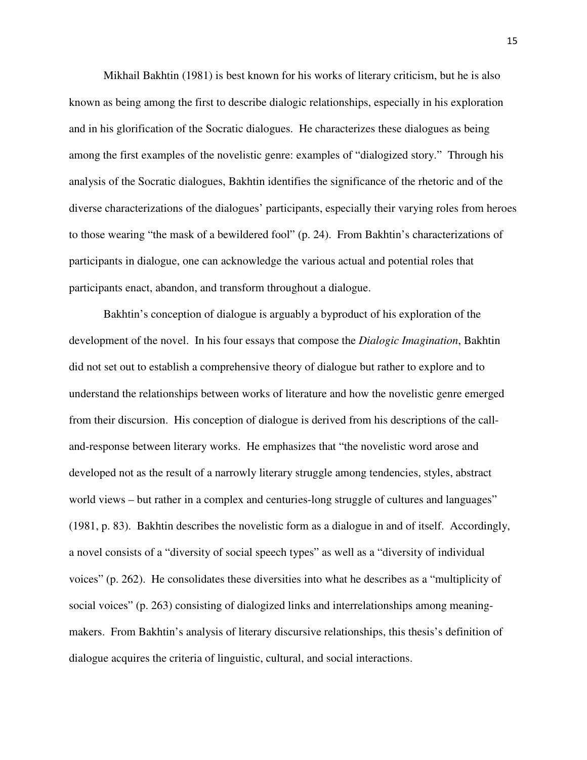Mikhail Bakhtin (1981) is best known for his works of literary criticism, but he is also known as being among the first to describe dialogic relationships, especially in his exploration and in his glorification of the Socratic dialogues. He characterizes these dialogues as being among the first examples of the novelistic genre: examples of "dialogized story." Through his analysis of the Socratic dialogues, Bakhtin identifies the significance of the rhetoric and of the diverse characterizations of the dialogues' participants, especially their varying roles from heroes to those wearing "the mask of a bewildered fool" (p. 24). From Bakhtin's characterizations of participants in dialogue, one can acknowledge the various actual and potential roles that participants enact, abandon, and transform throughout a dialogue.

Bakhtin's conception of dialogue is arguably a byproduct of his exploration of the development of the novel. In his four essays that compose the *Dialogic Imagination*, Bakhtin did not set out to establish a comprehensive theory of dialogue but rather to explore and to understand the relationships between works of literature and how the novelistic genre emerged from their discursion. His conception of dialogue is derived from his descriptions of the calland-response between literary works. He emphasizes that "the novelistic word arose and developed not as the result of a narrowly literary struggle among tendencies, styles, abstract world views – but rather in a complex and centuries-long struggle of cultures and languages" (1981, p. 83). Bakhtin describes the novelistic form as a dialogue in and of itself. Accordingly, a novel consists of a "diversity of social speech types" as well as a "diversity of individual voices" (p. 262). He consolidates these diversities into what he describes as a "multiplicity of social voices" (p. 263) consisting of dialogized links and interrelationships among meaningmakers. From Bakhtin's analysis of literary discursive relationships, this thesis's definition of dialogue acquires the criteria of linguistic, cultural, and social interactions.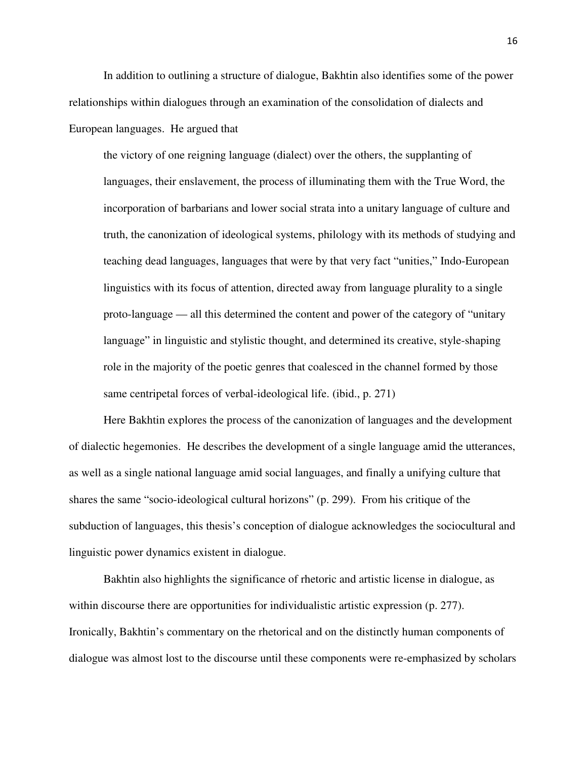In addition to outlining a structure of dialogue, Bakhtin also identifies some of the power relationships within dialogues through an examination of the consolidation of dialects and European languages. He argued that

the victory of one reigning language (dialect) over the others, the supplanting of languages, their enslavement, the process of illuminating them with the True Word, the incorporation of barbarians and lower social strata into a unitary language of culture and truth, the canonization of ideological systems, philology with its methods of studying and teaching dead languages, languages that were by that very fact "unities," Indo-European linguistics with its focus of attention, directed away from language plurality to a single proto-language — all this determined the content and power of the category of "unitary language" in linguistic and stylistic thought, and determined its creative, style-shaping role in the majority of the poetic genres that coalesced in the channel formed by those same centripetal forces of verbal-ideological life. (ibid., p. 271)

Here Bakhtin explores the process of the canonization of languages and the development of dialectic hegemonies. He describes the development of a single language amid the utterances, as well as a single national language amid social languages, and finally a unifying culture that shares the same "socio-ideological cultural horizons" (p. 299). From his critique of the subduction of languages, this thesis's conception of dialogue acknowledges the sociocultural and linguistic power dynamics existent in dialogue.

 Bakhtin also highlights the significance of rhetoric and artistic license in dialogue, as within discourse there are opportunities for individualistic artistic expression (p. 277). Ironically, Bakhtin's commentary on the rhetorical and on the distinctly human components of dialogue was almost lost to the discourse until these components were re-emphasized by scholars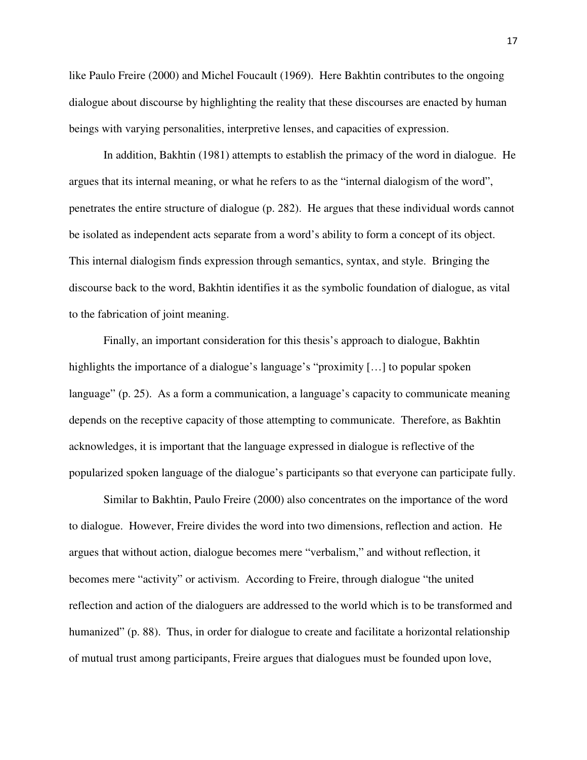like Paulo Freire (2000) and Michel Foucault (1969). Here Bakhtin contributes to the ongoing dialogue about discourse by highlighting the reality that these discourses are enacted by human beings with varying personalities, interpretive lenses, and capacities of expression.

 In addition, Bakhtin (1981) attempts to establish the primacy of the word in dialogue. He argues that its internal meaning, or what he refers to as the "internal dialogism of the word", penetrates the entire structure of dialogue (p. 282). He argues that these individual words cannot be isolated as independent acts separate from a word's ability to form a concept of its object. This internal dialogism finds expression through semantics, syntax, and style. Bringing the discourse back to the word, Bakhtin identifies it as the symbolic foundation of dialogue, as vital to the fabrication of joint meaning.

 Finally, an important consideration for this thesis's approach to dialogue, Bakhtin highlights the importance of a dialogue's language's "proximity [...] to popular spoken language" (p. 25). As a form a communication, a language's capacity to communicate meaning depends on the receptive capacity of those attempting to communicate. Therefore, as Bakhtin acknowledges, it is important that the language expressed in dialogue is reflective of the popularized spoken language of the dialogue's participants so that everyone can participate fully.

 Similar to Bakhtin, Paulo Freire (2000) also concentrates on the importance of the word to dialogue. However, Freire divides the word into two dimensions, reflection and action. He argues that without action, dialogue becomes mere "verbalism," and without reflection, it becomes mere "activity" or activism. According to Freire, through dialogue "the united reflection and action of the dialoguers are addressed to the world which is to be transformed and humanized" (p. 88). Thus, in order for dialogue to create and facilitate a horizontal relationship of mutual trust among participants, Freire argues that dialogues must be founded upon love,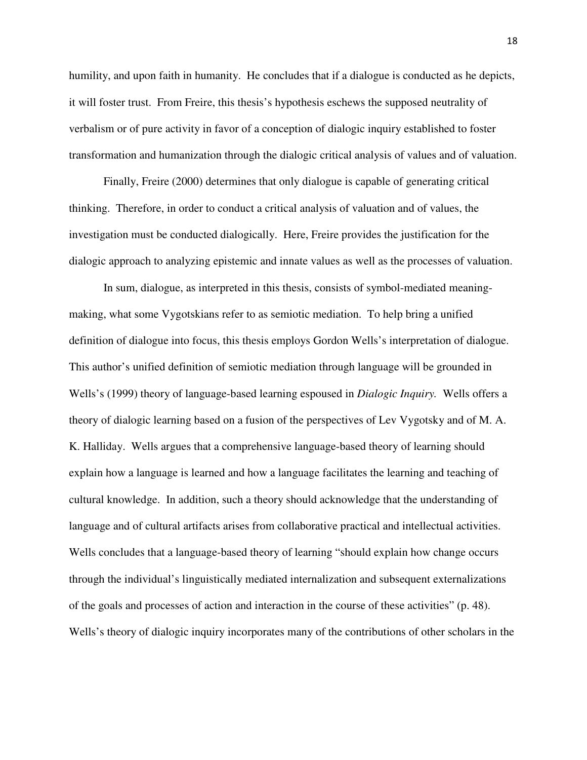humility, and upon faith in humanity. He concludes that if a dialogue is conducted as he depicts, it will foster trust. From Freire, this thesis's hypothesis eschews the supposed neutrality of verbalism or of pure activity in favor of a conception of dialogic inquiry established to foster transformation and humanization through the dialogic critical analysis of values and of valuation.

Finally, Freire (2000) determines that only dialogue is capable of generating critical thinking. Therefore, in order to conduct a critical analysis of valuation and of values, the investigation must be conducted dialogically. Here, Freire provides the justification for the dialogic approach to analyzing epistemic and innate values as well as the processes of valuation.

In sum, dialogue, as interpreted in this thesis, consists of symbol-mediated meaningmaking, what some Vygotskians refer to as semiotic mediation. To help bring a unified definition of dialogue into focus, this thesis employs Gordon Wells's interpretation of dialogue. This author's unified definition of semiotic mediation through language will be grounded in Wells's (1999) theory of language-based learning espoused in *Dialogic Inquiry.* Wells offers a theory of dialogic learning based on a fusion of the perspectives of Lev Vygotsky and of M. A. K. Halliday. Wells argues that a comprehensive language-based theory of learning should explain how a language is learned and how a language facilitates the learning and teaching of cultural knowledge. In addition, such a theory should acknowledge that the understanding of language and of cultural artifacts arises from collaborative practical and intellectual activities. Wells concludes that a language-based theory of learning "should explain how change occurs through the individual's linguistically mediated internalization and subsequent externalizations of the goals and processes of action and interaction in the course of these activities" (p. 48). Wells's theory of dialogic inquiry incorporates many of the contributions of other scholars in the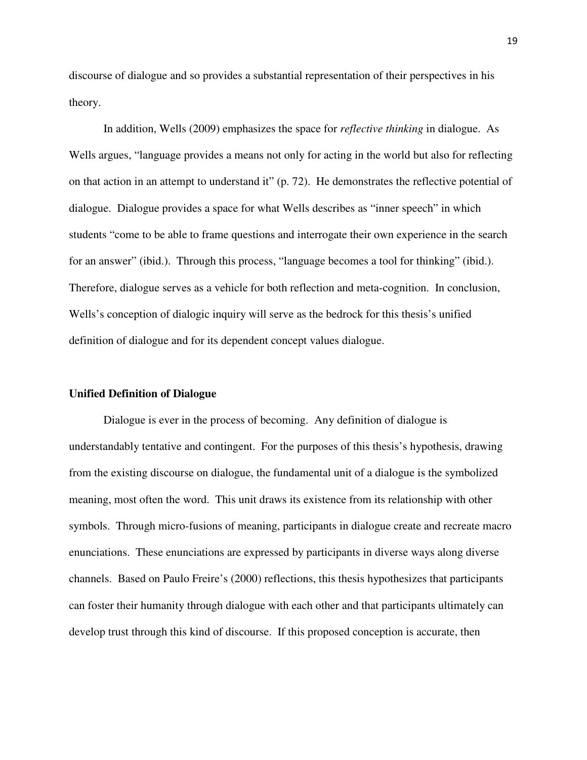discourse of dialogue and so provides a substantial representation of their perspectives in his theory.

In addition, Wells (2009) emphasizes the space for *reflective thinking* in dialogue. As Wells argues, "language provides a means not only for acting in the world but also for reflecting on that action in an attempt to understand it" (p. 72). He demonstrates the reflective potential of dialogue. Dialogue provides a space for what Wells describes as "inner speech" in which students "come to be able to frame questions and interrogate their own experience in the search for an answer" (ibid.). Through this process, "language becomes a tool for thinking" (ibid.). Therefore, dialogue serves as a vehicle for both reflection and meta-cognition. In conclusion, Wells's conception of dialogic inquiry will serve as the bedrock for this thesis's unified definition of dialogue and for its dependent concept values dialogue.

#### **Unified Definition of Dialogue**

Dialogue is ever in the process of becoming. Any definition of dialogue is understandably tentative and contingent. For the purposes of this thesis's hypothesis, drawing from the existing discourse on dialogue, the fundamental unit of a dialogue is the symbolized meaning, most often the word. This unit draws its existence from its relationship with other symbols. Through micro-fusions of meaning, participants in dialogue create and recreate macro enunciations. These enunciations are expressed by participants in diverse ways along diverse channels. Based on Paulo Freire's (2000) reflections, this thesis hypothesizes that participants can foster their humanity through dialogue with each other and that participants ultimately can develop trust through this kind of discourse. If this proposed conception is accurate, then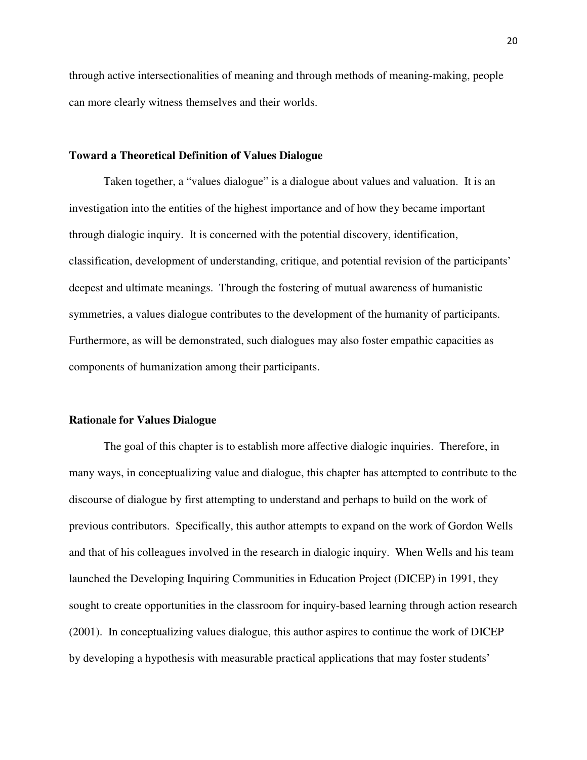through active intersectionalities of meaning and through methods of meaning-making, people can more clearly witness themselves and their worlds.

#### **Toward a Theoretical Definition of Values Dialogue**

Taken together, a "values dialogue" is a dialogue about values and valuation. It is an investigation into the entities of the highest importance and of how they became important through dialogic inquiry. It is concerned with the potential discovery, identification, classification, development of understanding, critique, and potential revision of the participants' deepest and ultimate meanings. Through the fostering of mutual awareness of humanistic symmetries, a values dialogue contributes to the development of the humanity of participants. Furthermore, as will be demonstrated, such dialogues may also foster empathic capacities as components of humanization among their participants.

#### **Rationale for Values Dialogue**

The goal of this chapter is to establish more affective dialogic inquiries. Therefore, in many ways, in conceptualizing value and dialogue, this chapter has attempted to contribute to the discourse of dialogue by first attempting to understand and perhaps to build on the work of previous contributors. Specifically, this author attempts to expand on the work of Gordon Wells and that of his colleagues involved in the research in dialogic inquiry. When Wells and his team launched the Developing Inquiring Communities in Education Project (DICEP) in 1991, they sought to create opportunities in the classroom for inquiry-based learning through action research (2001). In conceptualizing values dialogue, this author aspires to continue the work of DICEP by developing a hypothesis with measurable practical applications that may foster students'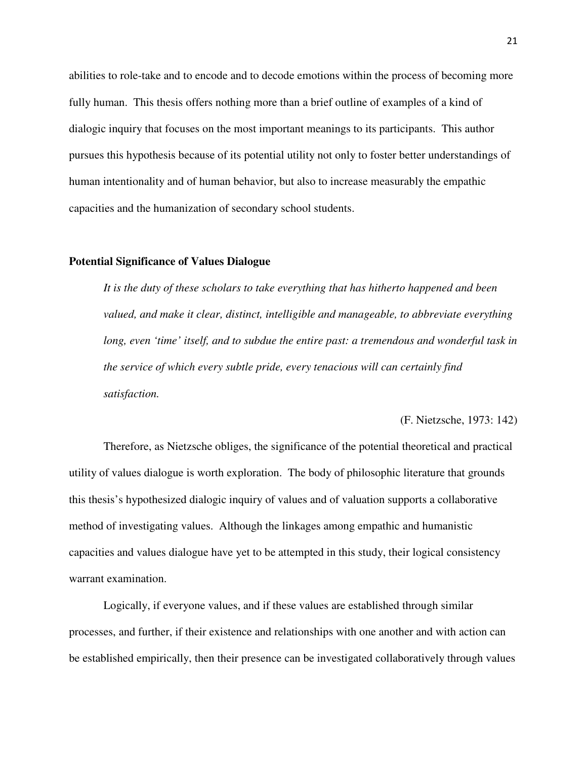abilities to role-take and to encode and to decode emotions within the process of becoming more fully human. This thesis offers nothing more than a brief outline of examples of a kind of dialogic inquiry that focuses on the most important meanings to its participants. This author pursues this hypothesis because of its potential utility not only to foster better understandings of human intentionality and of human behavior, but also to increase measurably the empathic capacities and the humanization of secondary school students.

#### **Potential Significance of Values Dialogue**

*It is the duty of these scholars to take everything that has hitherto happened and been valued, and make it clear, distinct, intelligible and manageable, to abbreviate everything long, even 'time' itself, and to subdue the entire past: a tremendous and wonderful task in the service of which every subtle pride, every tenacious will can certainly find satisfaction.* 

#### (F. Nietzsche, 1973: 142)

Therefore, as Nietzsche obliges, the significance of the potential theoretical and practical utility of values dialogue is worth exploration. The body of philosophic literature that grounds this thesis's hypothesized dialogic inquiry of values and of valuation supports a collaborative method of investigating values. Although the linkages among empathic and humanistic capacities and values dialogue have yet to be attempted in this study, their logical consistency warrant examination.

Logically, if everyone values, and if these values are established through similar processes, and further, if their existence and relationships with one another and with action can be established empirically, then their presence can be investigated collaboratively through values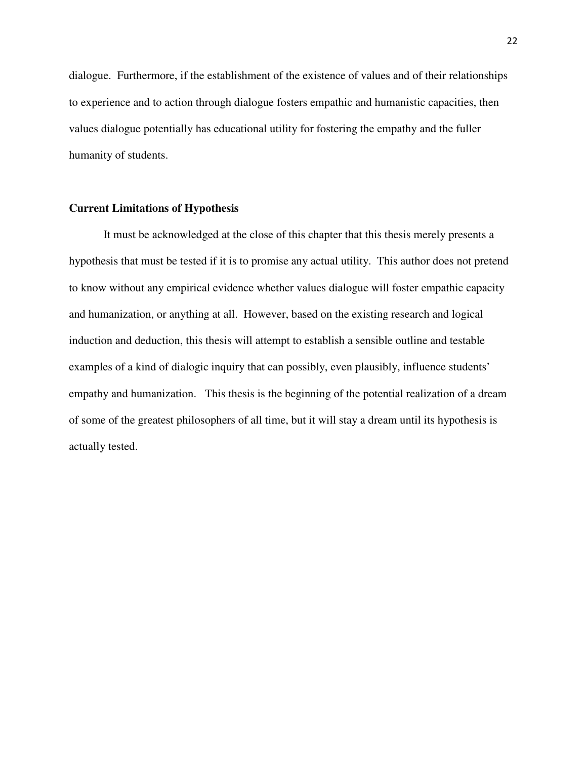dialogue. Furthermore, if the establishment of the existence of values and of their relationships to experience and to action through dialogue fosters empathic and humanistic capacities, then values dialogue potentially has educational utility for fostering the empathy and the fuller humanity of students.

#### **Current Limitations of Hypothesis**

 It must be acknowledged at the close of this chapter that this thesis merely presents a hypothesis that must be tested if it is to promise any actual utility. This author does not pretend to know without any empirical evidence whether values dialogue will foster empathic capacity and humanization, or anything at all. However, based on the existing research and logical induction and deduction, this thesis will attempt to establish a sensible outline and testable examples of a kind of dialogic inquiry that can possibly, even plausibly, influence students' empathy and humanization. This thesis is the beginning of the potential realization of a dream of some of the greatest philosophers of all time, but it will stay a dream until its hypothesis is actually tested.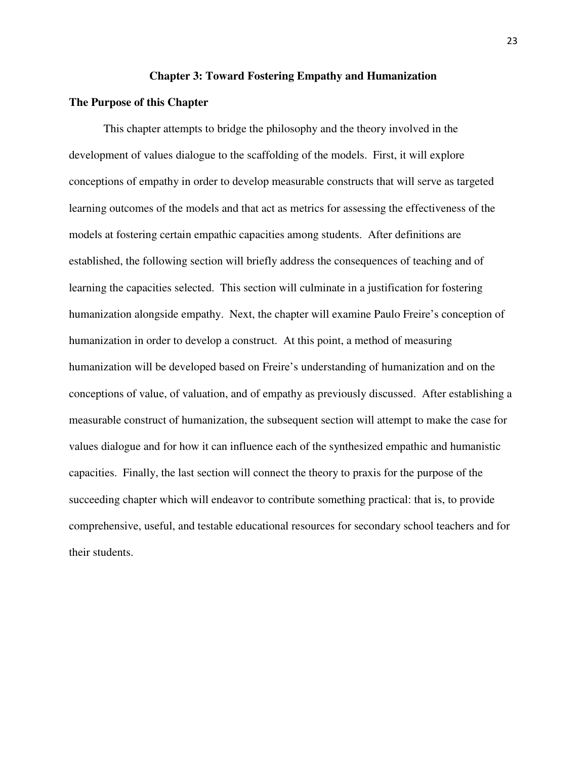#### **Chapter 3: Toward Fostering Empathy and Humanization**

#### **The Purpose of this Chapter**

This chapter attempts to bridge the philosophy and the theory involved in the development of values dialogue to the scaffolding of the models. First, it will explore conceptions of empathy in order to develop measurable constructs that will serve as targeted learning outcomes of the models and that act as metrics for assessing the effectiveness of the models at fostering certain empathic capacities among students. After definitions are established, the following section will briefly address the consequences of teaching and of learning the capacities selected. This section will culminate in a justification for fostering humanization alongside empathy. Next, the chapter will examine Paulo Freire's conception of humanization in order to develop a construct. At this point, a method of measuring humanization will be developed based on Freire's understanding of humanization and on the conceptions of value, of valuation, and of empathy as previously discussed. After establishing a measurable construct of humanization, the subsequent section will attempt to make the case for values dialogue and for how it can influence each of the synthesized empathic and humanistic capacities. Finally, the last section will connect the theory to praxis for the purpose of the succeeding chapter which will endeavor to contribute something practical: that is, to provide comprehensive, useful, and testable educational resources for secondary school teachers and for their students.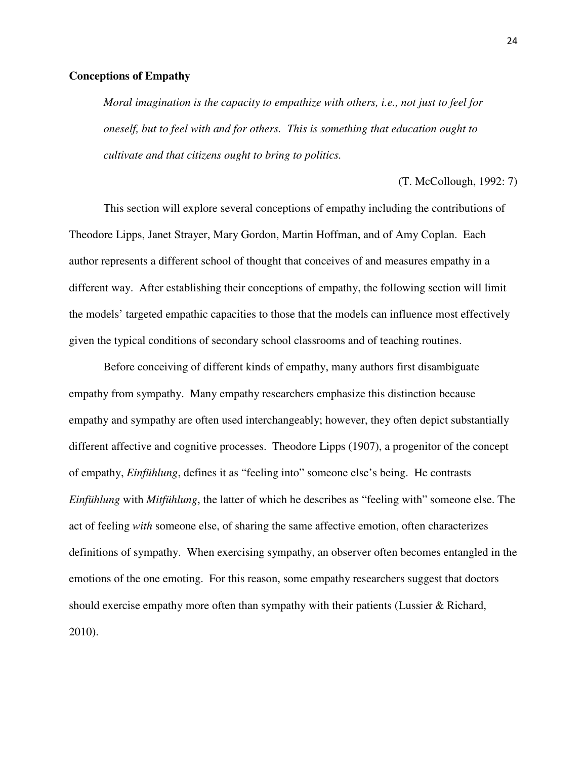#### **Conceptions of Empathy**

*Moral imagination is the capacity to empathize with others, i.e., not just to feel for oneself, but to feel with and for others. This is something that education ought to cultivate and that citizens ought to bring to politics.* 

(T. McCollough, 1992: 7)

This section will explore several conceptions of empathy including the contributions of Theodore Lipps, Janet Strayer, Mary Gordon, Martin Hoffman, and of Amy Coplan. Each author represents a different school of thought that conceives of and measures empathy in a different way. After establishing their conceptions of empathy, the following section will limit the models' targeted empathic capacities to those that the models can influence most effectively given the typical conditions of secondary school classrooms and of teaching routines.

Before conceiving of different kinds of empathy, many authors first disambiguate empathy from sympathy. Many empathy researchers emphasize this distinction because empathy and sympathy are often used interchangeably; however, they often depict substantially different affective and cognitive processes. Theodore Lipps (1907), a progenitor of the concept of empathy, *Einfühlung*, defines it as "feeling into" someone else's being. He contrasts *Einfühlung* with *Mitfühlung*, the latter of which he describes as "feeling with" someone else. The act of feeling *with* someone else, of sharing the same affective emotion, often characterizes definitions of sympathy. When exercising sympathy, an observer often becomes entangled in the emotions of the one emoting. For this reason, some empathy researchers suggest that doctors should exercise empathy more often than sympathy with their patients (Lussier & Richard, 2010).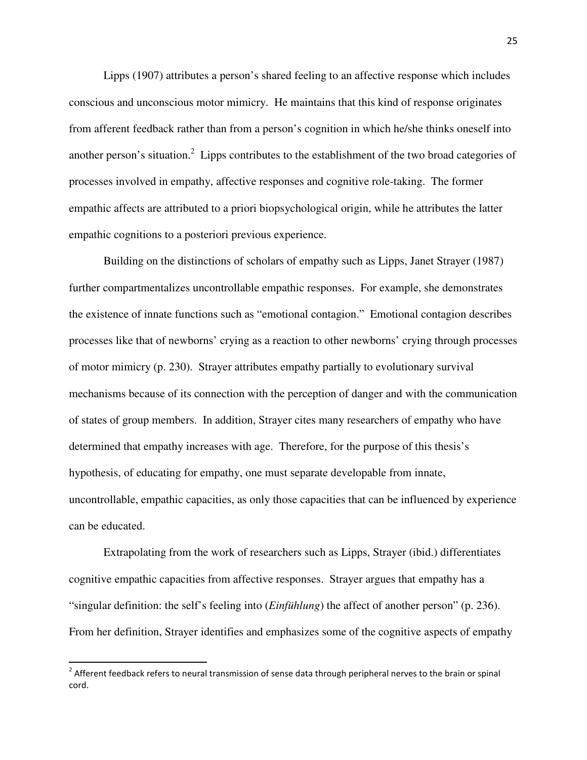Lipps (1907) attributes a person's shared feeling to an affective response which includes conscious and unconscious motor mimicry. He maintains that this kind of response originates from afferent feedback rather than from a person's cognition in which he/she thinks oneself into another person's situation.<sup>2</sup> Lipps contributes to the establishment of the two broad categories of processes involved in empathy, affective responses and cognitive role-taking. The former empathic affects are attributed to a priori biopsychological origin, while he attributes the latter empathic cognitions to a posteriori previous experience.

Building on the distinctions of scholars of empathy such as Lipps, Janet Strayer (1987) further compartmentalizes uncontrollable empathic responses. For example, she demonstrates the existence of innate functions such as "emotional contagion." Emotional contagion describes processes like that of newborns' crying as a reaction to other newborns' crying through processes of motor mimicry (p. 230). Strayer attributes empathy partially to evolutionary survival mechanisms because of its connection with the perception of danger and with the communication of states of group members. In addition, Strayer cites many researchers of empathy who have determined that empathy increases with age. Therefore, for the purpose of this thesis's hypothesis, of educating for empathy, one must separate developable from innate, uncontrollable, empathic capacities, as only those capacities that can be influenced by experience can be educated.

Extrapolating from the work of researchers such as Lipps, Strayer (ibid.) differentiates cognitive empathic capacities from affective responses. Strayer argues that empathy has a "singular definition: the self's feeling into (*Einfühlung*) the affect of another person" (p. 236). From her definition, Strayer identifies and emphasizes some of the cognitive aspects of empathy

<u>.</u>

 $2$  Afferent feedback refers to neural transmission of sense data through peripheral nerves to the brain or spinal cord.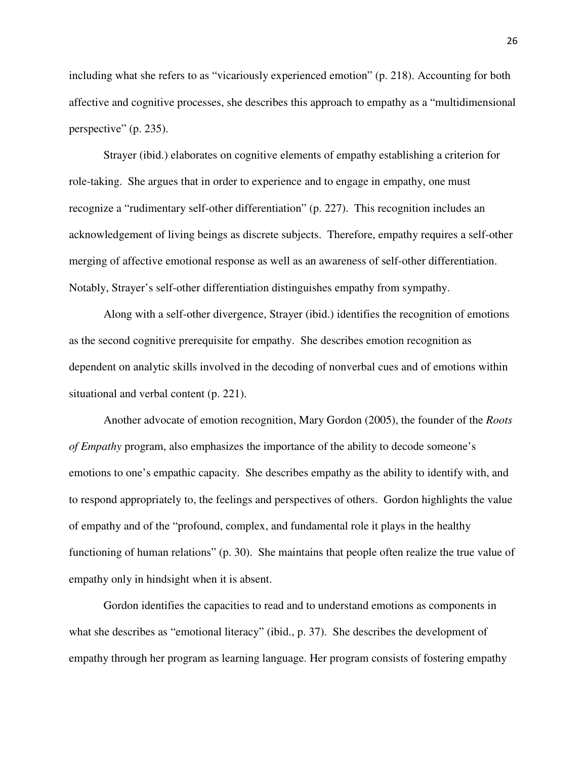including what she refers to as "vicariously experienced emotion" (p. 218). Accounting for both affective and cognitive processes, she describes this approach to empathy as a "multidimensional perspective" (p. 235).

Strayer (ibid.) elaborates on cognitive elements of empathy establishing a criterion for role-taking. She argues that in order to experience and to engage in empathy, one must recognize a "rudimentary self-other differentiation" (p. 227). This recognition includes an acknowledgement of living beings as discrete subjects. Therefore, empathy requires a self-other merging of affective emotional response as well as an awareness of self-other differentiation. Notably, Strayer's self-other differentiation distinguishes empathy from sympathy.

Along with a self-other divergence, Strayer (ibid.) identifies the recognition of emotions as the second cognitive prerequisite for empathy. She describes emotion recognition as dependent on analytic skills involved in the decoding of nonverbal cues and of emotions within situational and verbal content (p. 221).

Another advocate of emotion recognition, Mary Gordon (2005), the founder of the *Roots of Empathy* program, also emphasizes the importance of the ability to decode someone's emotions to one's empathic capacity. She describes empathy as the ability to identify with, and to respond appropriately to, the feelings and perspectives of others. Gordon highlights the value of empathy and of the "profound, complex, and fundamental role it plays in the healthy functioning of human relations" (p. 30). She maintains that people often realize the true value of empathy only in hindsight when it is absent.

 Gordon identifies the capacities to read and to understand emotions as components in what she describes as "emotional literacy" (ibid., p. 37). She describes the development of empathy through her program as learning language. Her program consists of fostering empathy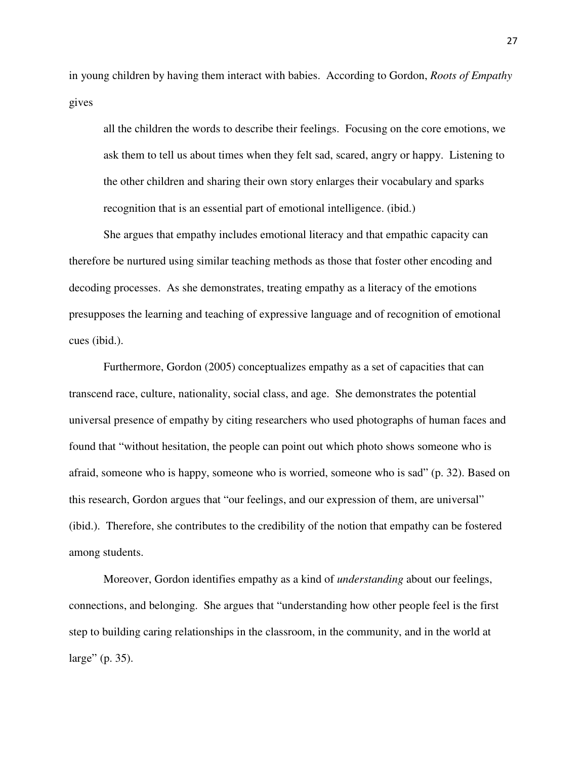in young children by having them interact with babies. According to Gordon, *Roots of Empathy*  gives

all the children the words to describe their feelings. Focusing on the core emotions, we ask them to tell us about times when they felt sad, scared, angry or happy. Listening to the other children and sharing their own story enlarges their vocabulary and sparks recognition that is an essential part of emotional intelligence. (ibid.)

She argues that empathy includes emotional literacy and that empathic capacity can therefore be nurtured using similar teaching methods as those that foster other encoding and decoding processes. As she demonstrates, treating empathy as a literacy of the emotions presupposes the learning and teaching of expressive language and of recognition of emotional cues (ibid.).

Furthermore, Gordon (2005) conceptualizes empathy as a set of capacities that can transcend race, culture, nationality, social class, and age. She demonstrates the potential universal presence of empathy by citing researchers who used photographs of human faces and found that "without hesitation, the people can point out which photo shows someone who is afraid, someone who is happy, someone who is worried, someone who is sad" (p. 32). Based on this research, Gordon argues that "our feelings, and our expression of them, are universal" (ibid.). Therefore, she contributes to the credibility of the notion that empathy can be fostered among students.

Moreover, Gordon identifies empathy as a kind of *understanding* about our feelings, connections, and belonging. She argues that "understanding how other people feel is the first step to building caring relationships in the classroom, in the community, and in the world at large" (p. 35).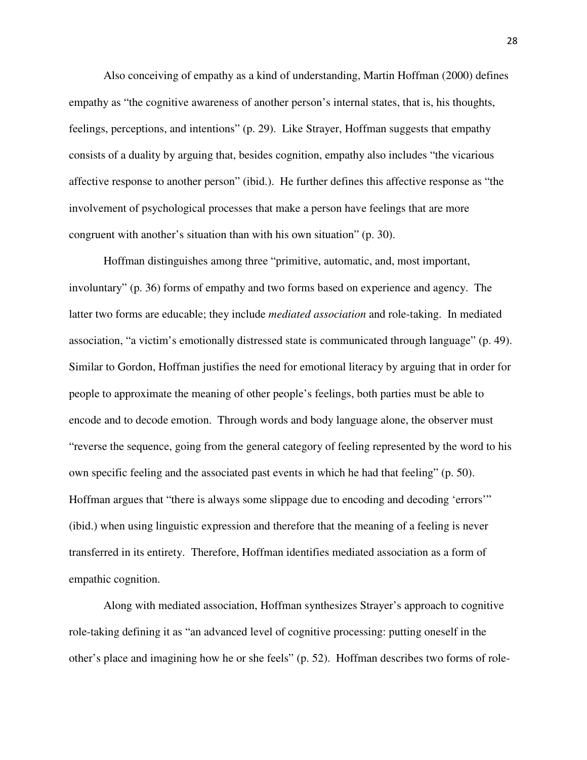Also conceiving of empathy as a kind of understanding, Martin Hoffman (2000) defines empathy as "the cognitive awareness of another person's internal states, that is, his thoughts, feelings, perceptions, and intentions" (p. 29). Like Strayer, Hoffman suggests that empathy consists of a duality by arguing that, besides cognition, empathy also includes "the vicarious affective response to another person" (ibid.). He further defines this affective response as "the involvement of psychological processes that make a person have feelings that are more congruent with another's situation than with his own situation" (p. 30).

Hoffman distinguishes among three "primitive, automatic, and, most important, involuntary" (p. 36) forms of empathy and two forms based on experience and agency. The latter two forms are educable; they include *mediated association* and role-taking. In mediated association, "a victim's emotionally distressed state is communicated through language" (p. 49). Similar to Gordon, Hoffman justifies the need for emotional literacy by arguing that in order for people to approximate the meaning of other people's feelings, both parties must be able to encode and to decode emotion. Through words and body language alone, the observer must "reverse the sequence, going from the general category of feeling represented by the word to his own specific feeling and the associated past events in which he had that feeling" (p. 50). Hoffman argues that "there is always some slippage due to encoding and decoding 'errors'" (ibid.) when using linguistic expression and therefore that the meaning of a feeling is never transferred in its entirety. Therefore, Hoffman identifies mediated association as a form of empathic cognition.

Along with mediated association, Hoffman synthesizes Strayer's approach to cognitive role-taking defining it as "an advanced level of cognitive processing: putting oneself in the other's place and imagining how he or she feels" (p. 52). Hoffman describes two forms of role-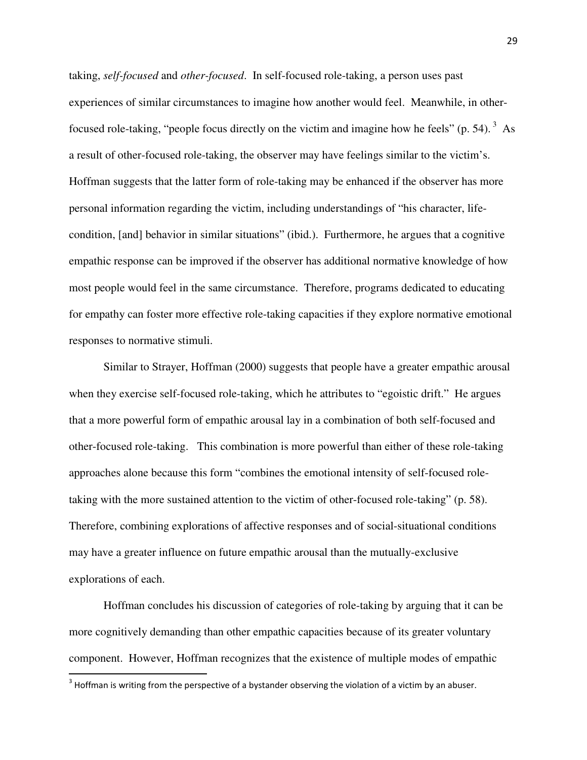taking, *self-focused* and *other-focused*. In self-focused role-taking, a person uses past experiences of similar circumstances to imagine how another would feel. Meanwhile, in otherfocused role-taking, "people focus directly on the victim and imagine how he feels" (p. 54).  $3\text{ As}$ a result of other-focused role-taking, the observer may have feelings similar to the victim's. Hoffman suggests that the latter form of role-taking may be enhanced if the observer has more personal information regarding the victim, including understandings of "his character, lifecondition, [and] behavior in similar situations" (ibid.). Furthermore, he argues that a cognitive empathic response can be improved if the observer has additional normative knowledge of how most people would feel in the same circumstance. Therefore, programs dedicated to educating for empathy can foster more effective role-taking capacities if they explore normative emotional responses to normative stimuli.

Similar to Strayer, Hoffman (2000) suggests that people have a greater empathic arousal when they exercise self-focused role-taking, which he attributes to "egoistic drift." He argues that a more powerful form of empathic arousal lay in a combination of both self-focused and other-focused role-taking. This combination is more powerful than either of these role-taking approaches alone because this form "combines the emotional intensity of self-focused roletaking with the more sustained attention to the victim of other-focused role-taking" (p. 58). Therefore, combining explorations of affective responses and of social-situational conditions may have a greater influence on future empathic arousal than the mutually-exclusive explorations of each.

Hoffman concludes his discussion of categories of role-taking by arguing that it can be more cognitively demanding than other empathic capacities because of its greater voluntary component. However, Hoffman recognizes that the existence of multiple modes of empathic

.<br>-

 $3$  Hoffman is writing from the perspective of a bystander observing the violation of a victim by an abuser.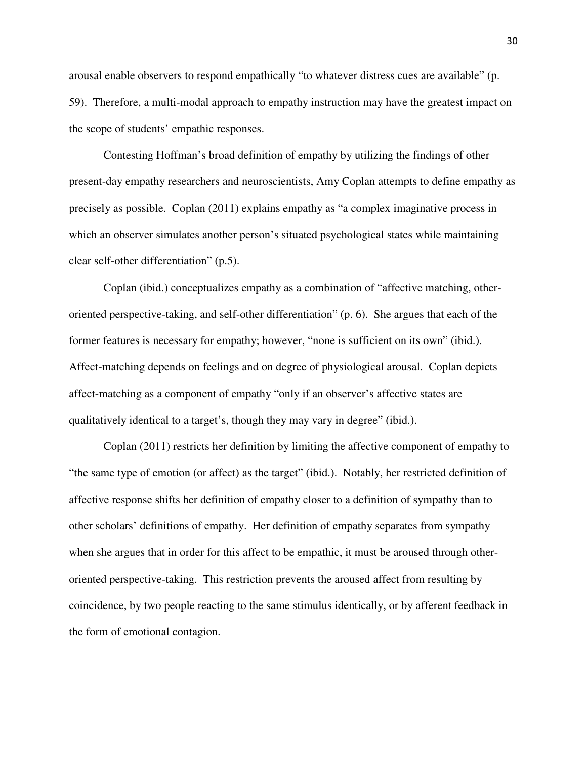arousal enable observers to respond empathically "to whatever distress cues are available" (p. 59). Therefore, a multi-modal approach to empathy instruction may have the greatest impact on the scope of students' empathic responses.

 Contesting Hoffman's broad definition of empathy by utilizing the findings of other present-day empathy researchers and neuroscientists, Amy Coplan attempts to define empathy as precisely as possible. Coplan (2011) explains empathy as "a complex imaginative process in which an observer simulates another person's situated psychological states while maintaining clear self-other differentiation" (p.5).

 Coplan (ibid.) conceptualizes empathy as a combination of "affective matching, otheroriented perspective-taking, and self-other differentiation" (p. 6). She argues that each of the former features is necessary for empathy; however, "none is sufficient on its own" (ibid.). Affect-matching depends on feelings and on degree of physiological arousal. Coplan depicts affect-matching as a component of empathy "only if an observer's affective states are qualitatively identical to a target's, though they may vary in degree" (ibid.).

Coplan (2011) restricts her definition by limiting the affective component of empathy to "the same type of emotion (or affect) as the target" (ibid.). Notably, her restricted definition of affective response shifts her definition of empathy closer to a definition of sympathy than to other scholars' definitions of empathy. Her definition of empathy separates from sympathy when she argues that in order for this affect to be empathic, it must be aroused through otheroriented perspective-taking. This restriction prevents the aroused affect from resulting by coincidence, by two people reacting to the same stimulus identically, or by afferent feedback in the form of emotional contagion.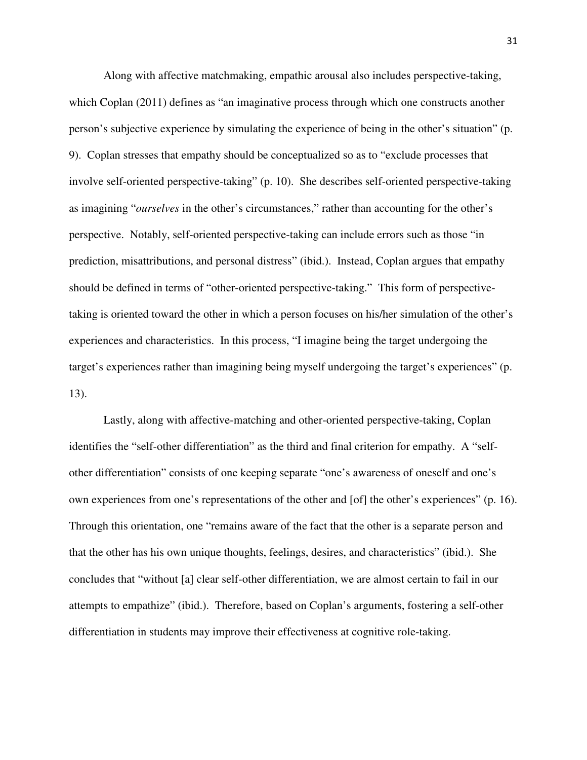Along with affective matchmaking, empathic arousal also includes perspective-taking, which Coplan (2011) defines as "an imaginative process through which one constructs another person's subjective experience by simulating the experience of being in the other's situation" (p. 9). Coplan stresses that empathy should be conceptualized so as to "exclude processes that involve self-oriented perspective-taking" (p. 10). She describes self-oriented perspective-taking as imagining "*ourselves* in the other's circumstances," rather than accounting for the other's perspective. Notably, self-oriented perspective-taking can include errors such as those "in prediction, misattributions, and personal distress" (ibid.). Instead, Coplan argues that empathy should be defined in terms of "other-oriented perspective-taking." This form of perspectivetaking is oriented toward the other in which a person focuses on his/her simulation of the other's experiences and characteristics. In this process, "I imagine being the target undergoing the target's experiences rather than imagining being myself undergoing the target's experiences" (p. 13).

Lastly, along with affective-matching and other-oriented perspective-taking, Coplan identifies the "self-other differentiation" as the third and final criterion for empathy. A "selfother differentiation" consists of one keeping separate "one's awareness of oneself and one's own experiences from one's representations of the other and [of] the other's experiences" (p. 16). Through this orientation, one "remains aware of the fact that the other is a separate person and that the other has his own unique thoughts, feelings, desires, and characteristics" (ibid.). She concludes that "without [a] clear self-other differentiation, we are almost certain to fail in our attempts to empathize" (ibid.). Therefore, based on Coplan's arguments, fostering a self-other differentiation in students may improve their effectiveness at cognitive role-taking.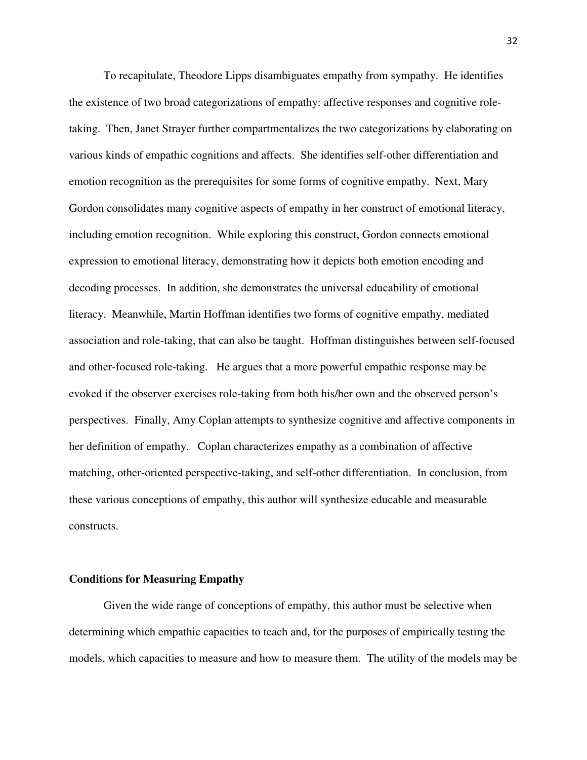To recapitulate, Theodore Lipps disambiguates empathy from sympathy. He identifies the existence of two broad categorizations of empathy: affective responses and cognitive roletaking. Then, Janet Strayer further compartmentalizes the two categorizations by elaborating on various kinds of empathic cognitions and affects. She identifies self-other differentiation and emotion recognition as the prerequisites for some forms of cognitive empathy. Next, Mary Gordon consolidates many cognitive aspects of empathy in her construct of emotional literacy, including emotion recognition. While exploring this construct, Gordon connects emotional expression to emotional literacy, demonstrating how it depicts both emotion encoding and decoding processes. In addition, she demonstrates the universal educability of emotional literacy. Meanwhile, Martin Hoffman identifies two forms of cognitive empathy, mediated association and role-taking, that can also be taught. Hoffman distinguishes between self-focused and other-focused role-taking. He argues that a more powerful empathic response may be evoked if the observer exercises role-taking from both his/her own and the observed person's perspectives. Finally, Amy Coplan attempts to synthesize cognitive and affective components in her definition of empathy. Coplan characterizes empathy as a combination of affective matching, other-oriented perspective-taking, and self-other differentiation. In conclusion, from these various conceptions of empathy, this author will synthesize educable and measurable constructs.

#### **Conditions for Measuring Empathy**

Given the wide range of conceptions of empathy, this author must be selective when determining which empathic capacities to teach and, for the purposes of empirically testing the models, which capacities to measure and how to measure them. The utility of the models may be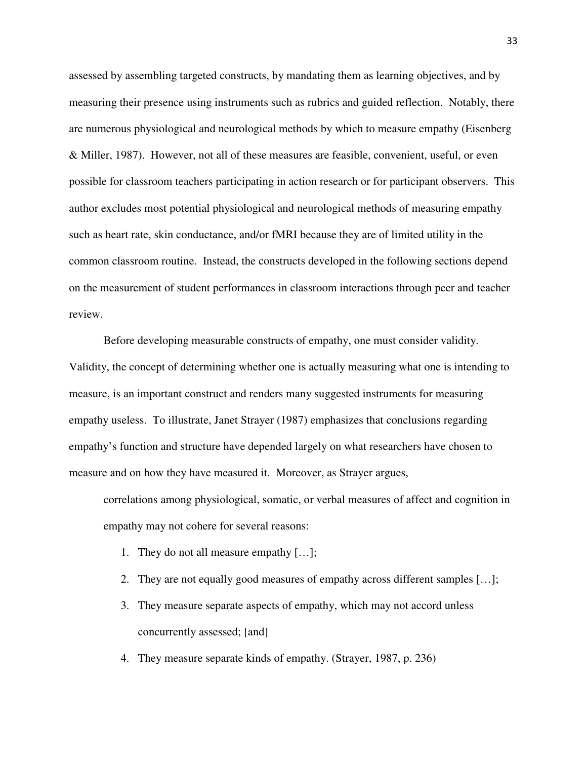assessed by assembling targeted constructs, by mandating them as learning objectives, and by measuring their presence using instruments such as rubrics and guided reflection. Notably, there are numerous physiological and neurological methods by which to measure empathy (Eisenberg & Miller, 1987). However, not all of these measures are feasible, convenient, useful, or even possible for classroom teachers participating in action research or for participant observers. This author excludes most potential physiological and neurological methods of measuring empathy such as heart rate, skin conductance, and/or fMRI because they are of limited utility in the common classroom routine. Instead, the constructs developed in the following sections depend on the measurement of student performances in classroom interactions through peer and teacher review.

Before developing measurable constructs of empathy, one must consider validity. Validity, the concept of determining whether one is actually measuring what one is intending to measure, is an important construct and renders many suggested instruments for measuring empathy useless. To illustrate, Janet Strayer (1987) emphasizes that conclusions regarding empathy's function and structure have depended largely on what researchers have chosen to measure and on how they have measured it. Moreover, as Strayer argues,

correlations among physiological, somatic, or verbal measures of affect and cognition in empathy may not cohere for several reasons:

- 1. They do not all measure empathy […];
- 2. They are not equally good measures of empathy across different samples […];
- 3. They measure separate aspects of empathy, which may not accord unless concurrently assessed; [and]
- 4. They measure separate kinds of empathy. (Strayer, 1987, p. 236)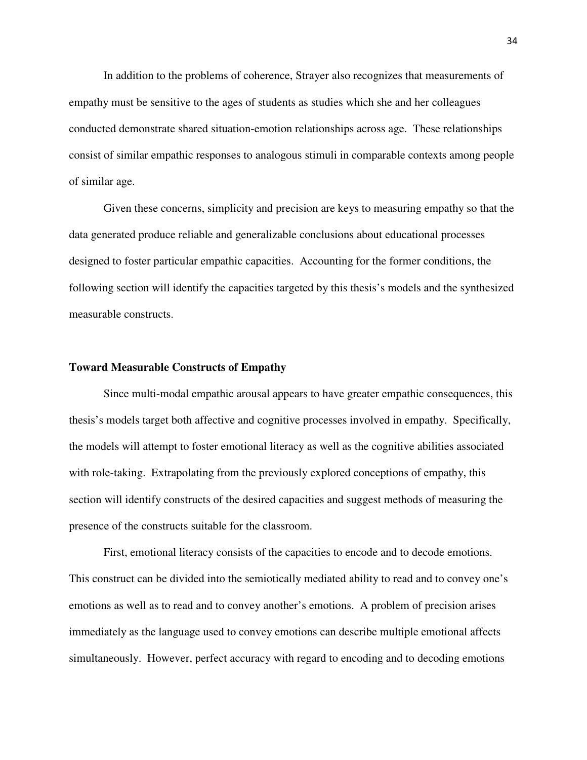In addition to the problems of coherence, Strayer also recognizes that measurements of empathy must be sensitive to the ages of students as studies which she and her colleagues conducted demonstrate shared situation-emotion relationships across age. These relationships consist of similar empathic responses to analogous stimuli in comparable contexts among people of similar age.

Given these concerns, simplicity and precision are keys to measuring empathy so that the data generated produce reliable and generalizable conclusions about educational processes designed to foster particular empathic capacities. Accounting for the former conditions, the following section will identify the capacities targeted by this thesis's models and the synthesized measurable constructs.

# **Toward Measurable Constructs of Empathy**

Since multi-modal empathic arousal appears to have greater empathic consequences, this thesis's models target both affective and cognitive processes involved in empathy. Specifically, the models will attempt to foster emotional literacy as well as the cognitive abilities associated with role-taking. Extrapolating from the previously explored conceptions of empathy, this section will identify constructs of the desired capacities and suggest methods of measuring the presence of the constructs suitable for the classroom.

First, emotional literacy consists of the capacities to encode and to decode emotions. This construct can be divided into the semiotically mediated ability to read and to convey one's emotions as well as to read and to convey another's emotions. A problem of precision arises immediately as the language used to convey emotions can describe multiple emotional affects simultaneously. However, perfect accuracy with regard to encoding and to decoding emotions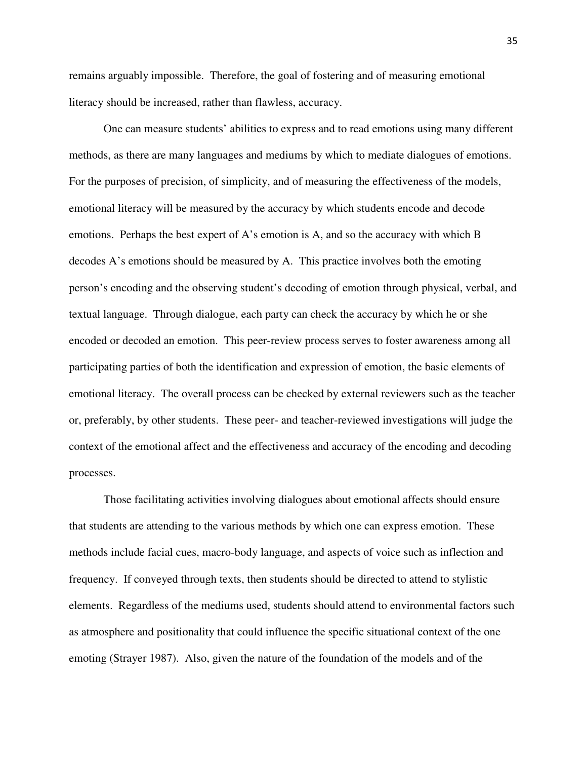remains arguably impossible. Therefore, the goal of fostering and of measuring emotional literacy should be increased, rather than flawless, accuracy.

 One can measure students' abilities to express and to read emotions using many different methods, as there are many languages and mediums by which to mediate dialogues of emotions. For the purposes of precision, of simplicity, and of measuring the effectiveness of the models, emotional literacy will be measured by the accuracy by which students encode and decode emotions. Perhaps the best expert of A's emotion is A, and so the accuracy with which B decodes A's emotions should be measured by A. This practice involves both the emoting person's encoding and the observing student's decoding of emotion through physical, verbal, and textual language. Through dialogue, each party can check the accuracy by which he or she encoded or decoded an emotion. This peer-review process serves to foster awareness among all participating parties of both the identification and expression of emotion, the basic elements of emotional literacy. The overall process can be checked by external reviewers such as the teacher or, preferably, by other students. These peer- and teacher-reviewed investigations will judge the context of the emotional affect and the effectiveness and accuracy of the encoding and decoding processes.

 Those facilitating activities involving dialogues about emotional affects should ensure that students are attending to the various methods by which one can express emotion. These methods include facial cues, macro-body language, and aspects of voice such as inflection and frequency. If conveyed through texts, then students should be directed to attend to stylistic elements. Regardless of the mediums used, students should attend to environmental factors such as atmosphere and positionality that could influence the specific situational context of the one emoting (Strayer 1987). Also, given the nature of the foundation of the models and of the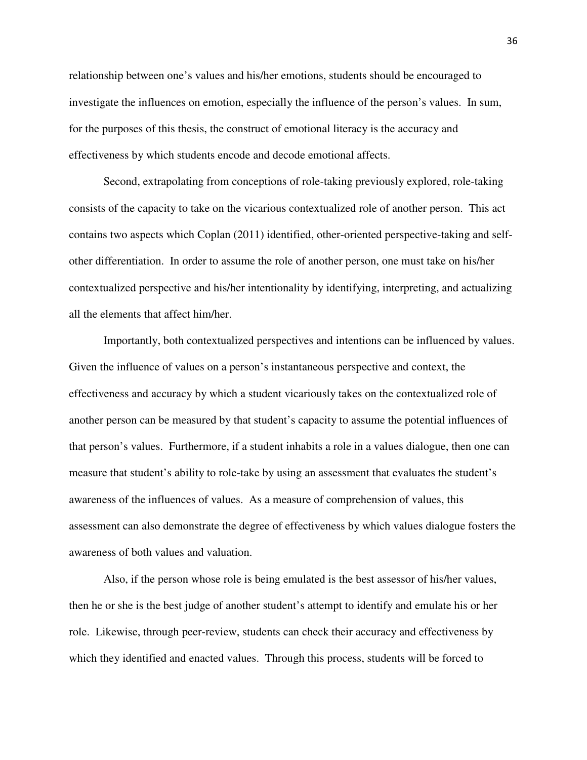relationship between one's values and his/her emotions, students should be encouraged to investigate the influences on emotion, especially the influence of the person's values. In sum, for the purposes of this thesis, the construct of emotional literacy is the accuracy and effectiveness by which students encode and decode emotional affects.

 Second, extrapolating from conceptions of role-taking previously explored, role-taking consists of the capacity to take on the vicarious contextualized role of another person. This act contains two aspects which Coplan (2011) identified, other-oriented perspective-taking and selfother differentiation. In order to assume the role of another person, one must take on his/her contextualized perspective and his/her intentionality by identifying, interpreting, and actualizing all the elements that affect him/her.

Importantly, both contextualized perspectives and intentions can be influenced by values. Given the influence of values on a person's instantaneous perspective and context, the effectiveness and accuracy by which a student vicariously takes on the contextualized role of another person can be measured by that student's capacity to assume the potential influences of that person's values. Furthermore, if a student inhabits a role in a values dialogue, then one can measure that student's ability to role-take by using an assessment that evaluates the student's awareness of the influences of values. As a measure of comprehension of values, this assessment can also demonstrate the degree of effectiveness by which values dialogue fosters the awareness of both values and valuation.

Also, if the person whose role is being emulated is the best assessor of his/her values, then he or she is the best judge of another student's attempt to identify and emulate his or her role. Likewise, through peer-review, students can check their accuracy and effectiveness by which they identified and enacted values. Through this process, students will be forced to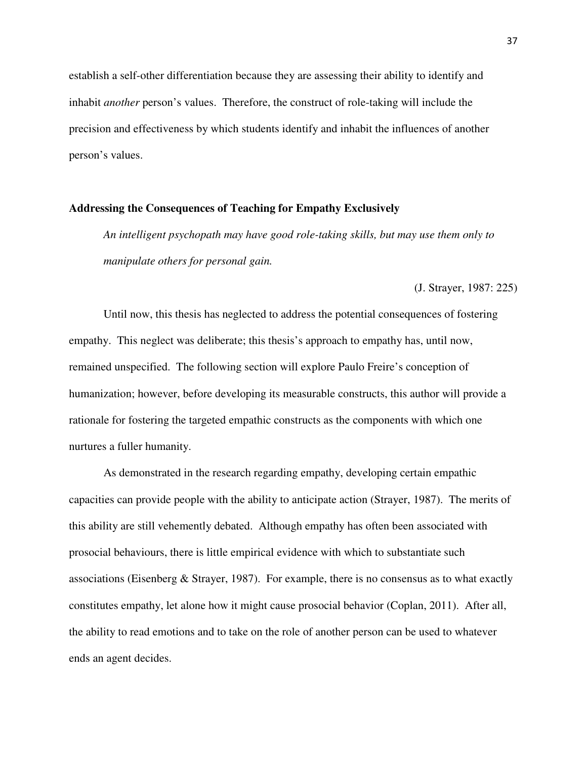establish a self-other differentiation because they are assessing their ability to identify and inhabit *another* person's values. Therefore, the construct of role-taking will include the precision and effectiveness by which students identify and inhabit the influences of another person's values.

# **Addressing the Consequences of Teaching for Empathy Exclusively**

*An intelligent psychopath may have good role-taking skills, but may use them only to manipulate others for personal gain.* 

(J. Strayer, 1987: 225)

Until now, this thesis has neglected to address the potential consequences of fostering empathy. This neglect was deliberate; this thesis's approach to empathy has, until now, remained unspecified. The following section will explore Paulo Freire's conception of humanization; however, before developing its measurable constructs, this author will provide a rationale for fostering the targeted empathic constructs as the components with which one nurtures a fuller humanity.

As demonstrated in the research regarding empathy, developing certain empathic capacities can provide people with the ability to anticipate action (Strayer, 1987). The merits of this ability are still vehemently debated. Although empathy has often been associated with prosocial behaviours, there is little empirical evidence with which to substantiate such associations (Eisenberg  $&$  Strayer, 1987). For example, there is no consensus as to what exactly constitutes empathy, let alone how it might cause prosocial behavior (Coplan, 2011). After all, the ability to read emotions and to take on the role of another person can be used to whatever ends an agent decides.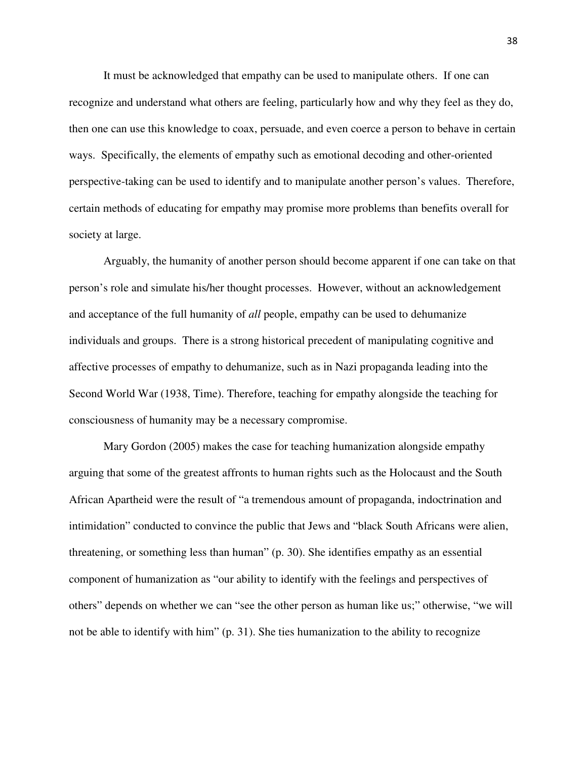It must be acknowledged that empathy can be used to manipulate others. If one can recognize and understand what others are feeling, particularly how and why they feel as they do, then one can use this knowledge to coax, persuade, and even coerce a person to behave in certain ways. Specifically, the elements of empathy such as emotional decoding and other-oriented perspective-taking can be used to identify and to manipulate another person's values. Therefore, certain methods of educating for empathy may promise more problems than benefits overall for society at large.

Arguably, the humanity of another person should become apparent if one can take on that person's role and simulate his/her thought processes. However, without an acknowledgement and acceptance of the full humanity of *all* people, empathy can be used to dehumanize individuals and groups. There is a strong historical precedent of manipulating cognitive and affective processes of empathy to dehumanize, such as in Nazi propaganda leading into the Second World War (1938, Time). Therefore, teaching for empathy alongside the teaching for consciousness of humanity may be a necessary compromise.

Mary Gordon (2005) makes the case for teaching humanization alongside empathy arguing that some of the greatest affronts to human rights such as the Holocaust and the South African Apartheid were the result of "a tremendous amount of propaganda, indoctrination and intimidation" conducted to convince the public that Jews and "black South Africans were alien, threatening, or something less than human" (p. 30). She identifies empathy as an essential component of humanization as "our ability to identify with the feelings and perspectives of others" depends on whether we can "see the other person as human like us;" otherwise, "we will not be able to identify with him" (p. 31). She ties humanization to the ability to recognize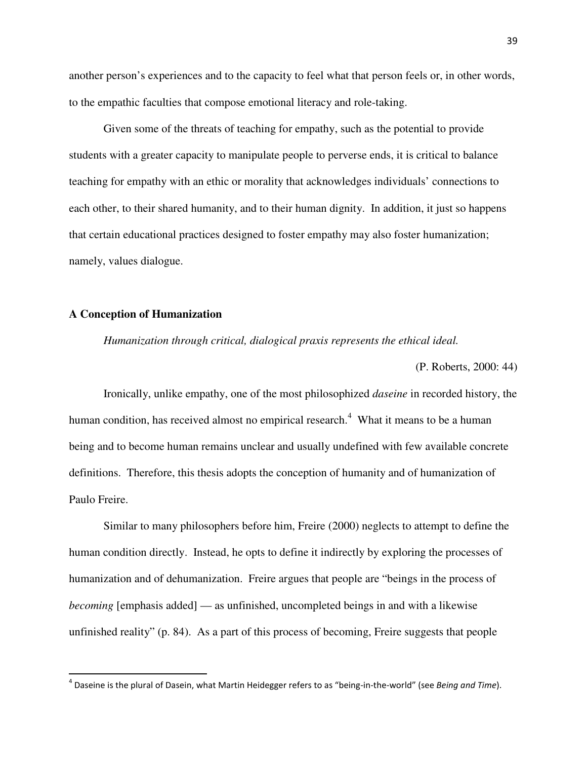another person's experiences and to the capacity to feel what that person feels or, in other words, to the empathic faculties that compose emotional literacy and role-taking.

Given some of the threats of teaching for empathy, such as the potential to provide students with a greater capacity to manipulate people to perverse ends, it is critical to balance teaching for empathy with an ethic or morality that acknowledges individuals' connections to each other, to their shared humanity, and to their human dignity. In addition, it just so happens that certain educational practices designed to foster empathy may also foster humanization; namely, values dialogue.

# **A Conception of Humanization**

 $\overline{\phantom{0}}$ 

*Humanization through critical, dialogical praxis represents the ethical ideal.* 

(P. Roberts, 2000: 44)

Ironically, unlike empathy, one of the most philosophized *daseine* in recorded history, the human condition, has received almost no empirical research.<sup>4</sup> What it means to be a human being and to become human remains unclear and usually undefined with few available concrete definitions. Therefore, this thesis adopts the conception of humanity and of humanization of Paulo Freire.

Similar to many philosophers before him, Freire (2000) neglects to attempt to define the human condition directly. Instead, he opts to define it indirectly by exploring the processes of humanization and of dehumanization. Freire argues that people are "beings in the process of *becoming* [emphasis added] — as unfinished, uncompleted beings in and with a likewise unfinished reality" (p. 84). As a part of this process of becoming, Freire suggests that people

 $^4$  Daseine is the plural of Dasein, what Martin Heidegger refers to as "being-in-the-world" (see Being and Time).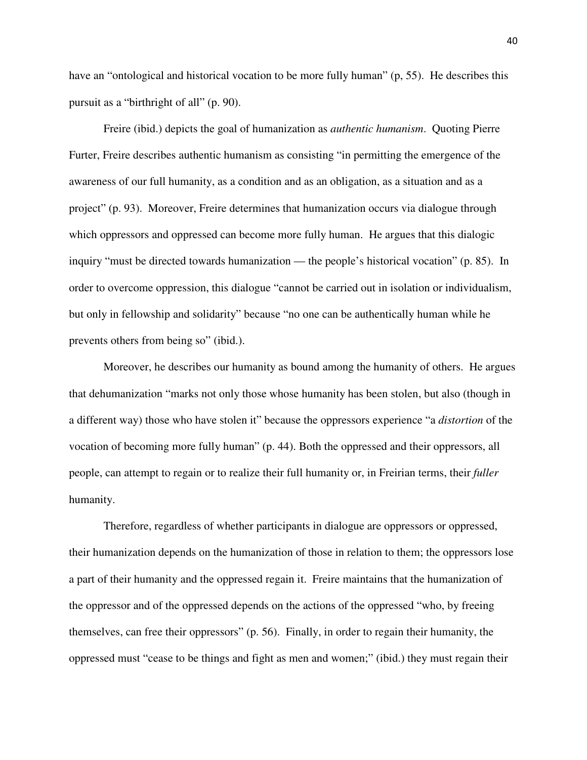have an "ontological and historical vocation to be more fully human" (p, 55). He describes this pursuit as a "birthright of all" (p. 90).

Freire (ibid.) depicts the goal of humanization as *authentic humanism*. Quoting Pierre Furter, Freire describes authentic humanism as consisting "in permitting the emergence of the awareness of our full humanity, as a condition and as an obligation, as a situation and as a project" (p. 93). Moreover, Freire determines that humanization occurs via dialogue through which oppressors and oppressed can become more fully human. He argues that this dialogic inquiry "must be directed towards humanization — the people's historical vocation" (p. 85). In order to overcome oppression, this dialogue "cannot be carried out in isolation or individualism, but only in fellowship and solidarity" because "no one can be authentically human while he prevents others from being so" (ibid.).

Moreover, he describes our humanity as bound among the humanity of others. He argues that dehumanization "marks not only those whose humanity has been stolen, but also (though in a different way) those who have stolen it" because the oppressors experience "a *distortion* of the vocation of becoming more fully human" (p. 44). Both the oppressed and their oppressors, all people, can attempt to regain or to realize their full humanity or, in Freirian terms, their *fuller* humanity.

Therefore, regardless of whether participants in dialogue are oppressors or oppressed, their humanization depends on the humanization of those in relation to them; the oppressors lose a part of their humanity and the oppressed regain it. Freire maintains that the humanization of the oppressor and of the oppressed depends on the actions of the oppressed "who, by freeing themselves, can free their oppressors" (p. 56). Finally, in order to regain their humanity, the oppressed must "cease to be things and fight as men and women;" (ibid.) they must regain their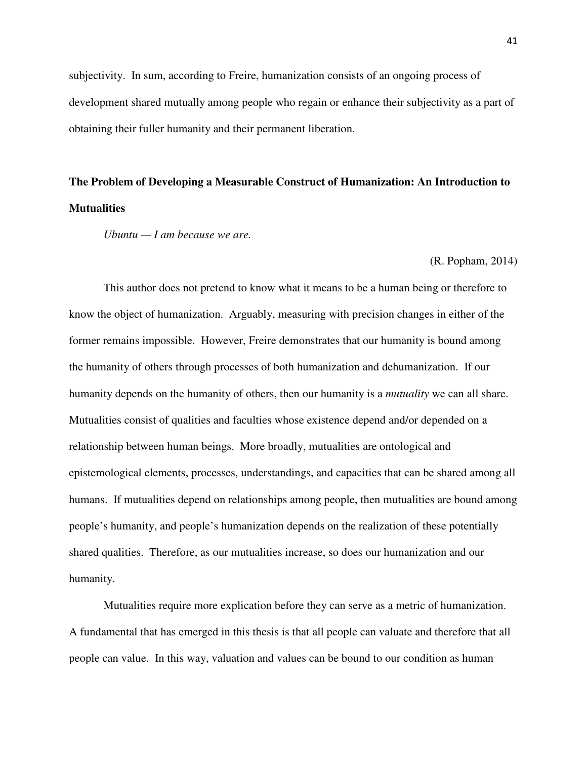subjectivity. In sum, according to Freire, humanization consists of an ongoing process of development shared mutually among people who regain or enhance their subjectivity as a part of obtaining their fuller humanity and their permanent liberation.

# **The Problem of Developing a Measurable Construct of Humanization: An Introduction to Mutualities**

*Ubuntu — I am because we are.* 

(R. Popham, 2014)

This author does not pretend to know what it means to be a human being or therefore to know the object of humanization. Arguably, measuring with precision changes in either of the former remains impossible. However, Freire demonstrates that our humanity is bound among the humanity of others through processes of both humanization and dehumanization. If our humanity depends on the humanity of others, then our humanity is a *mutuality* we can all share. Mutualities consist of qualities and faculties whose existence depend and/or depended on a relationship between human beings. More broadly, mutualities are ontological and epistemological elements, processes, understandings, and capacities that can be shared among all humans. If mutualities depend on relationships among people, then mutualities are bound among people's humanity, and people's humanization depends on the realization of these potentially shared qualities. Therefore, as our mutualities increase, so does our humanization and our humanity.

Mutualities require more explication before they can serve as a metric of humanization. A fundamental that has emerged in this thesis is that all people can valuate and therefore that all people can value. In this way, valuation and values can be bound to our condition as human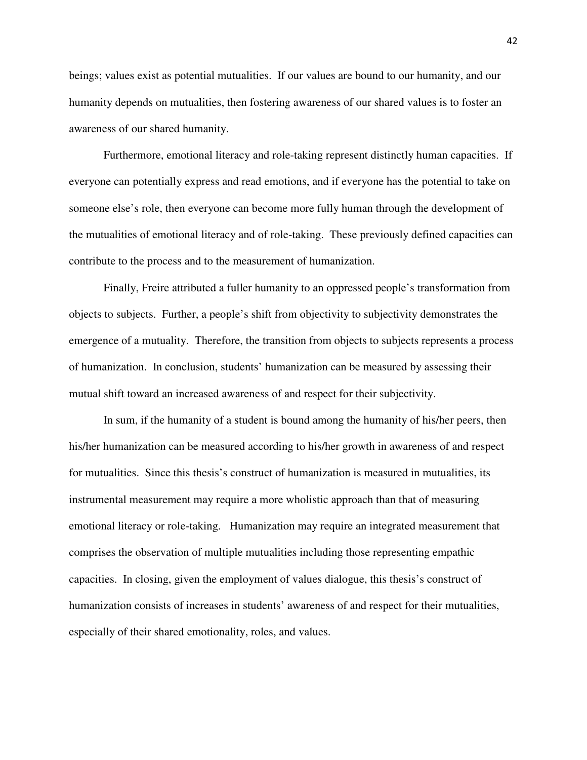beings; values exist as potential mutualities. If our values are bound to our humanity, and our humanity depends on mutualities, then fostering awareness of our shared values is to foster an awareness of our shared humanity.

Furthermore, emotional literacy and role-taking represent distinctly human capacities. If everyone can potentially express and read emotions, and if everyone has the potential to take on someone else's role, then everyone can become more fully human through the development of the mutualities of emotional literacy and of role-taking. These previously defined capacities can contribute to the process and to the measurement of humanization.

Finally, Freire attributed a fuller humanity to an oppressed people's transformation from objects to subjects. Further, a people's shift from objectivity to subjectivity demonstrates the emergence of a mutuality. Therefore, the transition from objects to subjects represents a process of humanization. In conclusion, students' humanization can be measured by assessing their mutual shift toward an increased awareness of and respect for their subjectivity.

In sum, if the humanity of a student is bound among the humanity of his/her peers, then his/her humanization can be measured according to his/her growth in awareness of and respect for mutualities. Since this thesis's construct of humanization is measured in mutualities, its instrumental measurement may require a more wholistic approach than that of measuring emotional literacy or role-taking. Humanization may require an integrated measurement that comprises the observation of multiple mutualities including those representing empathic capacities. In closing, given the employment of values dialogue, this thesis's construct of humanization consists of increases in students' awareness of and respect for their mutualities, especially of their shared emotionality, roles, and values.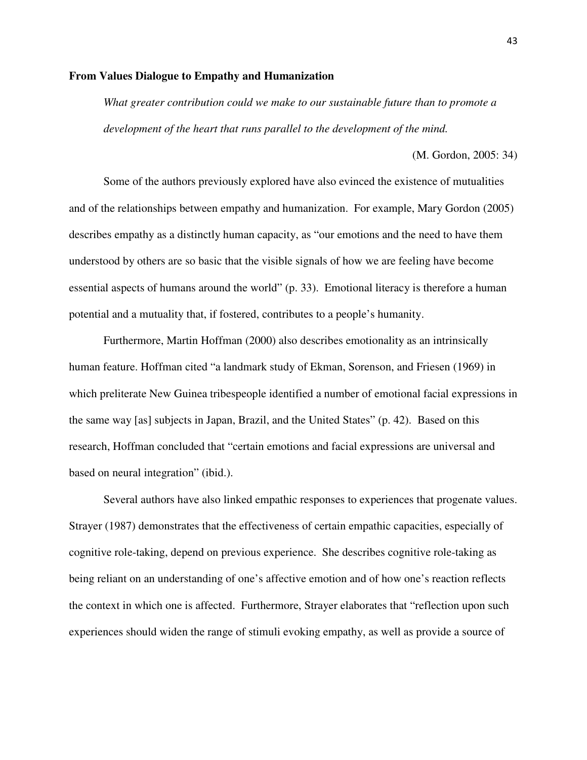# **From Values Dialogue to Empathy and Humanization**

*What greater contribution could we make to our sustainable future than to promote a development of the heart that runs parallel to the development of the mind.* 

(M. Gordon, 2005: 34)

Some of the authors previously explored have also evinced the existence of mutualities and of the relationships between empathy and humanization. For example, Mary Gordon (2005) describes empathy as a distinctly human capacity, as "our emotions and the need to have them understood by others are so basic that the visible signals of how we are feeling have become essential aspects of humans around the world" (p. 33). Emotional literacy is therefore a human potential and a mutuality that, if fostered, contributes to a people's humanity.

Furthermore, Martin Hoffman (2000) also describes emotionality as an intrinsically human feature. Hoffman cited "a landmark study of Ekman, Sorenson, and Friesen (1969) in which preliterate New Guinea tribespeople identified a number of emotional facial expressions in the same way [as] subjects in Japan, Brazil, and the United States" (p. 42). Based on this research, Hoffman concluded that "certain emotions and facial expressions are universal and based on neural integration" (ibid.).

Several authors have also linked empathic responses to experiences that progenate values. Strayer (1987) demonstrates that the effectiveness of certain empathic capacities, especially of cognitive role-taking, depend on previous experience. She describes cognitive role-taking as being reliant on an understanding of one's affective emotion and of how one's reaction reflects the context in which one is affected. Furthermore, Strayer elaborates that "reflection upon such experiences should widen the range of stimuli evoking empathy, as well as provide a source of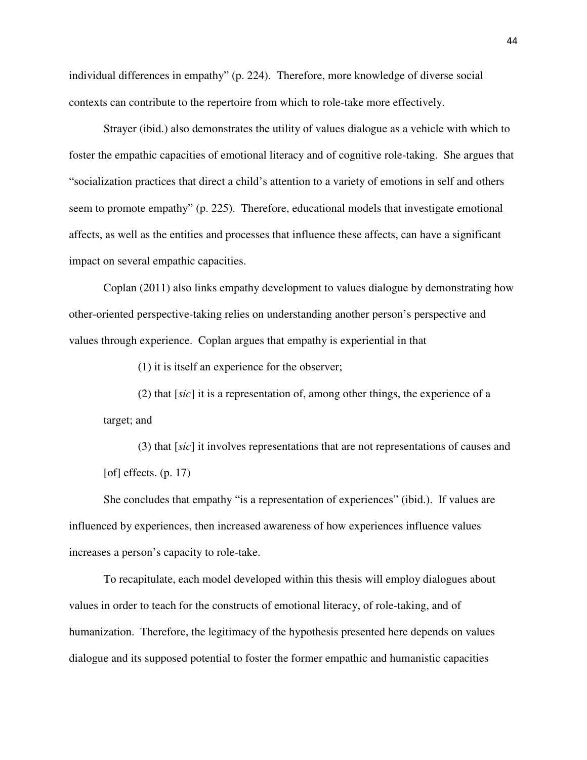individual differences in empathy" (p. 224). Therefore, more knowledge of diverse social contexts can contribute to the repertoire from which to role-take more effectively.

Strayer (ibid.) also demonstrates the utility of values dialogue as a vehicle with which to foster the empathic capacities of emotional literacy and of cognitive role-taking. She argues that "socialization practices that direct a child's attention to a variety of emotions in self and others seem to promote empathy" (p. 225). Therefore, educational models that investigate emotional affects, as well as the entities and processes that influence these affects, can have a significant impact on several empathic capacities.

Coplan (2011) also links empathy development to values dialogue by demonstrating how other-oriented perspective-taking relies on understanding another person's perspective and values through experience. Coplan argues that empathy is experiential in that

(1) it is itself an experience for the observer;

(2) that [*sic*] it is a representation of, among other things, the experience of a target; and

(3) that [*sic*] it involves representations that are not representations of causes and [of] effects.  $(p. 17)$ 

She concludes that empathy "is a representation of experiences" (ibid.). If values are influenced by experiences, then increased awareness of how experiences influence values increases a person's capacity to role-take.

To recapitulate, each model developed within this thesis will employ dialogues about values in order to teach for the constructs of emotional literacy, of role-taking, and of humanization. Therefore, the legitimacy of the hypothesis presented here depends on values dialogue and its supposed potential to foster the former empathic and humanistic capacities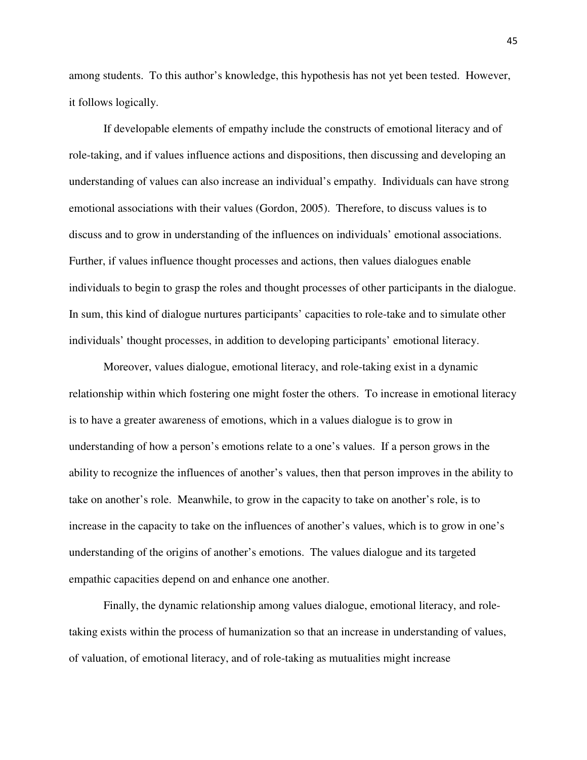among students. To this author's knowledge, this hypothesis has not yet been tested. However, it follows logically.

If developable elements of empathy include the constructs of emotional literacy and of role-taking, and if values influence actions and dispositions, then discussing and developing an understanding of values can also increase an individual's empathy. Individuals can have strong emotional associations with their values (Gordon, 2005). Therefore, to discuss values is to discuss and to grow in understanding of the influences on individuals' emotional associations. Further, if values influence thought processes and actions, then values dialogues enable individuals to begin to grasp the roles and thought processes of other participants in the dialogue. In sum, this kind of dialogue nurtures participants' capacities to role-take and to simulate other individuals' thought processes, in addition to developing participants' emotional literacy.

Moreover, values dialogue, emotional literacy, and role-taking exist in a dynamic relationship within which fostering one might foster the others. To increase in emotional literacy is to have a greater awareness of emotions, which in a values dialogue is to grow in understanding of how a person's emotions relate to a one's values. If a person grows in the ability to recognize the influences of another's values, then that person improves in the ability to take on another's role. Meanwhile, to grow in the capacity to take on another's role, is to increase in the capacity to take on the influences of another's values, which is to grow in one's understanding of the origins of another's emotions. The values dialogue and its targeted empathic capacities depend on and enhance one another.

Finally, the dynamic relationship among values dialogue, emotional literacy, and roletaking exists within the process of humanization so that an increase in understanding of values, of valuation, of emotional literacy, and of role-taking as mutualities might increase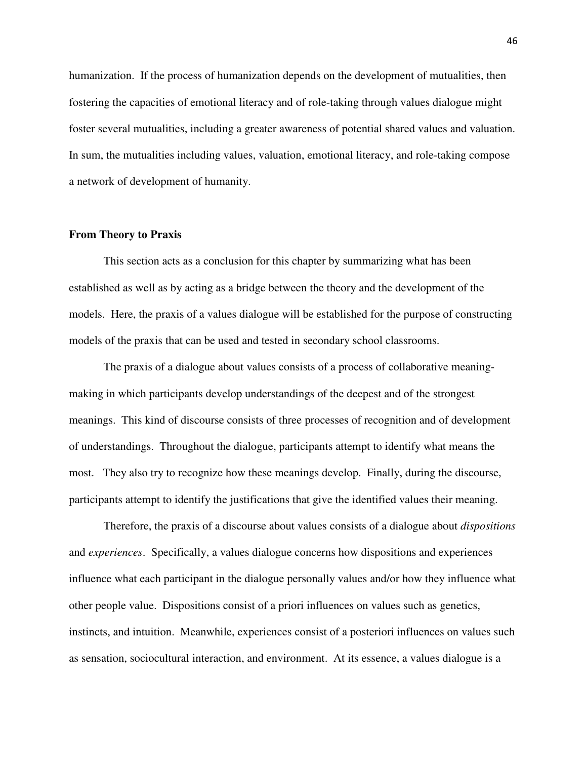humanization. If the process of humanization depends on the development of mutualities, then fostering the capacities of emotional literacy and of role-taking through values dialogue might foster several mutualities, including a greater awareness of potential shared values and valuation. In sum, the mutualities including values, valuation, emotional literacy, and role-taking compose a network of development of humanity.

#### **From Theory to Praxis**

This section acts as a conclusion for this chapter by summarizing what has been established as well as by acting as a bridge between the theory and the development of the models. Here, the praxis of a values dialogue will be established for the purpose of constructing models of the praxis that can be used and tested in secondary school classrooms.

The praxis of a dialogue about values consists of a process of collaborative meaningmaking in which participants develop understandings of the deepest and of the strongest meanings. This kind of discourse consists of three processes of recognition and of development of understandings. Throughout the dialogue, participants attempt to identify what means the most. They also try to recognize how these meanings develop. Finally, during the discourse, participants attempt to identify the justifications that give the identified values their meaning.

Therefore, the praxis of a discourse about values consists of a dialogue about *dispositions* and *experiences*. Specifically, a values dialogue concerns how dispositions and experiences influence what each participant in the dialogue personally values and/or how they influence what other people value. Dispositions consist of a priori influences on values such as genetics, instincts, and intuition. Meanwhile, experiences consist of a posteriori influences on values such as sensation, sociocultural interaction, and environment. At its essence, a values dialogue is a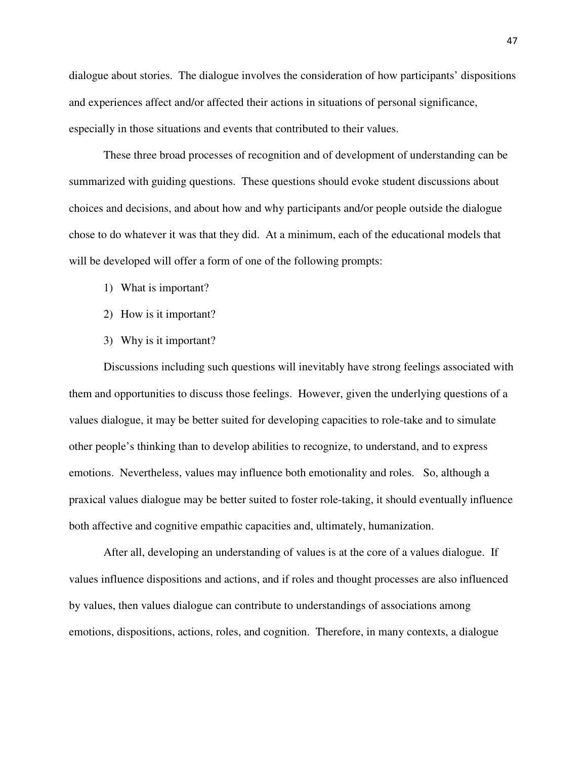dialogue about stories. The dialogue involves the consideration of how participants' dispositions and experiences affect and/or affected their actions in situations of personal significance, especially in those situations and events that contributed to their values.

These three broad processes of recognition and of development of understanding can be summarized with guiding questions. These questions should evoke student discussions about choices and decisions, and about how and why participants and/or people outside the dialogue chose to do whatever it was that they did. At a minimum, each of the educational models that will be developed will offer a form of one of the following prompts:

- 1) What is important?
- 2) How is it important?
- 3) Why is it important?

Discussions including such questions will inevitably have strong feelings associated with them and opportunities to discuss those feelings. However, given the underlying questions of a values dialogue, it may be better suited for developing capacities to role-take and to simulate other people's thinking than to develop abilities to recognize, to understand, and to express emotions. Nevertheless, values may influence both emotionality and roles. So, although a praxical values dialogue may be better suited to foster role-taking, it should eventually influence both affective and cognitive empathic capacities and, ultimately, humanization.

After all, developing an understanding of values is at the core of a values dialogue. If values influence dispositions and actions, and if roles and thought processes are also influenced by values, then values dialogue can contribute to understandings of associations among emotions, dispositions, actions, roles, and cognition. Therefore, in many contexts, a dialogue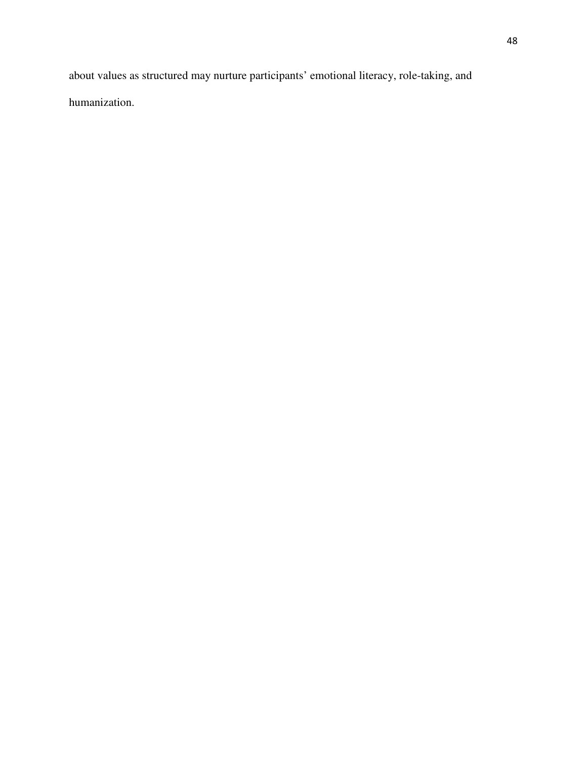about values as structured may nurture participants' emotional literacy, role-taking, and humanization.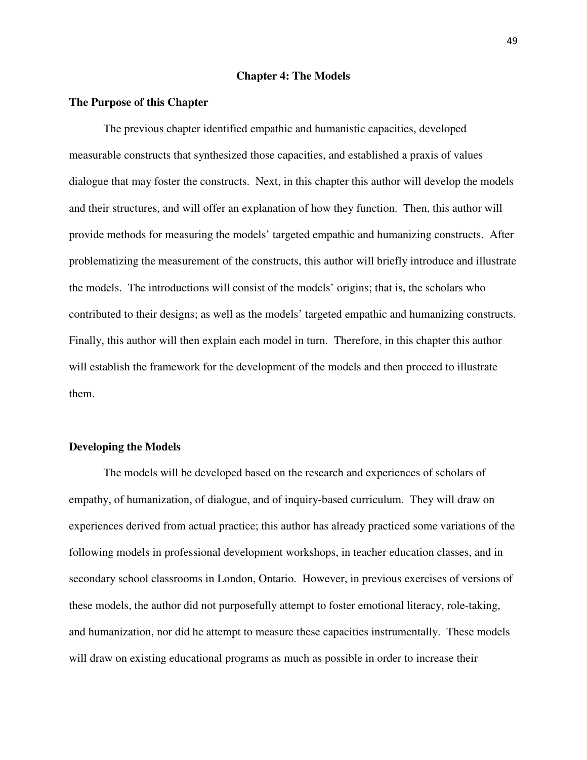#### **Chapter 4: The Models**

#### **The Purpose of this Chapter**

The previous chapter identified empathic and humanistic capacities, developed measurable constructs that synthesized those capacities, and established a praxis of values dialogue that may foster the constructs. Next, in this chapter this author will develop the models and their structures, and will offer an explanation of how they function. Then, this author will provide methods for measuring the models' targeted empathic and humanizing constructs. After problematizing the measurement of the constructs, this author will briefly introduce and illustrate the models. The introductions will consist of the models' origins; that is, the scholars who contributed to their designs; as well as the models' targeted empathic and humanizing constructs. Finally, this author will then explain each model in turn. Therefore, in this chapter this author will establish the framework for the development of the models and then proceed to illustrate them.

# **Developing the Models**

The models will be developed based on the research and experiences of scholars of empathy, of humanization, of dialogue, and of inquiry-based curriculum. They will draw on experiences derived from actual practice; this author has already practiced some variations of the following models in professional development workshops, in teacher education classes, and in secondary school classrooms in London, Ontario. However, in previous exercises of versions of these models, the author did not purposefully attempt to foster emotional literacy, role-taking, and humanization, nor did he attempt to measure these capacities instrumentally. These models will draw on existing educational programs as much as possible in order to increase their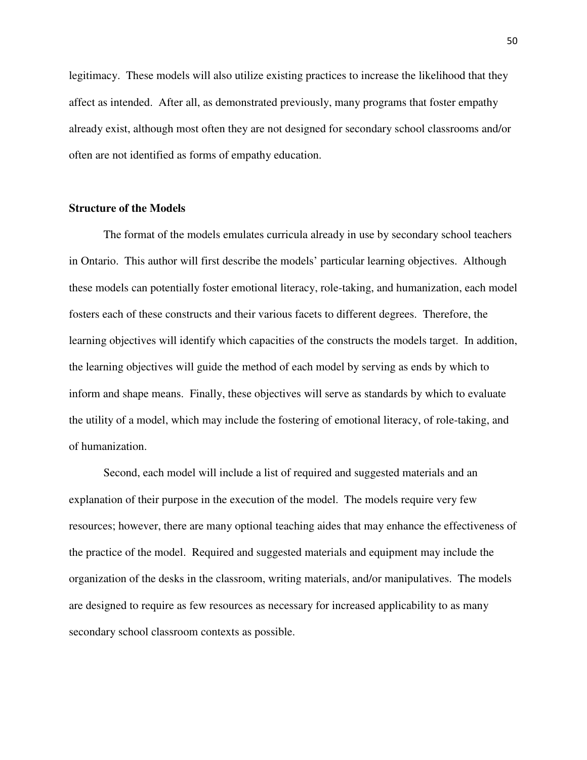legitimacy. These models will also utilize existing practices to increase the likelihood that they affect as intended. After all, as demonstrated previously, many programs that foster empathy already exist, although most often they are not designed for secondary school classrooms and/or often are not identified as forms of empathy education.

# **Structure of the Models**

The format of the models emulates curricula already in use by secondary school teachers in Ontario. This author will first describe the models' particular learning objectives. Although these models can potentially foster emotional literacy, role-taking, and humanization, each model fosters each of these constructs and their various facets to different degrees. Therefore, the learning objectives will identify which capacities of the constructs the models target. In addition, the learning objectives will guide the method of each model by serving as ends by which to inform and shape means. Finally, these objectives will serve as standards by which to evaluate the utility of a model, which may include the fostering of emotional literacy, of role-taking, and of humanization.

 Second, each model will include a list of required and suggested materials and an explanation of their purpose in the execution of the model. The models require very few resources; however, there are many optional teaching aides that may enhance the effectiveness of the practice of the model. Required and suggested materials and equipment may include the organization of the desks in the classroom, writing materials, and/or manipulatives. The models are designed to require as few resources as necessary for increased applicability to as many secondary school classroom contexts as possible.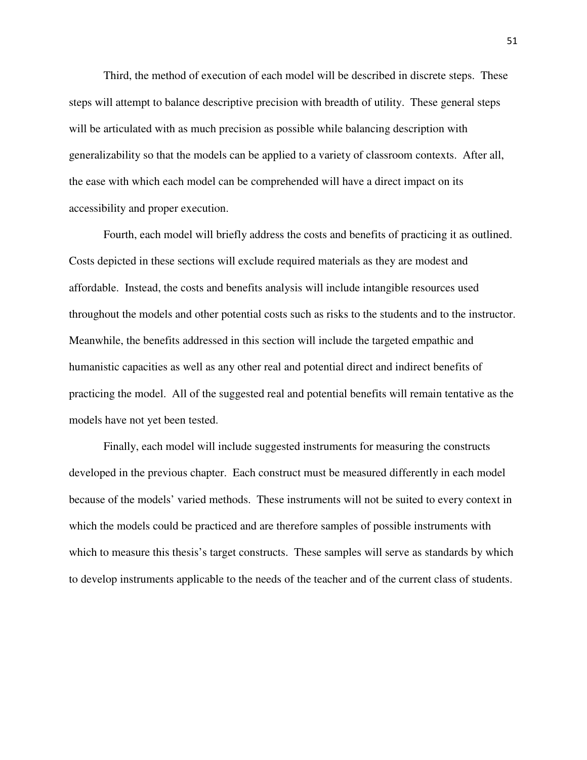Third, the method of execution of each model will be described in discrete steps. These steps will attempt to balance descriptive precision with breadth of utility. These general steps will be articulated with as much precision as possible while balancing description with generalizability so that the models can be applied to a variety of classroom contexts. After all, the ease with which each model can be comprehended will have a direct impact on its accessibility and proper execution.

 Fourth, each model will briefly address the costs and benefits of practicing it as outlined. Costs depicted in these sections will exclude required materials as they are modest and affordable. Instead, the costs and benefits analysis will include intangible resources used throughout the models and other potential costs such as risks to the students and to the instructor. Meanwhile, the benefits addressed in this section will include the targeted empathic and humanistic capacities as well as any other real and potential direct and indirect benefits of practicing the model. All of the suggested real and potential benefits will remain tentative as the models have not yet been tested.

 Finally, each model will include suggested instruments for measuring the constructs developed in the previous chapter. Each construct must be measured differently in each model because of the models' varied methods. These instruments will not be suited to every context in which the models could be practiced and are therefore samples of possible instruments with which to measure this thesis's target constructs. These samples will serve as standards by which to develop instruments applicable to the needs of the teacher and of the current class of students.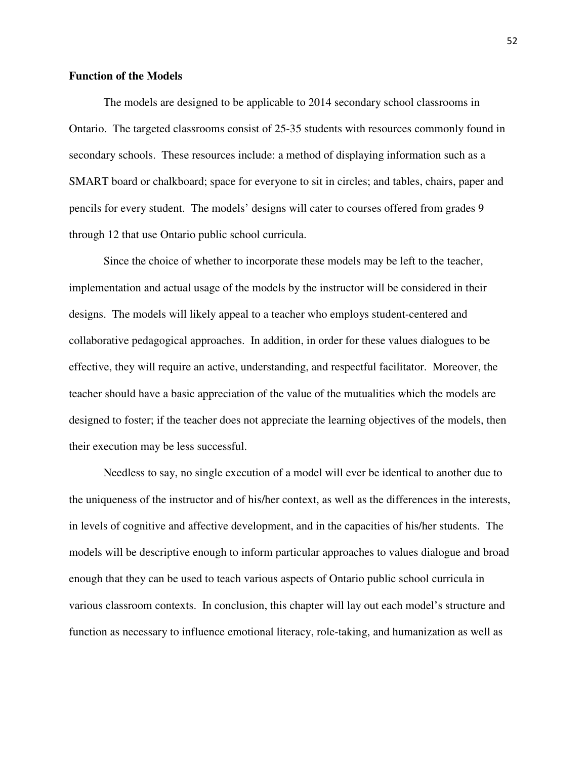# **Function of the Models**

The models are designed to be applicable to 2014 secondary school classrooms in Ontario. The targeted classrooms consist of 25-35 students with resources commonly found in secondary schools. These resources include: a method of displaying information such as a SMART board or chalkboard; space for everyone to sit in circles; and tables, chairs, paper and pencils for every student. The models' designs will cater to courses offered from grades 9 through 12 that use Ontario public school curricula.

Since the choice of whether to incorporate these models may be left to the teacher, implementation and actual usage of the models by the instructor will be considered in their designs. The models will likely appeal to a teacher who employs student-centered and collaborative pedagogical approaches. In addition, in order for these values dialogues to be effective, they will require an active, understanding, and respectful facilitator. Moreover, the teacher should have a basic appreciation of the value of the mutualities which the models are designed to foster; if the teacher does not appreciate the learning objectives of the models, then their execution may be less successful.

Needless to say, no single execution of a model will ever be identical to another due to the uniqueness of the instructor and of his/her context, as well as the differences in the interests, in levels of cognitive and affective development, and in the capacities of his/her students. The models will be descriptive enough to inform particular approaches to values dialogue and broad enough that they can be used to teach various aspects of Ontario public school curricula in various classroom contexts. In conclusion, this chapter will lay out each model's structure and function as necessary to influence emotional literacy, role-taking, and humanization as well as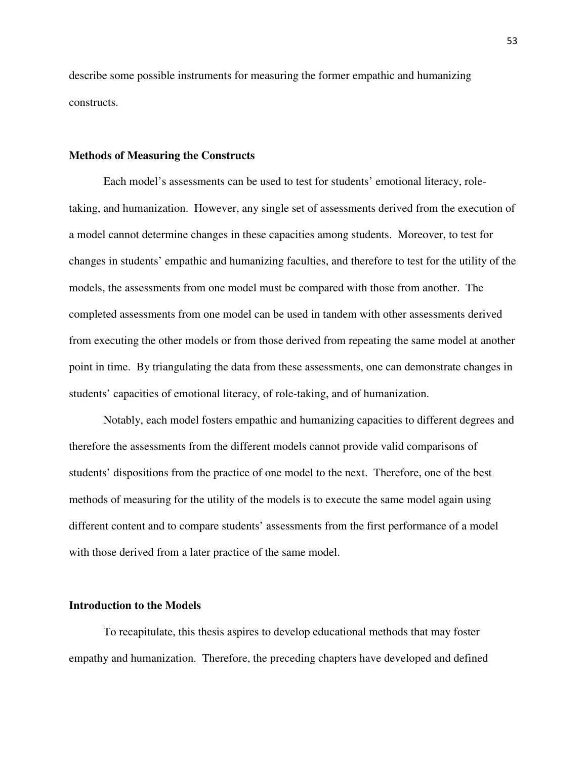describe some possible instruments for measuring the former empathic and humanizing constructs.

#### **Methods of Measuring the Constructs**

Each model's assessments can be used to test for students' emotional literacy, roletaking, and humanization. However, any single set of assessments derived from the execution of a model cannot determine changes in these capacities among students. Moreover, to test for changes in students' empathic and humanizing faculties, and therefore to test for the utility of the models, the assessments from one model must be compared with those from another. The completed assessments from one model can be used in tandem with other assessments derived from executing the other models or from those derived from repeating the same model at another point in time. By triangulating the data from these assessments, one can demonstrate changes in students' capacities of emotional literacy, of role-taking, and of humanization.

 Notably, each model fosters empathic and humanizing capacities to different degrees and therefore the assessments from the different models cannot provide valid comparisons of students' dispositions from the practice of one model to the next. Therefore, one of the best methods of measuring for the utility of the models is to execute the same model again using different content and to compare students' assessments from the first performance of a model with those derived from a later practice of the same model.

# **Introduction to the Models**

To recapitulate, this thesis aspires to develop educational methods that may foster empathy and humanization. Therefore, the preceding chapters have developed and defined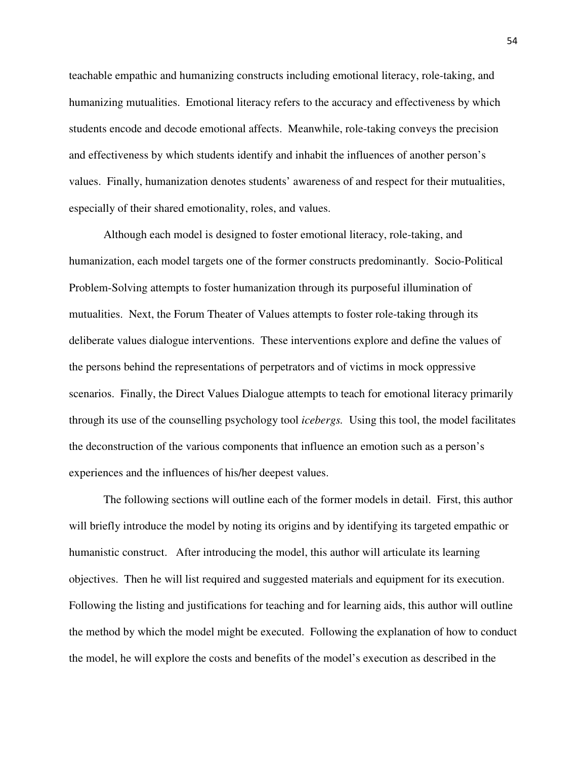teachable empathic and humanizing constructs including emotional literacy, role-taking, and humanizing mutualities. Emotional literacy refers to the accuracy and effectiveness by which students encode and decode emotional affects. Meanwhile, role-taking conveys the precision and effectiveness by which students identify and inhabit the influences of another person's values. Finally, humanization denotes students' awareness of and respect for their mutualities, especially of their shared emotionality, roles, and values.

Although each model is designed to foster emotional literacy, role-taking, and humanization, each model targets one of the former constructs predominantly. Socio-Political Problem-Solving attempts to foster humanization through its purposeful illumination of mutualities. Next, the Forum Theater of Values attempts to foster role-taking through its deliberate values dialogue interventions. These interventions explore and define the values of the persons behind the representations of perpetrators and of victims in mock oppressive scenarios. Finally, the Direct Values Dialogue attempts to teach for emotional literacy primarily through its use of the counselling psychology tool *icebergs.* Using this tool, the model facilitates the deconstruction of the various components that influence an emotion such as a person's experiences and the influences of his/her deepest values.

The following sections will outline each of the former models in detail. First, this author will briefly introduce the model by noting its origins and by identifying its targeted empathic or humanistic construct. After introducing the model, this author will articulate its learning objectives. Then he will list required and suggested materials and equipment for its execution. Following the listing and justifications for teaching and for learning aids, this author will outline the method by which the model might be executed. Following the explanation of how to conduct the model, he will explore the costs and benefits of the model's execution as described in the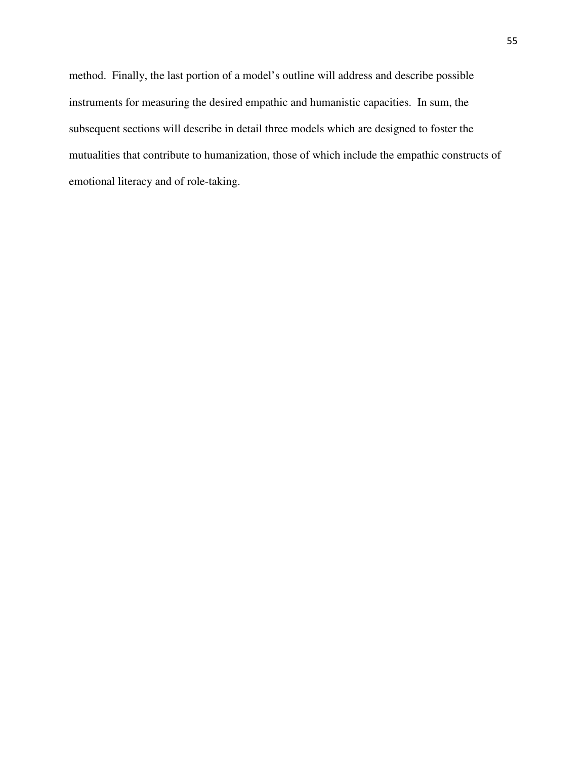method. Finally, the last portion of a model's outline will address and describe possible instruments for measuring the desired empathic and humanistic capacities. In sum, the subsequent sections will describe in detail three models which are designed to foster the mutualities that contribute to humanization, those of which include the empathic constructs of emotional literacy and of role-taking.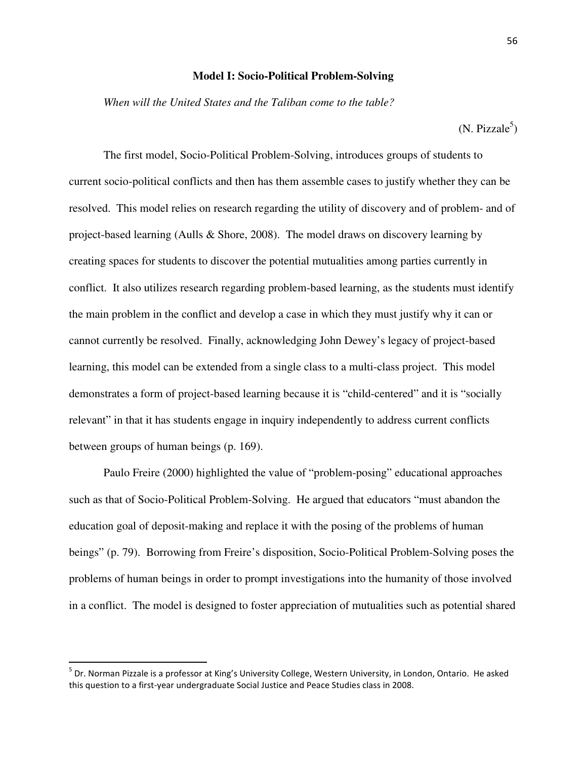# **Model I: Socio-Political Problem-Solving**

*When will the United States and the Taliban come to the table?* 

 $(N. \text{ Pizzale}^5)$ 

The first model, Socio-Political Problem-Solving, introduces groups of students to current socio-political conflicts and then has them assemble cases to justify whether they can be resolved. This model relies on research regarding the utility of discovery and of problem- and of project-based learning (Aulls & Shore, 2008). The model draws on discovery learning by creating spaces for students to discover the potential mutualities among parties currently in conflict. It also utilizes research regarding problem-based learning, as the students must identify the main problem in the conflict and develop a case in which they must justify why it can or cannot currently be resolved. Finally, acknowledging John Dewey's legacy of project-based learning, this model can be extended from a single class to a multi-class project. This model demonstrates a form of project-based learning because it is "child-centered" and it is "socially relevant" in that it has students engage in inquiry independently to address current conflicts between groups of human beings (p. 169).

Paulo Freire (2000) highlighted the value of "problem-posing" educational approaches such as that of Socio-Political Problem-Solving. He argued that educators "must abandon the education goal of deposit-making and replace it with the posing of the problems of human beings" (p. 79). Borrowing from Freire's disposition, Socio-Political Problem-Solving poses the problems of human beings in order to prompt investigations into the humanity of those involved in a conflict. The model is designed to foster appreciation of mutualities such as potential shared

 $\overline{a}$ 

<sup>&</sup>lt;sup>5</sup> Dr. Norman Pizzale is a professor at King's University College, Western University, in London, Ontario. He asked this question to a first-year undergraduate Social Justice and Peace Studies class in 2008.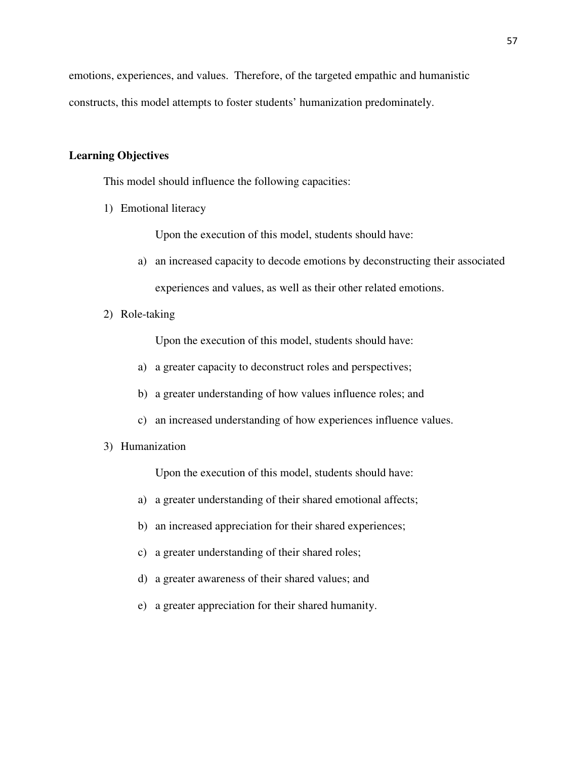emotions, experiences, and values. Therefore, of the targeted empathic and humanistic constructs, this model attempts to foster students' humanization predominately.

# **Learning Objectives**

This model should influence the following capacities:

1) Emotional literacy

Upon the execution of this model, students should have:

- a) an increased capacity to decode emotions by deconstructing their associated experiences and values, as well as their other related emotions.
- 2) Role-taking

Upon the execution of this model, students should have:

- a) a greater capacity to deconstruct roles and perspectives;
- b) a greater understanding of how values influence roles; and
- c) an increased understanding of how experiences influence values.
- 3) Humanization

Upon the execution of this model, students should have:

- a) a greater understanding of their shared emotional affects;
- b) an increased appreciation for their shared experiences;
- c) a greater understanding of their shared roles;
- d) a greater awareness of their shared values; and
- e) a greater appreciation for their shared humanity.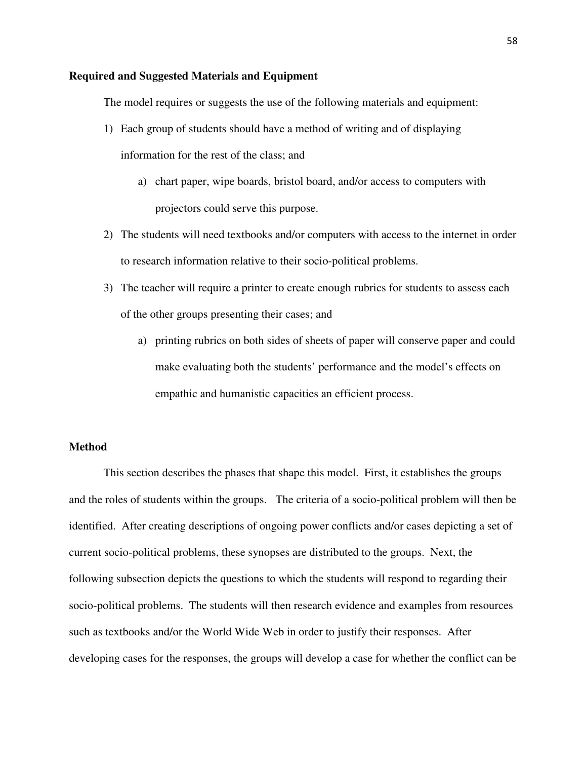# **Required and Suggested Materials and Equipment**

The model requires or suggests the use of the following materials and equipment:

- 1) Each group of students should have a method of writing and of displaying information for the rest of the class; and
	- a) chart paper, wipe boards, bristol board, and/or access to computers with projectors could serve this purpose.
- 2) The students will need textbooks and/or computers with access to the internet in order to research information relative to their socio-political problems.
- 3) The teacher will require a printer to create enough rubrics for students to assess each of the other groups presenting their cases; and
	- a) printing rubrics on both sides of sheets of paper will conserve paper and could make evaluating both the students' performance and the model's effects on empathic and humanistic capacities an efficient process.

# **Method**

This section describes the phases that shape this model. First, it establishes the groups and the roles of students within the groups. The criteria of a socio-political problem will then be identified. After creating descriptions of ongoing power conflicts and/or cases depicting a set of current socio-political problems, these synopses are distributed to the groups. Next, the following subsection depicts the questions to which the students will respond to regarding their socio-political problems. The students will then research evidence and examples from resources such as textbooks and/or the World Wide Web in order to justify their responses. After developing cases for the responses, the groups will develop a case for whether the conflict can be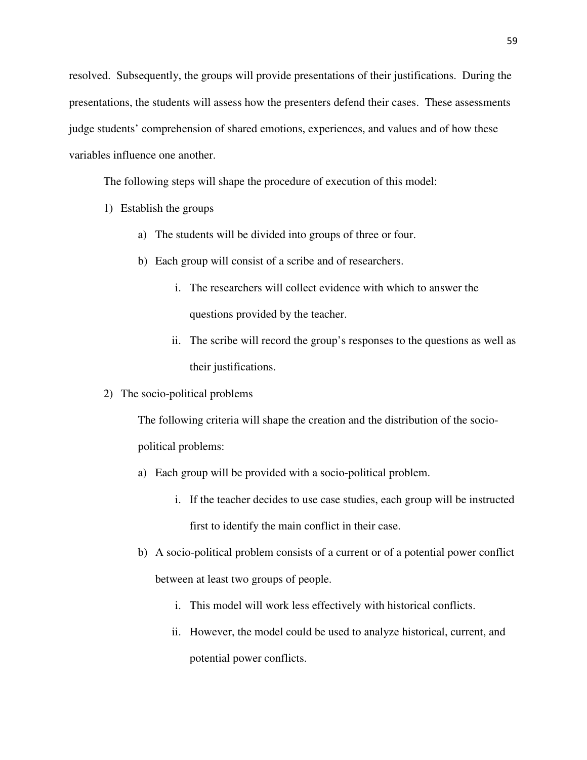resolved. Subsequently, the groups will provide presentations of their justifications. During the presentations, the students will assess how the presenters defend their cases. These assessments judge students' comprehension of shared emotions, experiences, and values and of how these variables influence one another.

The following steps will shape the procedure of execution of this model:

- 1) Establish the groups
	- a) The students will be divided into groups of three or four.
	- b) Each group will consist of a scribe and of researchers.
		- i. The researchers will collect evidence with which to answer the questions provided by the teacher.
		- ii. The scribe will record the group's responses to the questions as well as their justifications.
- 2) The socio-political problems

The following criteria will shape the creation and the distribution of the sociopolitical problems:

- a) Each group will be provided with a socio-political problem.
	- i. If the teacher decides to use case studies, each group will be instructed first to identify the main conflict in their case.
- b) A socio-political problem consists of a current or of a potential power conflict between at least two groups of people.
	- i. This model will work less effectively with historical conflicts.
	- ii. However, the model could be used to analyze historical, current, and potential power conflicts.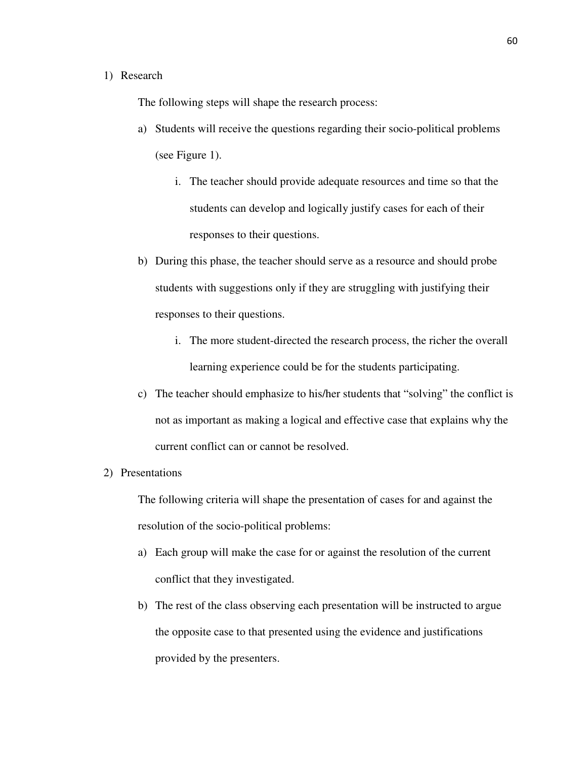# 1) Research

The following steps will shape the research process:

- a) Students will receive the questions regarding their socio-political problems (see Figure 1).
	- i. The teacher should provide adequate resources and time so that the students can develop and logically justify cases for each of their responses to their questions.
- b) During this phase, the teacher should serve as a resource and should probe students with suggestions only if they are struggling with justifying their responses to their questions.
	- i. The more student-directed the research process, the richer the overall learning experience could be for the students participating.
- c) The teacher should emphasize to his/her students that "solving" the conflict is not as important as making a logical and effective case that explains why the current conflict can or cannot be resolved.
- 2) Presentations

The following criteria will shape the presentation of cases for and against the resolution of the socio-political problems:

- a) Each group will make the case for or against the resolution of the current conflict that they investigated.
- b) The rest of the class observing each presentation will be instructed to argue the opposite case to that presented using the evidence and justifications provided by the presenters.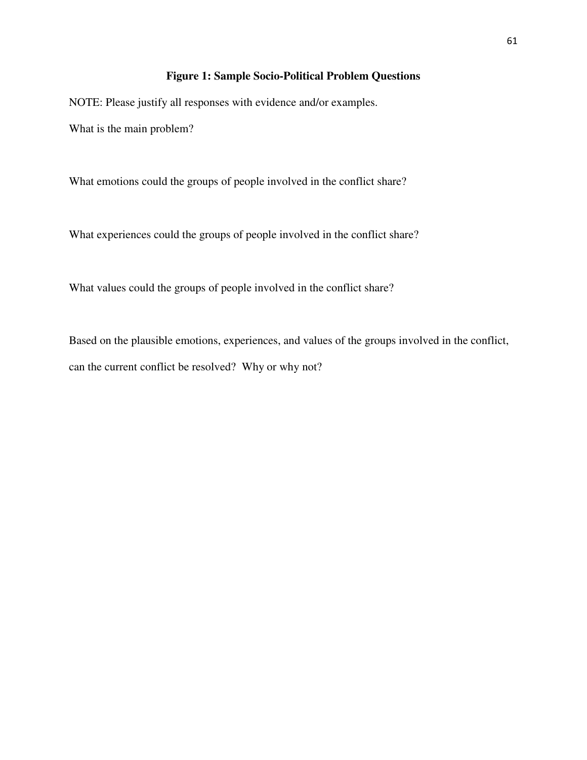# **Figure 1: Sample Socio-Political Problem Questions**

NOTE: Please justify all responses with evidence and/or examples.

What is the main problem?

What emotions could the groups of people involved in the conflict share?

What experiences could the groups of people involved in the conflict share?

What values could the groups of people involved in the conflict share?

Based on the plausible emotions, experiences, and values of the groups involved in the conflict, can the current conflict be resolved? Why or why not?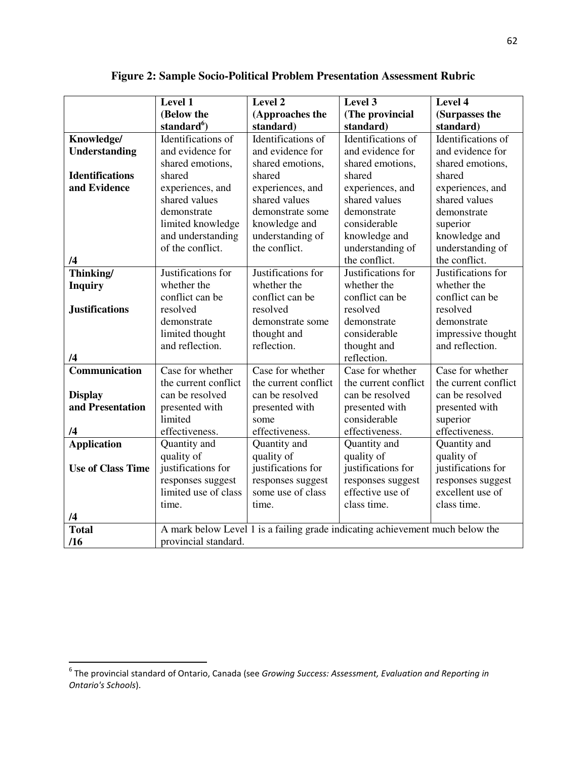|                          | Level 1                 | Level 2                                                                       | Level 3              | Level 4              |
|--------------------------|-------------------------|-------------------------------------------------------------------------------|----------------------|----------------------|
|                          | (Below the              | (Approaches the                                                               | (The provincial      | (Surpasses the       |
|                          | standard <sup>6</sup> ) | standard)                                                                     | standard)            | standard)            |
| Knowledge/               | Identifications of      | Identifications of                                                            | Identifications of   | Identifications of   |
| <b>Understanding</b>     | and evidence for        | and evidence for                                                              | and evidence for     | and evidence for     |
|                          | shared emotions,        | shared emotions,                                                              | shared emotions,     | shared emotions,     |
| <b>Identifications</b>   | shared                  | shared                                                                        | shared               | shared               |
| and Evidence             | experiences, and        | experiences, and                                                              | experiences, and     | experiences, and     |
|                          | shared values           | shared values                                                                 | shared values        | shared values        |
|                          | demonstrate             | demonstrate some                                                              | demonstrate          | demonstrate          |
|                          | limited knowledge       | knowledge and                                                                 | considerable         | superior             |
|                          | and understanding       | understanding of                                                              | knowledge and        | knowledge and        |
|                          | of the conflict.        | the conflict.                                                                 | understanding of     | understanding of     |
| /4                       |                         |                                                                               | the conflict.        | the conflict.        |
| Thinking/                | Justifications for      | Justifications for                                                            | Justifications for   | Justifications for   |
| <b>Inquiry</b>           | whether the             | whether the                                                                   | whether the          | whether the          |
|                          | conflict can be         | conflict can be                                                               | conflict can be      | conflict can be      |
| <b>Justifications</b>    | resolved                | resolved                                                                      | resolved             | resolved             |
|                          | demonstrate             | demonstrate some                                                              | demonstrate          | demonstrate          |
|                          | limited thought         | thought and                                                                   | considerable         | impressive thought   |
|                          | and reflection.         | reflection.                                                                   | thought and          | and reflection.      |
| /4                       |                         |                                                                               | reflection.          |                      |
| Communication            | Case for whether        | Case for whether                                                              | Case for whether     | Case for whether     |
|                          | the current conflict    | the current conflict                                                          | the current conflict | the current conflict |
| <b>Display</b>           | can be resolved         | can be resolved                                                               | can be resolved      | can be resolved      |
| and Presentation         | presented with          | presented with                                                                | presented with       | presented with       |
|                          | limited                 | some                                                                          | considerable         | superior             |
| /4                       | effectiveness.          | effectiveness.                                                                | effectiveness.       | effectiveness.       |
| <b>Application</b>       | Quantity and            | Quantity and                                                                  | Quantity and         | Quantity and         |
|                          | quality of              | quality of                                                                    | quality of           | quality of           |
| <b>Use of Class Time</b> | justifications for      | justifications for                                                            | justifications for   | justifications for   |
|                          | responses suggest       | responses suggest                                                             | responses suggest    | responses suggest    |
|                          | limited use of class    | some use of class                                                             | effective use of     | excellent use of     |
|                          | time.                   | time.                                                                         | class time.          | class time.          |
| /4                       |                         |                                                                               |                      |                      |
| <b>Total</b>             |                         | A mark below Level 1 is a failing grade indicating achievement much below the |                      |                      |
| /16                      | provincial standard.    |                                                                               |                      |                      |

**Figure 2: Sample Socio-Political Problem Presentation Assessment Rubric** 

<sup>&</sup>lt;u>compervies of the provincial standard of Ontario,</u><br>Interaction of See Growing Success: Assessment, Evaluation and Reporting in <sup>6</sup> The provincial standard in <sup>6</sup> Ontario's Schools).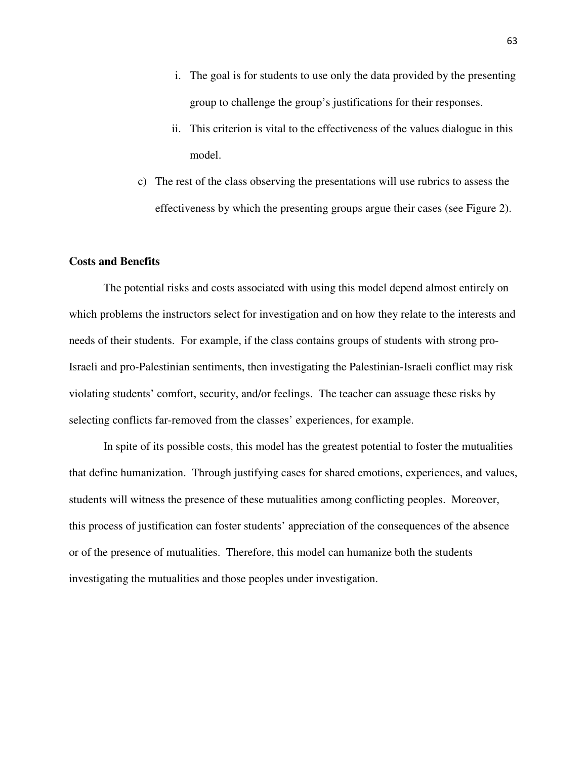- i. The goal is for students to use only the data provided by the presenting group to challenge the group's justifications for their responses.
- ii. This criterion is vital to the effectiveness of the values dialogue in this model.
- c) The rest of the class observing the presentations will use rubrics to assess the effectiveness by which the presenting groups argue their cases (see Figure 2).

# **Costs and Benefits**

 The potential risks and costs associated with using this model depend almost entirely on which problems the instructors select for investigation and on how they relate to the interests and needs of their students. For example, if the class contains groups of students with strong pro-Israeli and pro-Palestinian sentiments, then investigating the Palestinian-Israeli conflict may risk violating students' comfort, security, and/or feelings. The teacher can assuage these risks by selecting conflicts far-removed from the classes' experiences, for example.

 In spite of its possible costs, this model has the greatest potential to foster the mutualities that define humanization. Through justifying cases for shared emotions, experiences, and values, students will witness the presence of these mutualities among conflicting peoples. Moreover, this process of justification can foster students' appreciation of the consequences of the absence or of the presence of mutualities. Therefore, this model can humanize both the students investigating the mutualities and those peoples under investigation.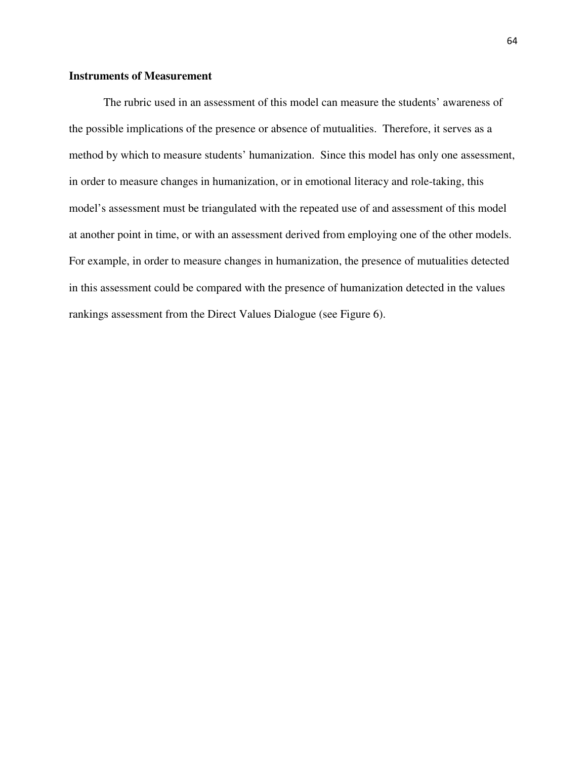# **Instruments of Measurement**

The rubric used in an assessment of this model can measure the students' awareness of the possible implications of the presence or absence of mutualities. Therefore, it serves as a method by which to measure students' humanization. Since this model has only one assessment, in order to measure changes in humanization, or in emotional literacy and role-taking, this model's assessment must be triangulated with the repeated use of and assessment of this model at another point in time, or with an assessment derived from employing one of the other models. For example, in order to measure changes in humanization, the presence of mutualities detected in this assessment could be compared with the presence of humanization detected in the values rankings assessment from the Direct Values Dialogue (see Figure 6).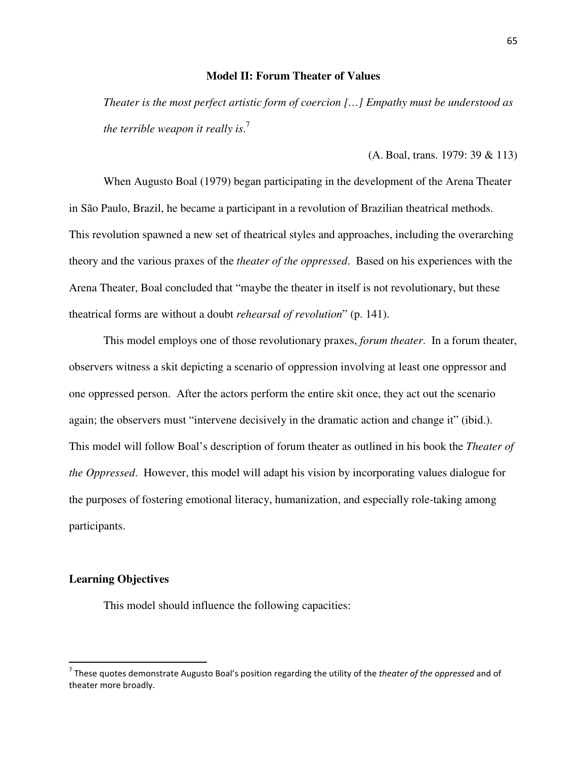# **Model II: Forum Theater of Values**

*Theater is the most perfect artistic form of coercion […] Empathy must be understood as the terrible weapon it really is*. 7

(A. Boal, trans. 1979: 39 & 113)

When Augusto Boal (1979) began participating in the development of the Arena Theater in São Paulo, Brazil, he became a participant in a revolution of Brazilian theatrical methods. This revolution spawned a new set of theatrical styles and approaches, including the overarching theory and the various praxes of the *theater of the oppressed*. Based on his experiences with the Arena Theater, Boal concluded that "maybe the theater in itself is not revolutionary, but these theatrical forms are without a doubt *rehearsal of revolution*" (p. 141).

This model employs one of those revolutionary praxes, *forum theater*. In a forum theater, observers witness a skit depicting a scenario of oppression involving at least one oppressor and one oppressed person. After the actors perform the entire skit once, they act out the scenario again; the observers must "intervene decisively in the dramatic action and change it" (ibid.). This model will follow Boal's description of forum theater as outlined in his book the *Theater of the Oppressed*. However, this model will adapt his vision by incorporating values dialogue for the purposes of fostering emotional literacy, humanization, and especially role-taking among participants.

# **Learning Objectives**

 $\overline{a}$ 

This model should influence the following capacities:

<sup>&</sup>lt;sup>7</sup> These quotes demonstrate Augusto Boal's position regarding the utility of the theater of the oppressed and of theater more broadly.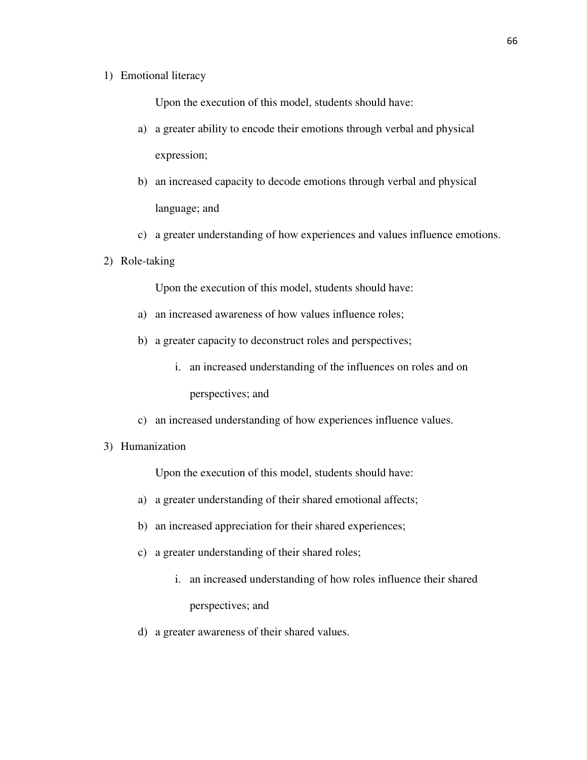# 1) Emotional literacy

Upon the execution of this model, students should have:

- a) a greater ability to encode their emotions through verbal and physical expression;
- b) an increased capacity to decode emotions through verbal and physical language; and
- c) a greater understanding of how experiences and values influence emotions.
- 2) Role-taking

Upon the execution of this model, students should have:

- a) an increased awareness of how values influence roles;
- b) a greater capacity to deconstruct roles and perspectives;
	- i. an increased understanding of the influences on roles and on perspectives; and
- c) an increased understanding of how experiences influence values.
- 3) Humanization

Upon the execution of this model, students should have:

- a) a greater understanding of their shared emotional affects;
- b) an increased appreciation for their shared experiences;
- c) a greater understanding of their shared roles;
	- i. an increased understanding of how roles influence their shared perspectives; and
- d) a greater awareness of their shared values.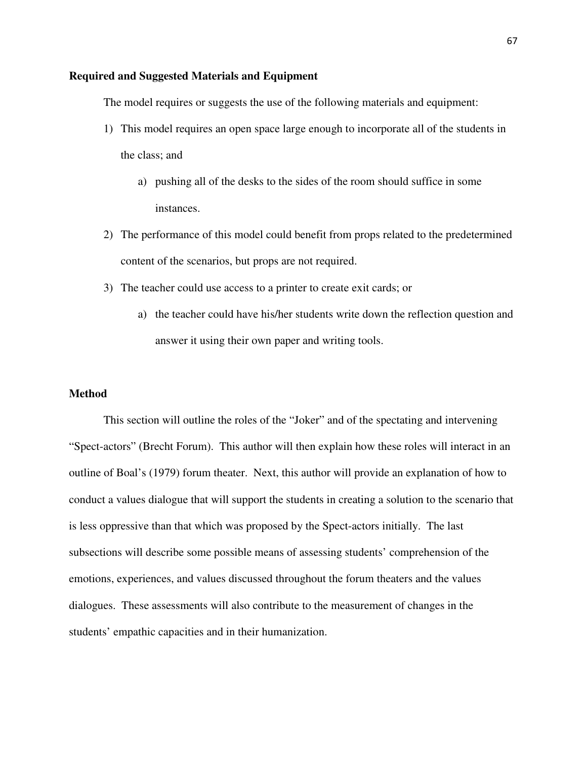# **Required and Suggested Materials and Equipment**

The model requires or suggests the use of the following materials and equipment:

- 1) This model requires an open space large enough to incorporate all of the students in the class; and
	- a) pushing all of the desks to the sides of the room should suffice in some instances.
- 2) The performance of this model could benefit from props related to the predetermined content of the scenarios, but props are not required.
- 3) The teacher could use access to a printer to create exit cards; or
	- a) the teacher could have his/her students write down the reflection question and answer it using their own paper and writing tools.

# **Method**

This section will outline the roles of the "Joker" and of the spectating and intervening "Spect-actors" (Brecht Forum). This author will then explain how these roles will interact in an outline of Boal's (1979) forum theater. Next, this author will provide an explanation of how to conduct a values dialogue that will support the students in creating a solution to the scenario that is less oppressive than that which was proposed by the Spect-actors initially. The last subsections will describe some possible means of assessing students' comprehension of the emotions, experiences, and values discussed throughout the forum theaters and the values dialogues. These assessments will also contribute to the measurement of changes in the students' empathic capacities and in their humanization.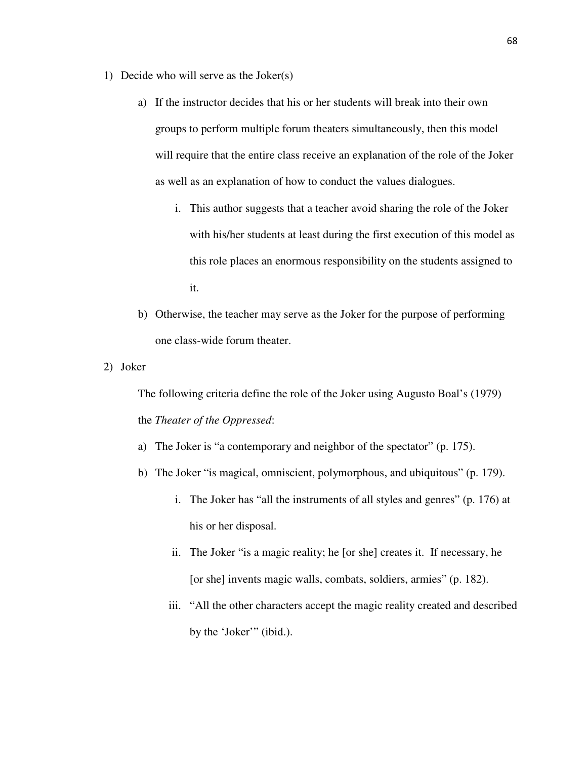- 1) Decide who will serve as the Joker(s)
	- a) If the instructor decides that his or her students will break into their own groups to perform multiple forum theaters simultaneously, then this model will require that the entire class receive an explanation of the role of the Joker as well as an explanation of how to conduct the values dialogues.
		- i. This author suggests that a teacher avoid sharing the role of the Joker with his/her students at least during the first execution of this model as this role places an enormous responsibility on the students assigned to it.
	- b) Otherwise, the teacher may serve as the Joker for the purpose of performing one class-wide forum theater.
- 2) Joker

The following criteria define the role of the Joker using Augusto Boal's (1979) the *Theater of the Oppressed*:

- a) The Joker is "a contemporary and neighbor of the spectator" (p. 175).
- b) The Joker "is magical, omniscient, polymorphous, and ubiquitous" (p. 179).
	- i. The Joker has "all the instruments of all styles and genres" (p. 176) at his or her disposal.
	- ii. The Joker "is a magic reality; he [or she] creates it. If necessary, he [or she] invents magic walls, combats, soldiers, armies" (p. 182).
	- iii. "All the other characters accept the magic reality created and described by the 'Joker'" (ibid.).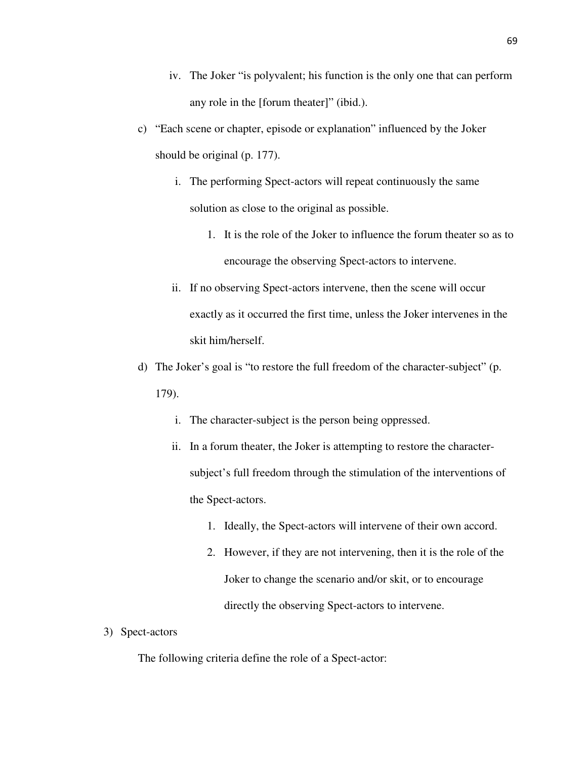- iv. The Joker "is polyvalent; his function is the only one that can perform any role in the [forum theater]" (ibid.).
- c) "Each scene or chapter, episode or explanation" influenced by the Joker should be original (p. 177).
	- i. The performing Spect-actors will repeat continuously the same solution as close to the original as possible.
		- 1. It is the role of the Joker to influence the forum theater so as to encourage the observing Spect-actors to intervene.
	- ii. If no observing Spect-actors intervene, then the scene will occur exactly as it occurred the first time, unless the Joker intervenes in the skit him/herself.
- d) The Joker's goal is "to restore the full freedom of the character-subject" (p. 179).
	- i. The character-subject is the person being oppressed.
	- ii. In a forum theater, the Joker is attempting to restore the charactersubject's full freedom through the stimulation of the interventions of the Spect-actors.
		- 1. Ideally, the Spect-actors will intervene of their own accord.
		- 2. However, if they are not intervening, then it is the role of the Joker to change the scenario and/or skit, or to encourage directly the observing Spect-actors to intervene.
- 3) Spect-actors

The following criteria define the role of a Spect-actor: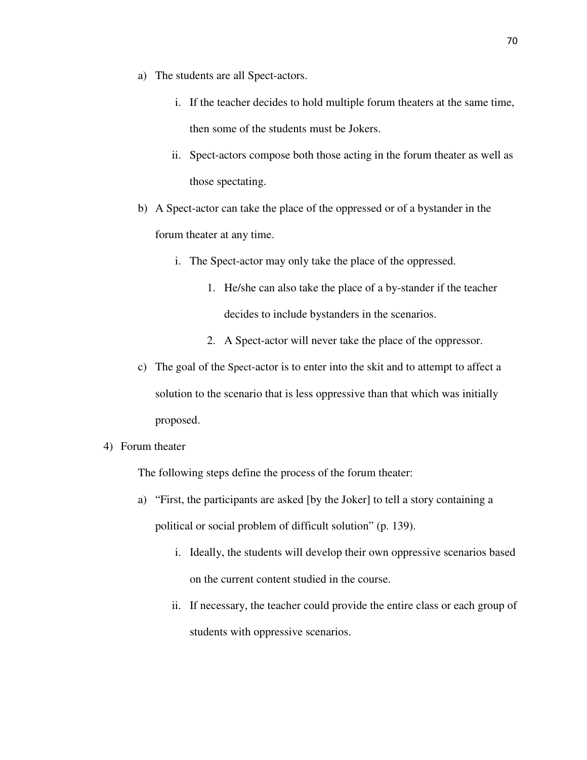- a) The students are all Spect-actors.
	- i. If the teacher decides to hold multiple forum theaters at the same time, then some of the students must be Jokers.
	- ii. Spect-actors compose both those acting in the forum theater as well as those spectating.
- b) A Spect-actor can take the place of the oppressed or of a bystander in the forum theater at any time.
	- i. The Spect-actor may only take the place of the oppressed.
		- 1. He/she can also take the place of a by-stander if the teacher decides to include bystanders in the scenarios.
		- 2. A Spect-actor will never take the place of the oppressor.
- c) The goal of the Spect-actor is to enter into the skit and to attempt to affect a solution to the scenario that is less oppressive than that which was initially proposed.
- 4) Forum theater

The following steps define the process of the forum theater:

- a) "First, the participants are asked [by the Joker] to tell a story containing a political or social problem of difficult solution" (p. 139).
	- i. Ideally, the students will develop their own oppressive scenarios based on the current content studied in the course.
	- ii. If necessary, the teacher could provide the entire class or each group of students with oppressive scenarios.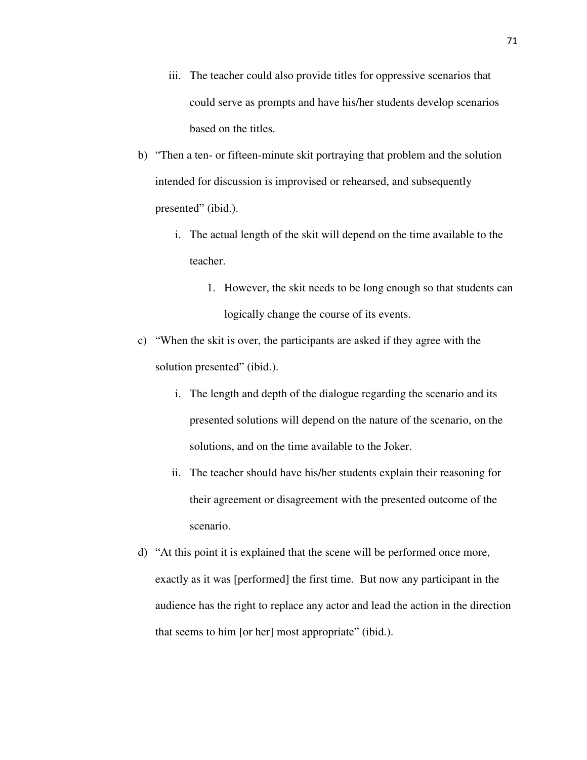- iii. The teacher could also provide titles for oppressive scenarios that could serve as prompts and have his/her students develop scenarios based on the titles.
- b) "Then a ten- or fifteen-minute skit portraying that problem and the solution intended for discussion is improvised or rehearsed, and subsequently presented" (ibid.).
	- i. The actual length of the skit will depend on the time available to the teacher.
		- 1. However, the skit needs to be long enough so that students can logically change the course of its events.
- c) "When the skit is over, the participants are asked if they agree with the solution presented" (ibid.).
	- i. The length and depth of the dialogue regarding the scenario and its presented solutions will depend on the nature of the scenario, on the solutions, and on the time available to the Joker.
	- ii. The teacher should have his/her students explain their reasoning for their agreement or disagreement with the presented outcome of the scenario.
- d) "At this point it is explained that the scene will be performed once more, exactly as it was [performed] the first time. But now any participant in the audience has the right to replace any actor and lead the action in the direction that seems to him [or her] most appropriate" (ibid.).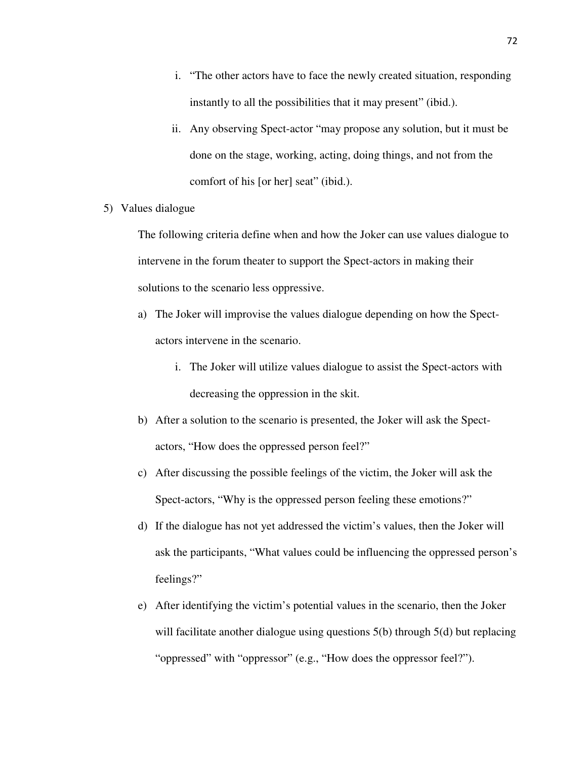- i. "The other actors have to face the newly created situation, responding instantly to all the possibilities that it may present" (ibid.).
- ii. Any observing Spect-actor "may propose any solution, but it must be done on the stage, working, acting, doing things, and not from the comfort of his [or her] seat" (ibid.).
- 5) Values dialogue

The following criteria define when and how the Joker can use values dialogue to intervene in the forum theater to support the Spect-actors in making their solutions to the scenario less oppressive.

- a) The Joker will improvise the values dialogue depending on how the Spectactors intervene in the scenario.
	- i. The Joker will utilize values dialogue to assist the Spect-actors with decreasing the oppression in the skit.
- b) After a solution to the scenario is presented, the Joker will ask the Spectactors, "How does the oppressed person feel?"
- c) After discussing the possible feelings of the victim, the Joker will ask the Spect-actors, "Why is the oppressed person feeling these emotions?"
- d) If the dialogue has not yet addressed the victim's values, then the Joker will ask the participants, "What values could be influencing the oppressed person's feelings?"
- e) After identifying the victim's potential values in the scenario, then the Joker will facilitate another dialogue using questions 5(b) through 5(d) but replacing "oppressed" with "oppressor" (e.g., "How does the oppressor feel?").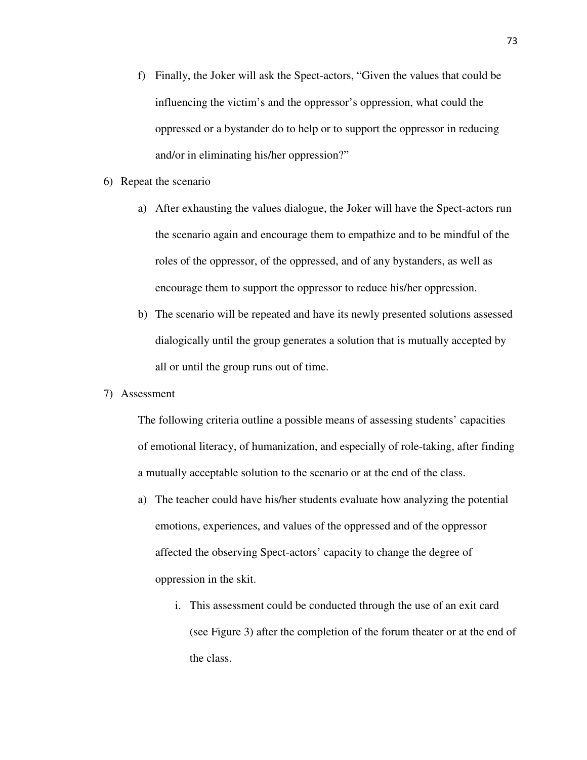- f) Finally, the Joker will ask the Spect-actors, "Given the values that could be influencing the victim's and the oppressor's oppression, what could the oppressed or a bystander do to help or to support the oppressor in reducing and/or in eliminating his/her oppression?"
- 6) Repeat the scenario
	- a) After exhausting the values dialogue, the Joker will have the Spect-actors run the scenario again and encourage them to empathize and to be mindful of the roles of the oppressor, of the oppressed, and of any bystanders, as well as encourage them to support the oppressor to reduce his/her oppression.
	- b) The scenario will be repeated and have its newly presented solutions assessed dialogically until the group generates a solution that is mutually accepted by all or until the group runs out of time.
- 7) Assessment

The following criteria outline a possible means of assessing students' capacities of emotional literacy, of humanization, and especially of role-taking, after finding a mutually acceptable solution to the scenario or at the end of the class.

- a) The teacher could have his/her students evaluate how analyzing the potential emotions, experiences, and values of the oppressed and of the oppressor affected the observing Spect-actors' capacity to change the degree of oppression in the skit.
	- i. This assessment could be conducted through the use of an exit card (see Figure 3) after the completion of the forum theater or at the end of the class.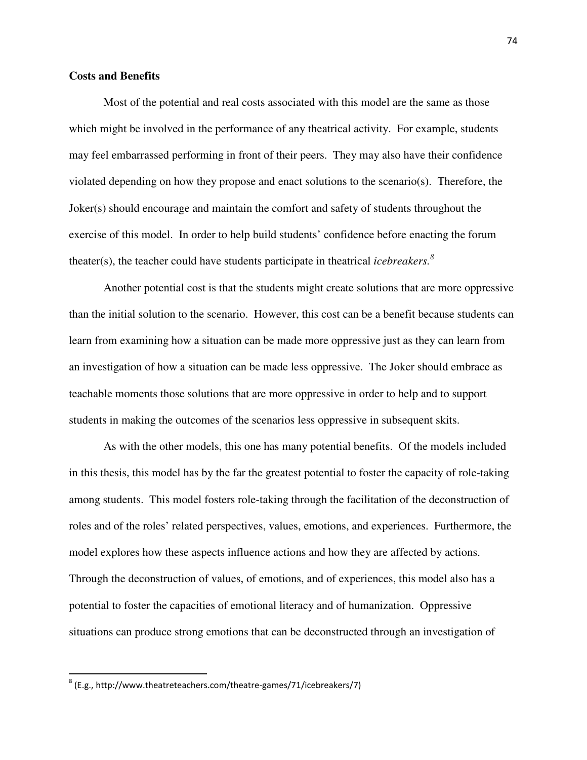# **Costs and Benefits**

Most of the potential and real costs associated with this model are the same as those which might be involved in the performance of any theatrical activity. For example, students may feel embarrassed performing in front of their peers. They may also have their confidence violated depending on how they propose and enact solutions to the scenario(s). Therefore, the Joker(s) should encourage and maintain the comfort and safety of students throughout the exercise of this model. In order to help build students' confidence before enacting the forum theater(s), the teacher could have students participate in theatrical *icebreakers.<sup>8</sup>*

Another potential cost is that the students might create solutions that are more oppressive than the initial solution to the scenario. However, this cost can be a benefit because students can learn from examining how a situation can be made more oppressive just as they can learn from an investigation of how a situation can be made less oppressive. The Joker should embrace as teachable moments those solutions that are more oppressive in order to help and to support students in making the outcomes of the scenarios less oppressive in subsequent skits.

 As with the other models, this one has many potential benefits. Of the models included in this thesis, this model has by the far the greatest potential to foster the capacity of role-taking among students. This model fosters role-taking through the facilitation of the deconstruction of roles and of the roles' related perspectives, values, emotions, and experiences. Furthermore, the model explores how these aspects influence actions and how they are affected by actions. Through the deconstruction of values, of emotions, and of experiences, this model also has a potential to foster the capacities of emotional literacy and of humanization. Oppressive situations can produce strong emotions that can be deconstructed through an investigation of

 $\overline{\phantom{0}}$ 

 $^8$  (E.g., http://www.theatreteachers.com/theatre-games/71/icebreakers/7)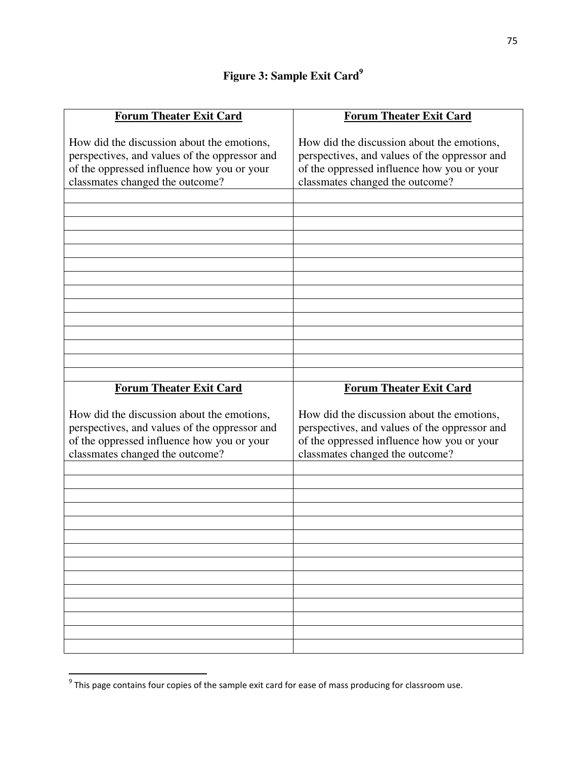# **Figure 3: Sample Exit Card<sup>9</sup>**

| <b>Forum Theater Exit Card</b>                                                                                                                                               | <b>Forum Theater Exit Card</b>                                                                                                                                               |
|------------------------------------------------------------------------------------------------------------------------------------------------------------------------------|------------------------------------------------------------------------------------------------------------------------------------------------------------------------------|
| How did the discussion about the emotions,<br>perspectives, and values of the oppressor and<br>of the oppressed influence how you or your<br>classmates changed the outcome? | How did the discussion about the emotions,<br>perspectives, and values of the oppressor and<br>of the oppressed influence how you or your<br>classmates changed the outcome? |
|                                                                                                                                                                              |                                                                                                                                                                              |
|                                                                                                                                                                              |                                                                                                                                                                              |
|                                                                                                                                                                              |                                                                                                                                                                              |
|                                                                                                                                                                              |                                                                                                                                                                              |
|                                                                                                                                                                              |                                                                                                                                                                              |
|                                                                                                                                                                              |                                                                                                                                                                              |
|                                                                                                                                                                              |                                                                                                                                                                              |
|                                                                                                                                                                              |                                                                                                                                                                              |
|                                                                                                                                                                              |                                                                                                                                                                              |
|                                                                                                                                                                              |                                                                                                                                                                              |
|                                                                                                                                                                              |                                                                                                                                                                              |
|                                                                                                                                                                              |                                                                                                                                                                              |
|                                                                                                                                                                              |                                                                                                                                                                              |
|                                                                                                                                                                              |                                                                                                                                                                              |
| <b>Forum Theater Exit Card</b>                                                                                                                                               | <b>Forum Theater Exit Card</b>                                                                                                                                               |
| How did the discussion about the emotions,<br>perspectives, and values of the oppressor and<br>of the oppressed influence how you or your<br>classmates changed the outcome? | How did the discussion about the emotions,<br>perspectives, and values of the oppressor and<br>of the oppressed influence how you or your<br>classmates changed the outcome? |
|                                                                                                                                                                              |                                                                                                                                                                              |
|                                                                                                                                                                              |                                                                                                                                                                              |
|                                                                                                                                                                              |                                                                                                                                                                              |
|                                                                                                                                                                              |                                                                                                                                                                              |
|                                                                                                                                                                              |                                                                                                                                                                              |
|                                                                                                                                                                              |                                                                                                                                                                              |
|                                                                                                                                                                              |                                                                                                                                                                              |
|                                                                                                                                                                              |                                                                                                                                                                              |
|                                                                                                                                                                              |                                                                                                                                                                              |
|                                                                                                                                                                              |                                                                                                                                                                              |
|                                                                                                                                                                              |                                                                                                                                                                              |
|                                                                                                                                                                              |                                                                                                                                                                              |

<sup>&</sup>lt;u>Fill be sequing that</u><br>If this page contains four copies of the sample exit card for ease of mass producing for classroom use.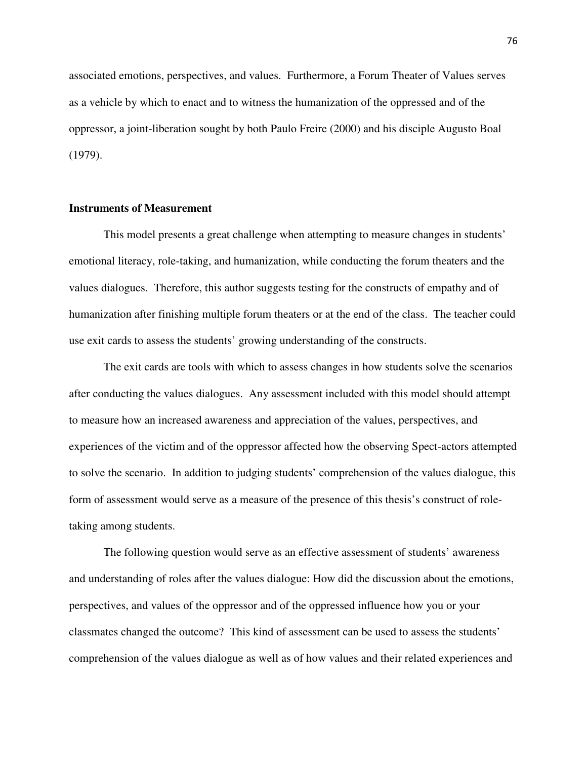associated emotions, perspectives, and values. Furthermore, a Forum Theater of Values serves as a vehicle by which to enact and to witness the humanization of the oppressed and of the oppressor, a joint-liberation sought by both Paulo Freire (2000) and his disciple Augusto Boal (1979).

# **Instruments of Measurement**

This model presents a great challenge when attempting to measure changes in students' emotional literacy, role-taking, and humanization, while conducting the forum theaters and the values dialogues. Therefore, this author suggests testing for the constructs of empathy and of humanization after finishing multiple forum theaters or at the end of the class. The teacher could use exit cards to assess the students' growing understanding of the constructs.

The exit cards are tools with which to assess changes in how students solve the scenarios after conducting the values dialogues. Any assessment included with this model should attempt to measure how an increased awareness and appreciation of the values, perspectives, and experiences of the victim and of the oppressor affected how the observing Spect-actors attempted to solve the scenario. In addition to judging students' comprehension of the values dialogue, this form of assessment would serve as a measure of the presence of this thesis's construct of roletaking among students.

 The following question would serve as an effective assessment of students' awareness and understanding of roles after the values dialogue: How did the discussion about the emotions, perspectives, and values of the oppressor and of the oppressed influence how you or your classmates changed the outcome? This kind of assessment can be used to assess the students' comprehension of the values dialogue as well as of how values and their related experiences and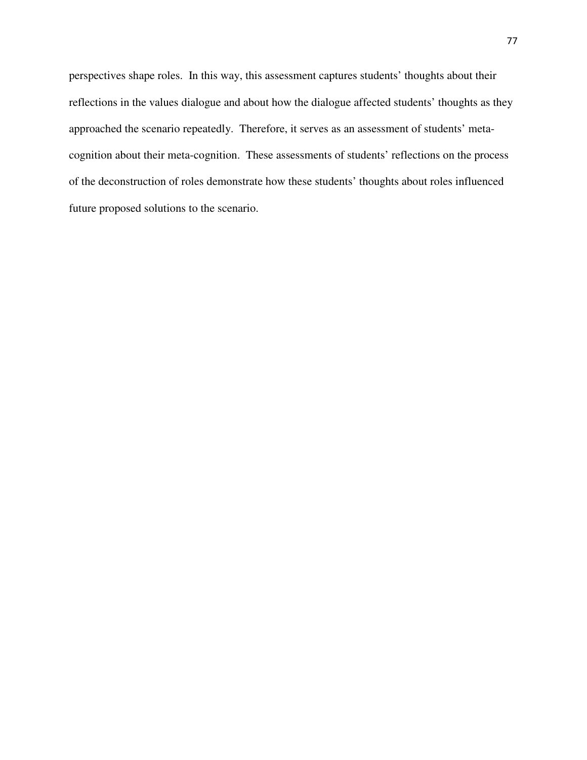perspectives shape roles. In this way, this assessment captures students' thoughts about their reflections in the values dialogue and about how the dialogue affected students' thoughts as they approached the scenario repeatedly. Therefore, it serves as an assessment of students' metacognition about their meta-cognition. These assessments of students' reflections on the process of the deconstruction of roles demonstrate how these students' thoughts about roles influenced future proposed solutions to the scenario.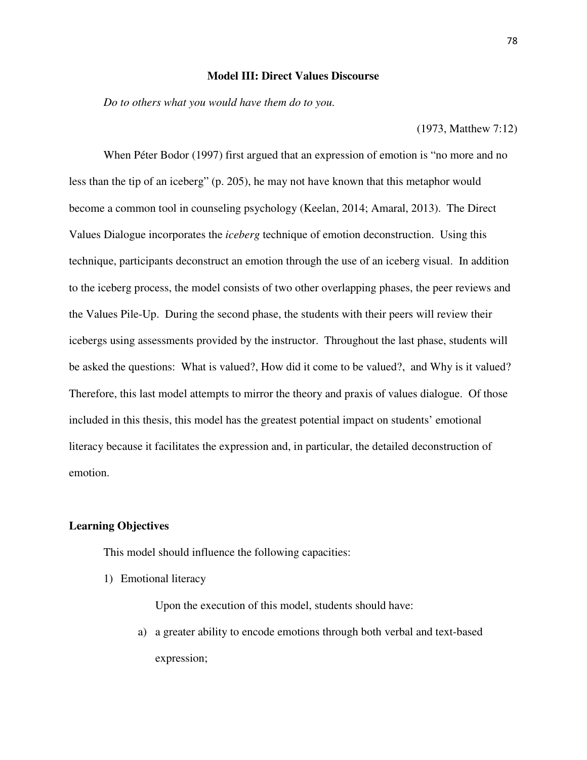#### **Model III: Direct Values Discourse**

*Do to others what you would have them do to you.* 

(1973, Matthew 7:12)

When Péter Bodor (1997) first argued that an expression of emotion is "no more and no less than the tip of an iceberg" (p. 205), he may not have known that this metaphor would become a common tool in counseling psychology (Keelan, 2014; Amaral, 2013). The Direct Values Dialogue incorporates the *iceberg* technique of emotion deconstruction. Using this technique, participants deconstruct an emotion through the use of an iceberg visual. In addition to the iceberg process, the model consists of two other overlapping phases, the peer reviews and the Values Pile-Up. During the second phase, the students with their peers will review their icebergs using assessments provided by the instructor. Throughout the last phase, students will be asked the questions: What is valued?, How did it come to be valued?, and Why is it valued? Therefore, this last model attempts to mirror the theory and praxis of values dialogue. Of those included in this thesis, this model has the greatest potential impact on students' emotional literacy because it facilitates the expression and, in particular, the detailed deconstruction of emotion.

# **Learning Objectives**

This model should influence the following capacities:

1) Emotional literacy

Upon the execution of this model, students should have:

a) a greater ability to encode emotions through both verbal and text-based expression;

78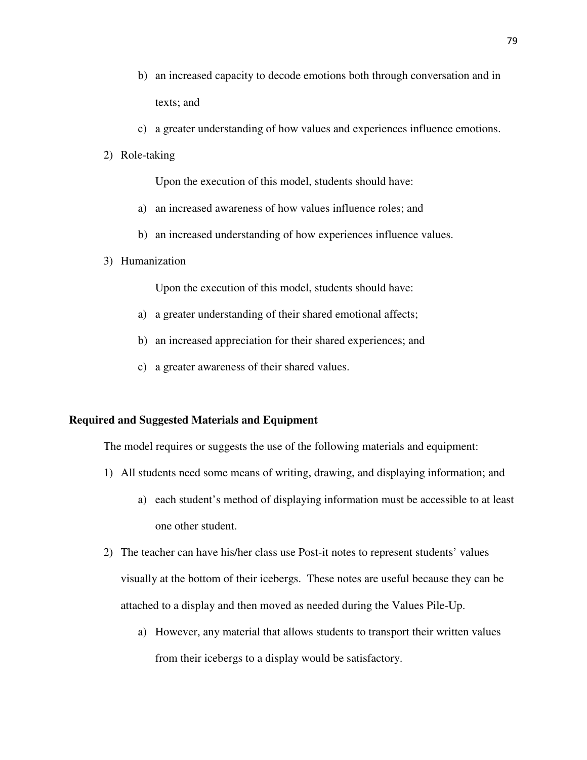- b) an increased capacity to decode emotions both through conversation and in texts; and
- c) a greater understanding of how values and experiences influence emotions.
- 2) Role-taking

Upon the execution of this model, students should have:

- a) an increased awareness of how values influence roles; and
- b) an increased understanding of how experiences influence values.
- 3) Humanization

Upon the execution of this model, students should have:

- a) a greater understanding of their shared emotional affects;
- b) an increased appreciation for their shared experiences; and
- c) a greater awareness of their shared values.

#### **Required and Suggested Materials and Equipment**

The model requires or suggests the use of the following materials and equipment:

- 1) All students need some means of writing, drawing, and displaying information; and
	- a) each student's method of displaying information must be accessible to at least one other student.
- 2) The teacher can have his/her class use Post-it notes to represent students' values visually at the bottom of their icebergs. These notes are useful because they can be attached to a display and then moved as needed during the Values Pile-Up.
	- a) However, any material that allows students to transport their written values from their icebergs to a display would be satisfactory.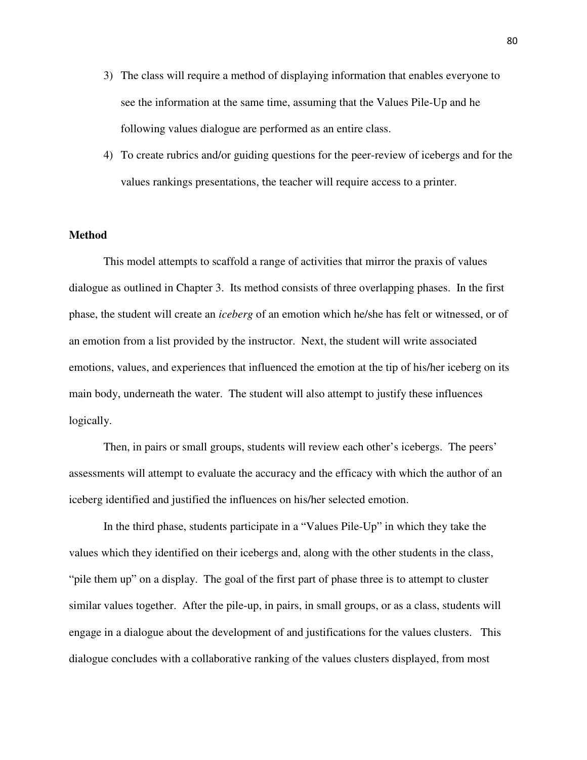- 3) The class will require a method of displaying information that enables everyone to see the information at the same time, assuming that the Values Pile-Up and he following values dialogue are performed as an entire class.
- 4) To create rubrics and/or guiding questions for the peer-review of icebergs and for the values rankings presentations, the teacher will require access to a printer.

# **Method**

This model attempts to scaffold a range of activities that mirror the praxis of values dialogue as outlined in Chapter 3. Its method consists of three overlapping phases. In the first phase, the student will create an *iceberg* of an emotion which he/she has felt or witnessed, or of an emotion from a list provided by the instructor. Next, the student will write associated emotions, values, and experiences that influenced the emotion at the tip of his/her iceberg on its main body, underneath the water. The student will also attempt to justify these influences logically.

Then, in pairs or small groups, students will review each other's icebergs. The peers' assessments will attempt to evaluate the accuracy and the efficacy with which the author of an iceberg identified and justified the influences on his/her selected emotion.

In the third phase, students participate in a "Values Pile-Up" in which they take the values which they identified on their icebergs and, along with the other students in the class, "pile them up" on a display. The goal of the first part of phase three is to attempt to cluster similar values together. After the pile-up, in pairs, in small groups, or as a class, students will engage in a dialogue about the development of and justifications for the values clusters. This dialogue concludes with a collaborative ranking of the values clusters displayed, from most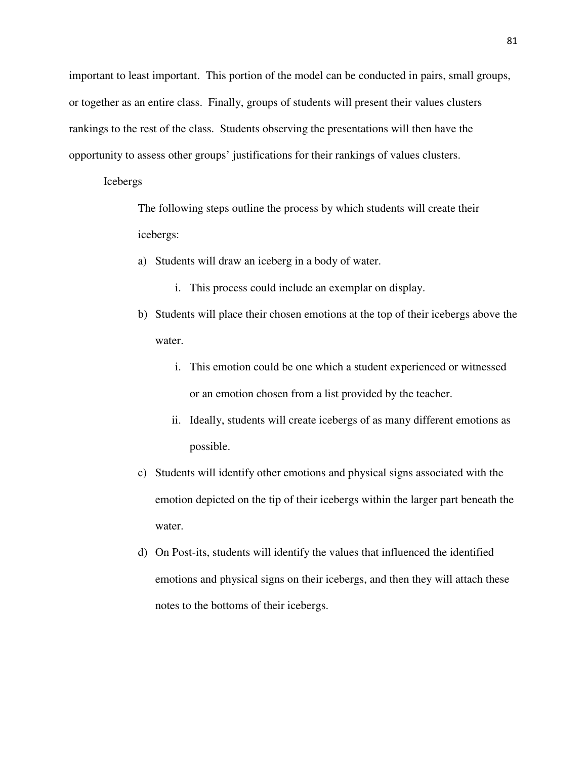important to least important. This portion of the model can be conducted in pairs, small groups, or together as an entire class. Finally, groups of students will present their values clusters rankings to the rest of the class. Students observing the presentations will then have the opportunity to assess other groups' justifications for their rankings of values clusters.

#### Icebergs

The following steps outline the process by which students will create their icebergs:

- a) Students will draw an iceberg in a body of water.
	- i. This process could include an exemplar on display.
- b) Students will place their chosen emotions at the top of their icebergs above the water.
	- i. This emotion could be one which a student experienced or witnessed or an emotion chosen from a list provided by the teacher.
	- ii. Ideally, students will create icebergs of as many different emotions as possible.
- c) Students will identify other emotions and physical signs associated with the emotion depicted on the tip of their icebergs within the larger part beneath the water.
- d) On Post-its, students will identify the values that influenced the identified emotions and physical signs on their icebergs, and then they will attach these notes to the bottoms of their icebergs.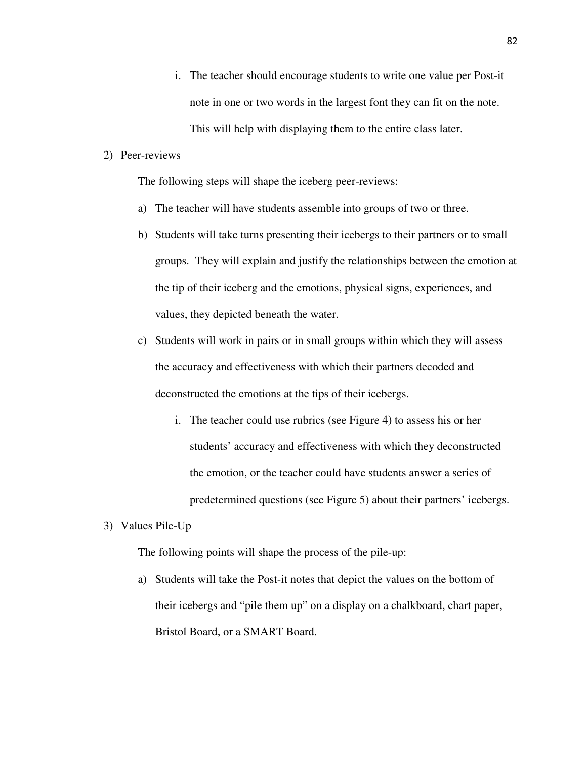- i. The teacher should encourage students to write one value per Post-it note in one or two words in the largest font they can fit on the note. This will help with displaying them to the entire class later.
- 2) Peer-reviews

The following steps will shape the iceberg peer-reviews:

- a) The teacher will have students assemble into groups of two or three.
- b) Students will take turns presenting their icebergs to their partners or to small groups. They will explain and justify the relationships between the emotion at the tip of their iceberg and the emotions, physical signs, experiences, and values, they depicted beneath the water.
- c) Students will work in pairs or in small groups within which they will assess the accuracy and effectiveness with which their partners decoded and deconstructed the emotions at the tips of their icebergs.
	- i. The teacher could use rubrics (see Figure 4) to assess his or her students' accuracy and effectiveness with which they deconstructed the emotion, or the teacher could have students answer a series of predetermined questions (see Figure 5) about their partners' icebergs.
- 3) Values Pile-Up

The following points will shape the process of the pile-up:

a) Students will take the Post-it notes that depict the values on the bottom of their icebergs and "pile them up" on a display on a chalkboard, chart paper, Bristol Board, or a SMART Board.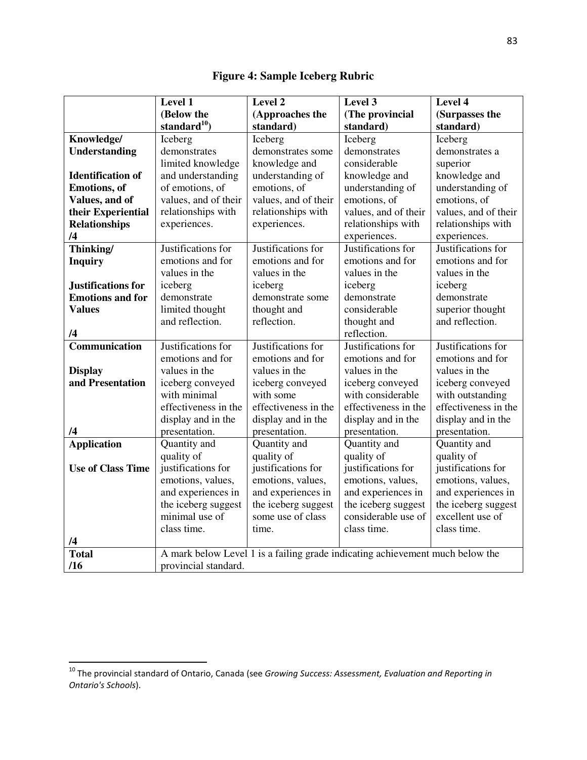|                          | Level 1              | Level 2                                                                       | Level 3              | Level 4              |
|--------------------------|----------------------|-------------------------------------------------------------------------------|----------------------|----------------------|
|                          | (Below the           | (Approaches the                                                               | (The provincial      | (Surpasses the       |
|                          | standard $10$        | standard)                                                                     | standard)            | standard)            |
| Knowledge/               | Iceberg              | Iceberg                                                                       | Iceberg              | Iceberg              |
| <b>Understanding</b>     | demonstrates         | demonstrates some                                                             | demonstrates         | demonstrates a       |
|                          | limited knowledge    | knowledge and                                                                 | considerable         | superior             |
| <b>Identification of</b> | and understanding    | understanding of                                                              | knowledge and        | knowledge and        |
| <b>Emotions</b> , of     | of emotions, of      | emotions, of                                                                  | understanding of     | understanding of     |
| Values, and of           | values, and of their | values, and of their                                                          | emotions, of         | emotions, of         |
| their Experiential       | relationships with   | relationships with                                                            | values, and of their | values, and of their |
| <b>Relationships</b>     | experiences.         | experiences.                                                                  | relationships with   | relationships with   |
| /4                       |                      |                                                                               | experiences.         | experiences.         |
| Thinking/                | Justifications for   | Justifications for                                                            | Justifications for   | Justifications for   |
| <b>Inquiry</b>           | emotions and for     | emotions and for                                                              | emotions and for     | emotions and for     |
|                          | values in the        | values in the                                                                 | values in the        | values in the        |
| Justifications for       | iceberg              | iceberg                                                                       | iceberg              | iceberg              |
| <b>Emotions and for</b>  | demonstrate          | demonstrate some                                                              | demonstrate          | demonstrate          |
| <b>Values</b>            | limited thought      | thought and                                                                   | considerable         | superior thought     |
|                          | and reflection.      | reflection.                                                                   | thought and          | and reflection.      |
| /4                       |                      |                                                                               | reflection.          |                      |
| Communication            | Justifications for   | Justifications for                                                            | Justifications for   | Justifications for   |
|                          | emotions and for     | emotions and for                                                              | emotions and for     | emotions and for     |
| <b>Display</b>           | values in the        | values in the                                                                 | values in the        | values in the        |
| and Presentation         | iceberg conveyed     | iceberg conveyed                                                              | iceberg conveyed     | iceberg conveyed     |
|                          | with minimal         | with some                                                                     | with considerable    | with outstanding     |
|                          | effectiveness in the | effectiveness in the                                                          | effectiveness in the | effectiveness in the |
|                          | display and in the   | display and in the                                                            | display and in the   | display and in the   |
| /4                       | presentation.        | presentation.                                                                 | presentation.        | presentation.        |
| <b>Application</b>       | Quantity and         | Quantity and                                                                  | Quantity and         | Quantity and         |
|                          | quality of           | quality of                                                                    | quality of           | quality of           |
| <b>Use of Class Time</b> | justifications for   | justifications for                                                            | justifications for   | justifications for   |
|                          | emotions, values,    | emotions, values,                                                             | emotions, values,    | emotions, values,    |
|                          | and experiences in   | and experiences in                                                            | and experiences in   | and experiences in   |
|                          | the iceberg suggest  | the iceberg suggest                                                           | the iceberg suggest  | the iceberg suggest  |
|                          | minimal use of       | some use of class                                                             | considerable use of  | excellent use of     |
|                          | class time.          | time.                                                                         | class time.          | class time.          |
| /4                       |                      |                                                                               |                      |                      |
| <b>Total</b>             |                      | A mark below Level 1 is a failing grade indicating achievement much below the |                      |                      |
| /16                      | provincial standard. |                                                                               |                      |                      |

**Figure 4: Sample Iceberg Rubric** 

 $\overline{a}$ 

<sup>&</sup>lt;sup>10</sup> The provincial standard of Ontario, Canada (see Growing Success: Assessment, Evaluation and Reporting in Ontario's Schools).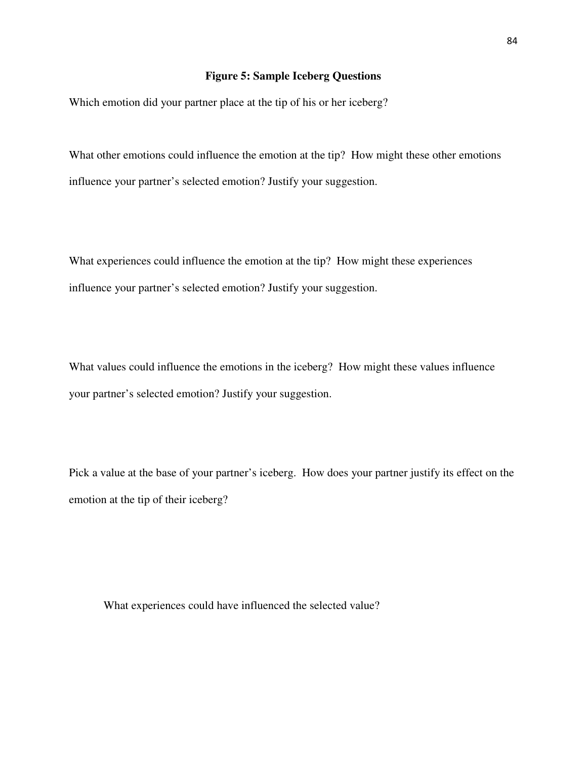# **Figure 5: Sample Iceberg Questions**

Which emotion did your partner place at the tip of his or her iceberg?

What other emotions could influence the emotion at the tip? How might these other emotions influence your partner's selected emotion? Justify your suggestion.

What experiences could influence the emotion at the tip? How might these experiences influence your partner's selected emotion? Justify your suggestion.

What values could influence the emotions in the iceberg? How might these values influence your partner's selected emotion? Justify your suggestion.

Pick a value at the base of your partner's iceberg. How does your partner justify its effect on the emotion at the tip of their iceberg?

What experiences could have influenced the selected value?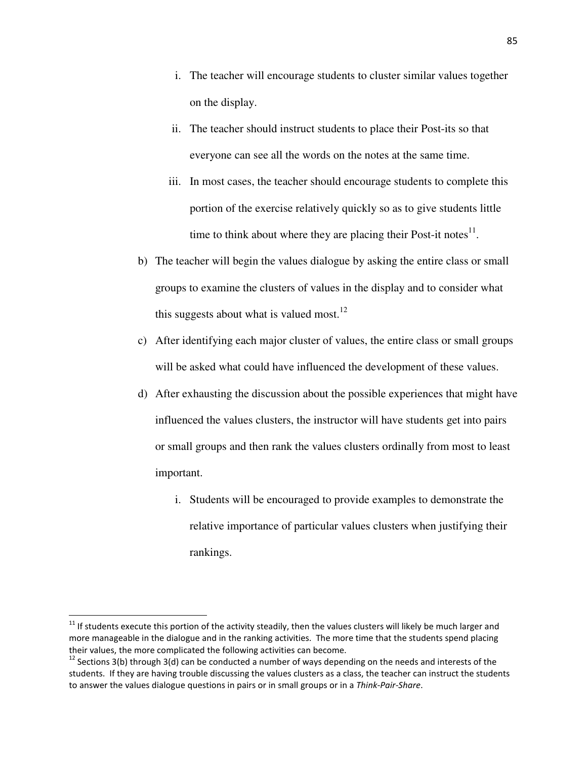- i. The teacher will encourage students to cluster similar values together on the display.
- ii. The teacher should instruct students to place their Post-its so that everyone can see all the words on the notes at the same time.
- iii. In most cases, the teacher should encourage students to complete this portion of the exercise relatively quickly so as to give students little time to think about where they are placing their Post-it notes $^{11}$ .
- b) The teacher will begin the values dialogue by asking the entire class or small groups to examine the clusters of values in the display and to consider what this suggests about what is valued most.<sup>12</sup>
- c) After identifying each major cluster of values, the entire class or small groups will be asked what could have influenced the development of these values.
- d) After exhausting the discussion about the possible experiences that might have influenced the values clusters, the instructor will have students get into pairs or small groups and then rank the values clusters ordinally from most to least important.
	- i. Students will be encouraged to provide examples to demonstrate the relative importance of particular values clusters when justifying their rankings.

-

 $11$  If students execute this portion of the activity steadily, then the values clusters will likely be much larger and more manageable in the dialogue and in the ranking activities. The more time that the students spend placing their values, the more complicated the following activities can become.

 $12$  Sections 3(b) through 3(d) can be conducted a number of ways depending on the needs and interests of the students. If they are having trouble discussing the values clusters as a class, the teacher can instruct the students to answer the values dialogue questions in pairs or in small groups or in a Think-Pair-Share.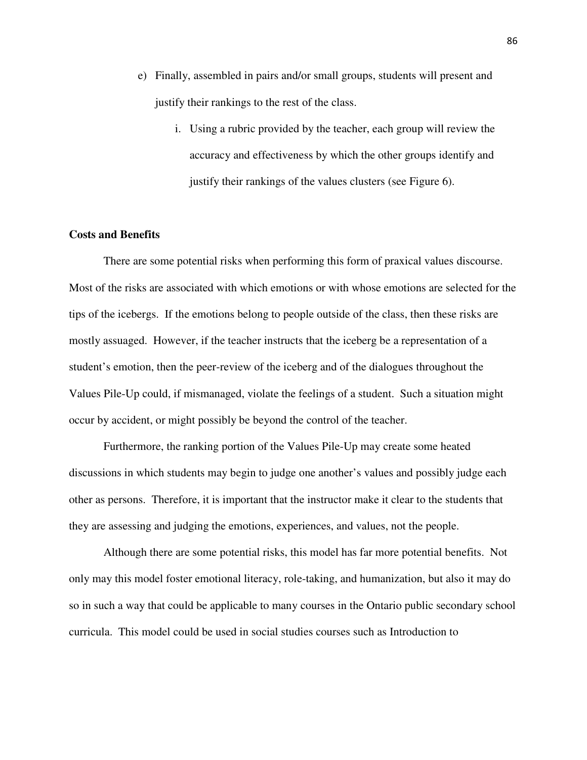- e) Finally, assembled in pairs and/or small groups, students will present and justify their rankings to the rest of the class.
	- i. Using a rubric provided by the teacher, each group will review the accuracy and effectiveness by which the other groups identify and justify their rankings of the values clusters (see Figure 6).

# **Costs and Benefits**

There are some potential risks when performing this form of praxical values discourse. Most of the risks are associated with which emotions or with whose emotions are selected for the tips of the icebergs. If the emotions belong to people outside of the class, then these risks are mostly assuaged. However, if the teacher instructs that the iceberg be a representation of a student's emotion, then the peer-review of the iceberg and of the dialogues throughout the Values Pile-Up could, if mismanaged, violate the feelings of a student. Such a situation might occur by accident, or might possibly be beyond the control of the teacher.

 Furthermore, the ranking portion of the Values Pile-Up may create some heated discussions in which students may begin to judge one another's values and possibly judge each other as persons. Therefore, it is important that the instructor make it clear to the students that they are assessing and judging the emotions, experiences, and values, not the people.

 Although there are some potential risks, this model has far more potential benefits. Not only may this model foster emotional literacy, role-taking, and humanization, but also it may do so in such a way that could be applicable to many courses in the Ontario public secondary school curricula. This model could be used in social studies courses such as Introduction to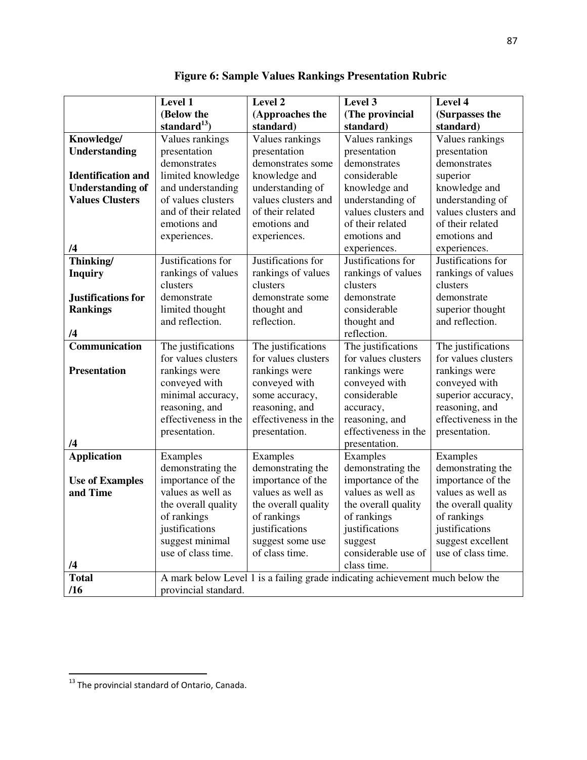|                           | Level 1                                                                       | Level 2              | Level 3              | Level 4              |
|---------------------------|-------------------------------------------------------------------------------|----------------------|----------------------|----------------------|
|                           | (Below the                                                                    | (Approaches the      | (The provincial      | (Surpasses the       |
|                           | standard $^{13}$ )                                                            | standard)            | standard)            | standard)            |
| Knowledge/                | Values rankings                                                               | Values rankings      | Values rankings      | Values rankings      |
| <b>Understanding</b>      | presentation                                                                  | presentation         | presentation         | presentation         |
|                           | demonstrates                                                                  | demonstrates some    | demonstrates         | demonstrates         |
| <b>Identification and</b> | limited knowledge                                                             | knowledge and        | considerable         | superior             |
| <b>Understanding of</b>   | and understanding                                                             | understanding of     | knowledge and        | knowledge and        |
| <b>Values Clusters</b>    | of values clusters                                                            | values clusters and  | understanding of     | understanding of     |
|                           | and of their related                                                          | of their related     | values clusters and  | values clusters and  |
|                           | emotions and                                                                  | emotions and         | of their related     | of their related     |
|                           | experiences.                                                                  | experiences.         | emotions and         | emotions and         |
| /4                        |                                                                               |                      | experiences.         | experiences.         |
| Thinking/                 | Justifications for                                                            | Justifications for   | Justifications for   | Justifications for   |
| <b>Inquiry</b>            | rankings of values                                                            | rankings of values   | rankings of values   | rankings of values   |
|                           | clusters                                                                      | clusters             | clusters             | clusters             |
| Justifications for        | demonstrate                                                                   | demonstrate some     | demonstrate          | demonstrate          |
| <b>Rankings</b>           | limited thought                                                               | thought and          | considerable         | superior thought     |
|                           | and reflection.                                                               | reflection.          | thought and          | and reflection.      |
| /4                        |                                                                               |                      | reflection.          |                      |
| Communication             | The justifications                                                            | The justifications   | The justifications   | The justifications   |
|                           | for values clusters                                                           | for values clusters  | for values clusters  | for values clusters  |
| <b>Presentation</b>       | rankings were                                                                 | rankings were        | rankings were        | rankings were        |
|                           | conveyed with                                                                 | conveyed with        | conveyed with        | conveyed with        |
|                           | minimal accuracy,                                                             | some accuracy,       | considerable         | superior accuracy,   |
|                           | reasoning, and                                                                | reasoning, and       | accuracy,            | reasoning, and       |
|                           | effectiveness in the                                                          | effectiveness in the | reasoning, and       | effectiveness in the |
|                           | presentation.                                                                 | presentation.        | effectiveness in the | presentation.        |
| /4                        |                                                                               |                      | presentation.        |                      |
| <b>Application</b>        | Examples                                                                      | Examples             | Examples             | Examples             |
|                           | demonstrating the                                                             | demonstrating the    | demonstrating the    | demonstrating the    |
| <b>Use of Examples</b>    | importance of the                                                             | importance of the    | importance of the    | importance of the    |
| and Time                  | values as well as                                                             | values as well as    | values as well as    | values as well as    |
|                           | the overall quality                                                           | the overall quality  | the overall quality  | the overall quality  |
|                           | of rankings                                                                   | of rankings          | of rankings          | of rankings          |
|                           | justifications                                                                | justifications       | justifications       | justifications       |
|                           | suggest minimal                                                               | suggest some use     | suggest              | suggest excellent    |
|                           | use of class time.                                                            | of class time.       | considerable use of  | use of class time.   |
| /4                        |                                                                               |                      | class time.          |                      |
| <b>Total</b>              | A mark below Level 1 is a failing grade indicating achievement much below the |                      |                      |                      |
| /16                       | provincial standard.                                                          |                      |                      |                      |

**Figure 6: Sample Values Rankings Presentation Rubric** 

 $\overline{\phantom{0}}$ 

 $^{13}$  The provincial standard of Ontario, Canada.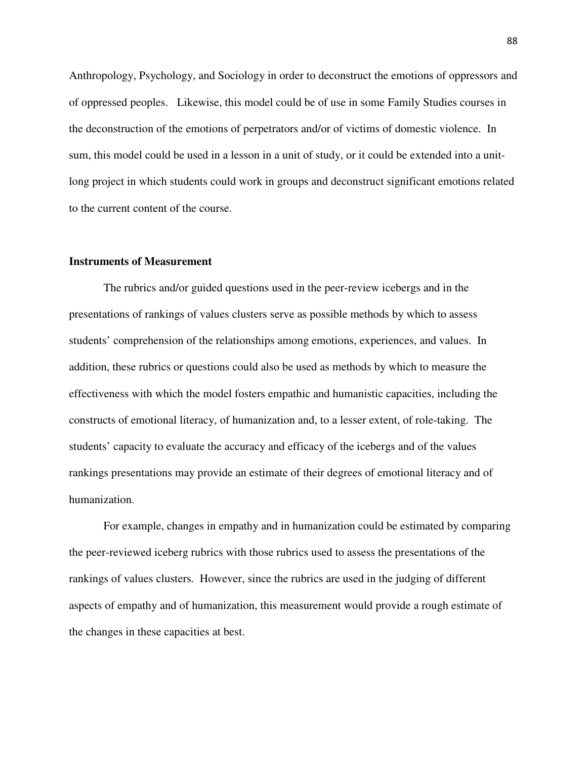Anthropology, Psychology, and Sociology in order to deconstruct the emotions of oppressors and of oppressed peoples. Likewise, this model could be of use in some Family Studies courses in the deconstruction of the emotions of perpetrators and/or of victims of domestic violence. In sum, this model could be used in a lesson in a unit of study, or it could be extended into a unitlong project in which students could work in groups and deconstruct significant emotions related to the current content of the course.

# **Instruments of Measurement**

The rubrics and/or guided questions used in the peer-review icebergs and in the presentations of rankings of values clusters serve as possible methods by which to assess students' comprehension of the relationships among emotions, experiences, and values. In addition, these rubrics or questions could also be used as methods by which to measure the effectiveness with which the model fosters empathic and humanistic capacities, including the constructs of emotional literacy, of humanization and, to a lesser extent, of role-taking. The students' capacity to evaluate the accuracy and efficacy of the icebergs and of the values rankings presentations may provide an estimate of their degrees of emotional literacy and of humanization.

 For example, changes in empathy and in humanization could be estimated by comparing the peer-reviewed iceberg rubrics with those rubrics used to assess the presentations of the rankings of values clusters. However, since the rubrics are used in the judging of different aspects of empathy and of humanization, this measurement would provide a rough estimate of the changes in these capacities at best.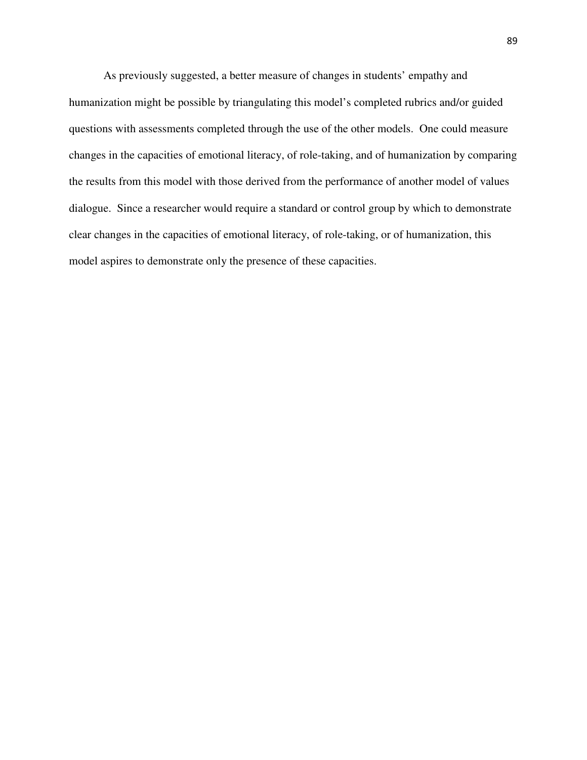As previously suggested, a better measure of changes in students' empathy and humanization might be possible by triangulating this model's completed rubrics and/or guided questions with assessments completed through the use of the other models. One could measure changes in the capacities of emotional literacy, of role-taking, and of humanization by comparing the results from this model with those derived from the performance of another model of values dialogue. Since a researcher would require a standard or control group by which to demonstrate clear changes in the capacities of emotional literacy, of role-taking, or of humanization, this model aspires to demonstrate only the presence of these capacities.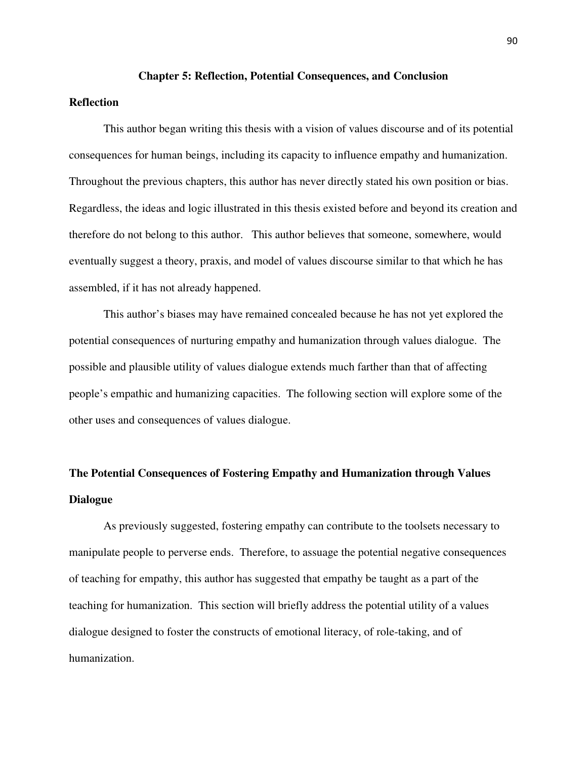#### **Chapter 5: Reflection, Potential Consequences, and Conclusion**

# **Reflection**

This author began writing this thesis with a vision of values discourse and of its potential consequences for human beings, including its capacity to influence empathy and humanization. Throughout the previous chapters, this author has never directly stated his own position or bias. Regardless, the ideas and logic illustrated in this thesis existed before and beyond its creation and therefore do not belong to this author. This author believes that someone, somewhere, would eventually suggest a theory, praxis, and model of values discourse similar to that which he has assembled, if it has not already happened.

 This author's biases may have remained concealed because he has not yet explored the potential consequences of nurturing empathy and humanization through values dialogue. The possible and plausible utility of values dialogue extends much farther than that of affecting people's empathic and humanizing capacities. The following section will explore some of the other uses and consequences of values dialogue.

# **The Potential Consequences of Fostering Empathy and Humanization through Values Dialogue**

As previously suggested, fostering empathy can contribute to the toolsets necessary to manipulate people to perverse ends. Therefore, to assuage the potential negative consequences of teaching for empathy, this author has suggested that empathy be taught as a part of the teaching for humanization. This section will briefly address the potential utility of a values dialogue designed to foster the constructs of emotional literacy, of role-taking, and of humanization.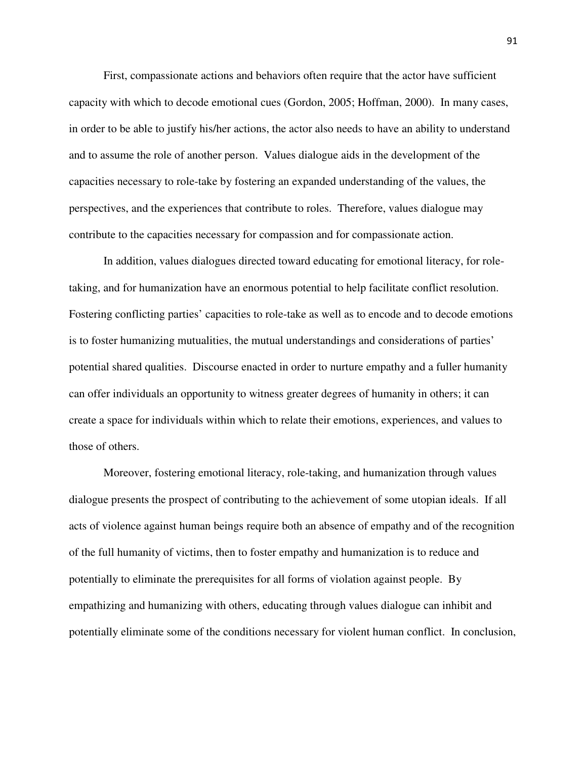First, compassionate actions and behaviors often require that the actor have sufficient capacity with which to decode emotional cues (Gordon, 2005; Hoffman, 2000). In many cases, in order to be able to justify his/her actions, the actor also needs to have an ability to understand and to assume the role of another person. Values dialogue aids in the development of the capacities necessary to role-take by fostering an expanded understanding of the values, the perspectives, and the experiences that contribute to roles. Therefore, values dialogue may contribute to the capacities necessary for compassion and for compassionate action.

In addition, values dialogues directed toward educating for emotional literacy, for roletaking, and for humanization have an enormous potential to help facilitate conflict resolution. Fostering conflicting parties' capacities to role-take as well as to encode and to decode emotions is to foster humanizing mutualities, the mutual understandings and considerations of parties' potential shared qualities. Discourse enacted in order to nurture empathy and a fuller humanity can offer individuals an opportunity to witness greater degrees of humanity in others; it can create a space for individuals within which to relate their emotions, experiences, and values to those of others.

Moreover, fostering emotional literacy, role-taking, and humanization through values dialogue presents the prospect of contributing to the achievement of some utopian ideals. If all acts of violence against human beings require both an absence of empathy and of the recognition of the full humanity of victims, then to foster empathy and humanization is to reduce and potentially to eliminate the prerequisites for all forms of violation against people. By empathizing and humanizing with others, educating through values dialogue can inhibit and potentially eliminate some of the conditions necessary for violent human conflict. In conclusion,

91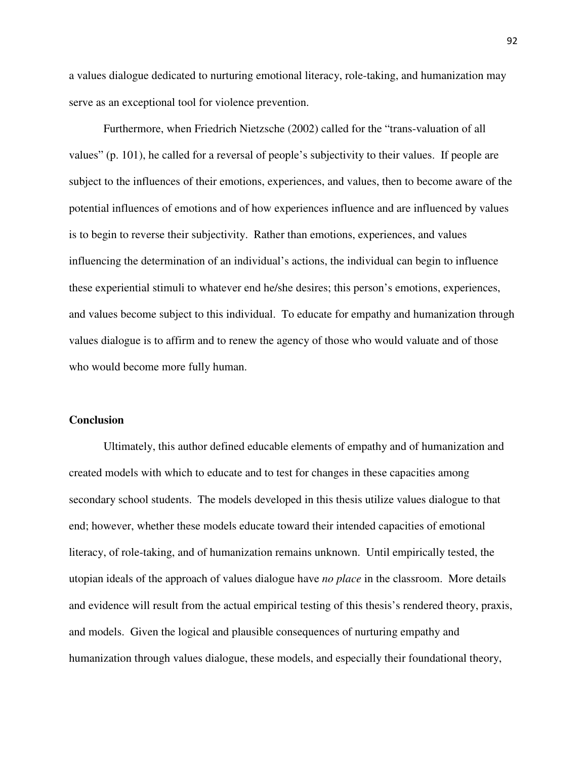a values dialogue dedicated to nurturing emotional literacy, role-taking, and humanization may serve as an exceptional tool for violence prevention.

Furthermore, when Friedrich Nietzsche (2002) called for the "trans-valuation of all values" (p. 101), he called for a reversal of people's subjectivity to their values. If people are subject to the influences of their emotions, experiences, and values, then to become aware of the potential influences of emotions and of how experiences influence and are influenced by values is to begin to reverse their subjectivity. Rather than emotions, experiences, and values influencing the determination of an individual's actions, the individual can begin to influence these experiential stimuli to whatever end he/she desires; this person's emotions, experiences, and values become subject to this individual. To educate for empathy and humanization through values dialogue is to affirm and to renew the agency of those who would valuate and of those who would become more fully human.

# **Conclusion**

 Ultimately, this author defined educable elements of empathy and of humanization and created models with which to educate and to test for changes in these capacities among secondary school students. The models developed in this thesis utilize values dialogue to that end; however, whether these models educate toward their intended capacities of emotional literacy, of role-taking, and of humanization remains unknown. Until empirically tested, the utopian ideals of the approach of values dialogue have *no place* in the classroom. More details and evidence will result from the actual empirical testing of this thesis's rendered theory, praxis, and models. Given the logical and plausible consequences of nurturing empathy and humanization through values dialogue, these models, and especially their foundational theory,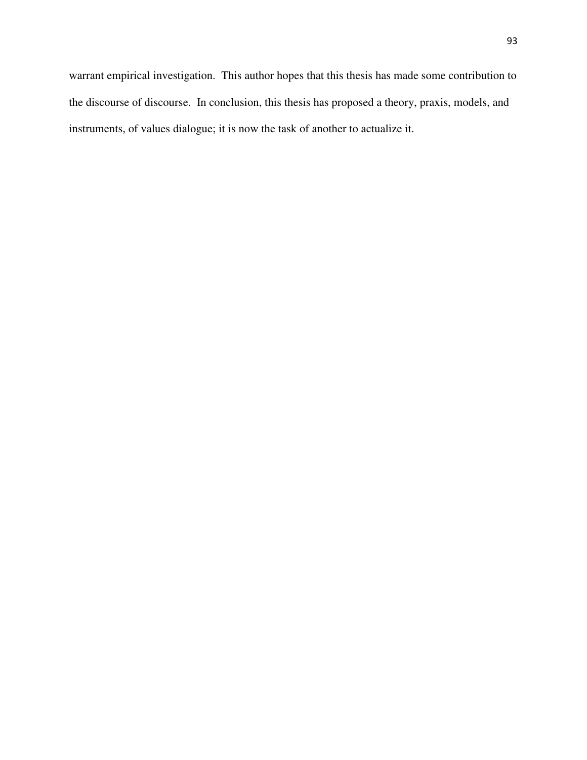warrant empirical investigation. This author hopes that this thesis has made some contribution to the discourse of discourse. In conclusion, this thesis has proposed a theory, praxis, models, and instruments, of values dialogue; it is now the task of another to actualize it.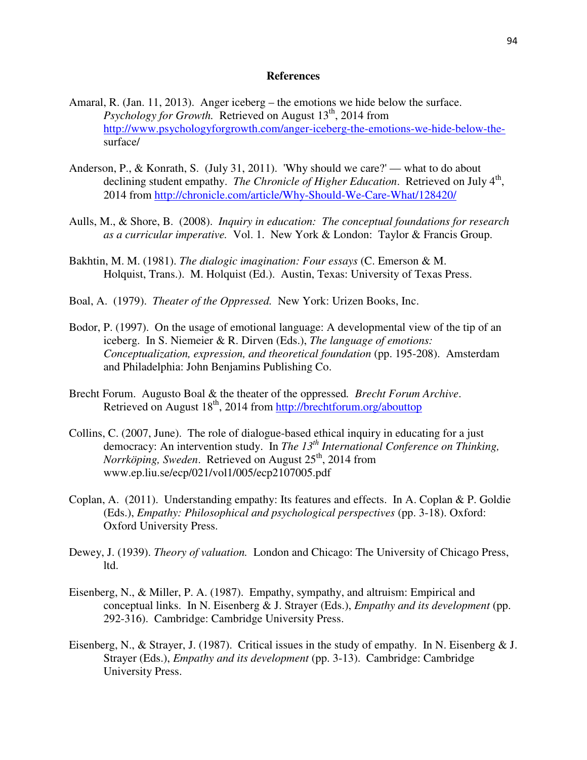#### **References**

- Amaral, R. (Jan. 11, 2013). Anger iceberg the emotions we hide below the surface. *Psychology for Growth.* Retrieved on August 13<sup>th</sup>, 2014 from http://www.psychologyforgrowth.com/anger-iceberg-the-emotions-we-hide-below-thesurface/
- Anderson, P., & Konrath, S. (July 31, 2011). 'Why should we care?' what to do about declining student empathy. *The Chronicle of Higher Education*. Retrieved on July 4<sup>th</sup>, 2014 from http://chronicle.com/article/Why-Should-We-Care-What/128420/
- Aulls, M., & Shore, B. (2008). *Inquiry in education: The conceptual foundations for research as a curricular imperative.* Vol. 1. New York & London: Taylor & Francis Group.
- Bakhtin, M. M. (1981). *The dialogic imagination: Four essays* (C. Emerson & M. Holquist, Trans.). M. Holquist (Ed.). Austin, Texas: University of Texas Press.
- Boal, A. (1979). *Theater of the Oppressed.* New York: Urizen Books, Inc.
- Bodor, P. (1997). On the usage of emotional language: A developmental view of the tip of an iceberg. In S. Niemeier & R. Dirven (Eds.), *The language of emotions: Conceptualization, expression, and theoretical foundation* (pp. 195-208). Amsterdam and Philadelphia: John Benjamins Publishing Co.
- Brecht Forum. Augusto Boal & the theater of the oppressed*. Brecht Forum Archive*. Retrieved on August 18<sup>th</sup>, 2014 from http://brechtforum.org/abouttop
- Collins, C. (2007, June). The role of dialogue-based ethical inquiry in educating for a just democracy: An intervention study. In *The 13th International Conference on Thinking, Norrköping, Sweden.* Retrieved on August 25<sup>th</sup>, 2014 from www.ep.liu.se/ecp/021/vol1/005/ecp2107005.pdf
- Coplan, A. (2011). Understanding empathy: Its features and effects. In A. Coplan & P. Goldie (Eds.), *Empathy: Philosophical and psychological perspectives* (pp. 3-18). Oxford: Oxford University Press.
- Dewey, J. (1939). *Theory of valuation.* London and Chicago: The University of Chicago Press, ltd.
- Eisenberg, N., & Miller, P. A. (1987). Empathy, sympathy, and altruism: Empirical and conceptual links. In N. Eisenberg & J. Strayer (Eds.), *Empathy and its development* (pp. 292-316). Cambridge: Cambridge University Press.
- Eisenberg, N., & Strayer, J. (1987). Critical issues in the study of empathy. In N. Eisenberg & J. Strayer (Eds.), *Empathy and its development* (pp. 3-13). Cambridge: Cambridge University Press.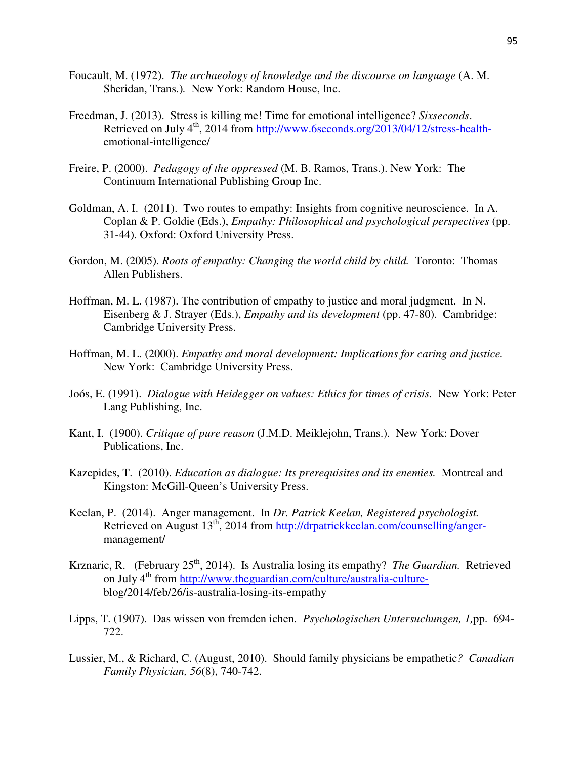- Foucault, M. (1972). *The archaeology of knowledge and the discourse on language* (A. M. Sheridan, Trans.)*.* New York: Random House, Inc.
- Freedman, J. (2013). Stress is killing me! Time for emotional intelligence? *Sixseconds*. Retrieved on July 4<sup>th</sup>, 2014 from http://www.6seconds.org/2013/04/12/stress-healthemotional-intelligence/
- Freire, P. (2000). *Pedagogy of the oppressed* (M. B. Ramos, Trans.). New York: The Continuum International Publishing Group Inc.
- Goldman, A. I. (2011). Two routes to empathy: Insights from cognitive neuroscience. In A. Coplan & P. Goldie (Eds.), *Empathy: Philosophical and psychological perspectives* (pp. 31-44). Oxford: Oxford University Press.
- Gordon, M. (2005). *Roots of empathy: Changing the world child by child.* Toronto: Thomas Allen Publishers.
- Hoffman, M. L. (1987). The contribution of empathy to justice and moral judgment. In N. Eisenberg & J. Strayer (Eds.), *Empathy and its development* (pp. 47-80). Cambridge: Cambridge University Press.
- Hoffman, M. L. (2000). *Empathy and moral development: Implications for caring and justice.*  New York: Cambridge University Press.
- Joós, E. (1991). *Dialogue with Heidegger on values: Ethics for times of crisis.* New York: Peter Lang Publishing, Inc.
- Kant, I. (1900). *Critique of pure reason* (J.M.D. Meiklejohn, Trans.). New York: Dover Publications, Inc.
- Kazepides, T. (2010). *Education as dialogue: Its prerequisites and its enemies.* Montreal and Kingston: McGill-Queen's University Press.
- Keelan, P. (2014). Anger management. In *Dr. Patrick Keelan, Registered psychologist.* Retrieved on August 13<sup>th</sup>, 2014 from http://drpatrickkeelan.com/counselling/angermanagement/
- Krznaric, R. (February 25<sup>th</sup>, 2014). Is Australia losing its empathy? *The Guardian*. Retrieved on July 4<sup>th</sup> from http://www.theguardian.com/culture/australia-cultureblog/2014/feb/26/is-australia-losing-its-empathy
- Lipps, T. (1907). Das wissen von fremden ichen. *Psychologischen Untersuchungen, 1,*pp. 694- 722.
- Lussier, M., & Richard, C. (August, 2010). Should family physicians be empathetic*? Canadian Family Physician, 56*(8), 740-742.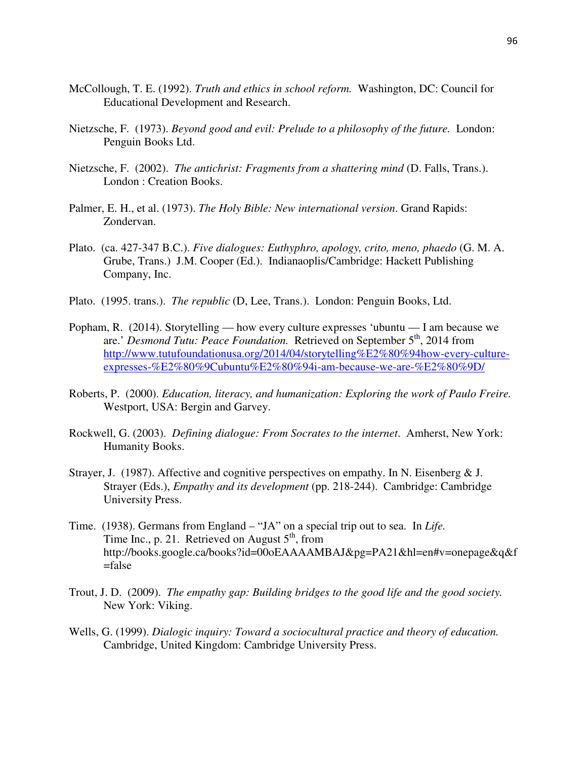- McCollough, T. E. (1992). *Truth and ethics in school reform.* Washington, DC: Council for Educational Development and Research.
- Nietzsche, F. (1973). *Beyond good and evil: Prelude to a philosophy of the future.* London: Penguin Books Ltd.
- Nietzsche, F. (2002). *The antichrist: Fragments from a shattering mind* (D. Falls, Trans.). London : Creation Books.
- Palmer, E. H., et al. (1973). *The Holy Bible: New international version*. Grand Rapids: Zondervan.
- Plato. (ca. 427-347 B.C.). *Five dialogues: Euthyphro, apology, crito, meno, phaedo* (G. M. A. Grube, Trans.) J.M. Cooper (Ed.). Indianaoplis/Cambridge: Hackett Publishing Company, Inc.
- Plato. (1995. trans.). *The republic* (D, Lee, Trans.). London: Penguin Books, Ltd.
- Popham, R. (2014). Storytelling how every culture expresses 'ubuntu I am because we are.' *Desmond Tutu: Peace Foundation.* Retrieved on September 5th, 2014 from http://www.tutufoundationusa.org/2014/04/storytelling%E2%80%94how-every-cultureexpresses-%E2%80%9Cubuntu%E2%80%94i-am-because-we-are-%E2%80%9D/
- Roberts, P. (2000). *Education, literacy, and humanization: Exploring the work of Paulo Freire.* Westport, USA: Bergin and Garvey.
- Rockwell, G. (2003). *Defining dialogue: From Socrates to the internet*. Amherst, New York: Humanity Books.
- Strayer, J. (1987). Affective and cognitive perspectives on empathy. In N. Eisenberg & J. Strayer (Eds.), *Empathy and its development* (pp. 218-244). Cambridge: Cambridge University Press.
- Time. (1938). Germans from England "JA" on a special trip out to sea. In *Life.*  Time Inc., p. 21. Retrieved on August  $5<sup>th</sup>$ , from http://books.google.ca/books?id=00oEAAAAMBAJ&pg=PA21&hl=en#v=onepage&q&f =false
- Trout, J. D. (2009). *The empathy gap: Building bridges to the good life and the good society.*  New York: Viking.
- Wells, G. (1999). *Dialogic inquiry: Toward a sociocultural practice and theory of education.*  Cambridge, United Kingdom: Cambridge University Press.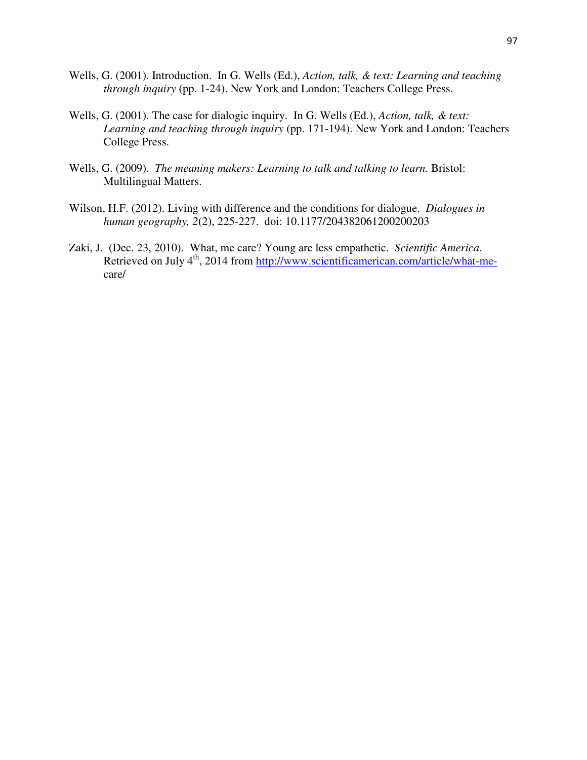- Wells, G. (2001). Introduction. In G. Wells (Ed.), *Action, talk, & text: Learning and teaching through inquiry* (pp. 1-24). New York and London: Teachers College Press.
- Wells, G. (2001). The case for dialogic inquiry. In G. Wells (Ed.), *Action, talk, & text: Learning and teaching through inquiry* (pp. 171-194). New York and London: Teachers College Press.
- Wells, G. (2009). *The meaning makers: Learning to talk and talking to learn.* Bristol: Multilingual Matters.
- Wilson, H.F. (2012). Living with difference and the conditions for dialogue. *Dialogues in human geography, 2*(2), 225-227. doi: 10.1177/204382061200200203
- Zaki, J. (Dec. 23, 2010). What, me care? Young are less empathetic. *Scientific America*. Retrieved on July 4<sup>th</sup>, 2014 from http://www.scientificamerican.com/article/what-mecare/